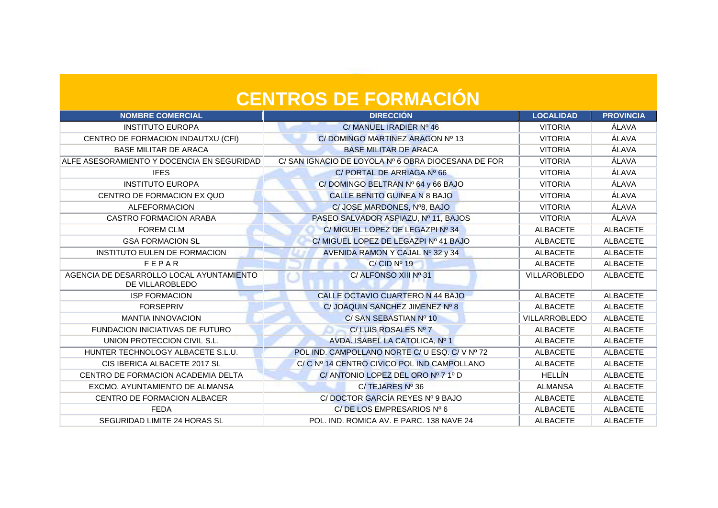| <b>NOMBRE COMERCIAL</b>                                     | <b>DIRECCIÓN</b>                                   | <b>LOCALIDAD</b> | <b>PROVINCIA</b> |
|-------------------------------------------------------------|----------------------------------------------------|------------------|------------------|
| <b>INSTITUTO EUROPA</b>                                     | C/MANUEL IRADIER Nº 46                             | <b>VITORIA</b>   | ÁLAVA            |
| CENTRO DE FORMACION INDAUTXU (CFI)                          | C/DOMINGO MARTINEZ ARAGON Nº 13                    | <b>VITORIA</b>   | ÁLAVA            |
| <b>BASE MILITAR DE ARACA</b>                                | <b>BASE MILITAR DE ARACA</b>                       | <b>VITORIA</b>   | ÁLAVA            |
| ALFE ASESORAMIENTO Y DOCENCIA EN SEGURIDAD                  | C/SAN IGNACIO DE LOYOLA Nº 6 OBRA DIOCESANA DE FOR | <b>VITORIA</b>   | ÁLAVA            |
| <b>IFES</b>                                                 | C/ PORTAL DE ARRIAGA Nº 66                         | <b>VITORIA</b>   | ÁLAVA            |
| <b>INSTITUTO EUROPA</b>                                     | C/DOMINGO BELTRAN Nº 64 y 66 BAJO                  | <b>VITORIA</b>   | ÁLAVA            |
| CENTRO DE FORMACION EX QUO                                  | <b>CALLE BENITO GUINEA N 8 BAJO</b>                | <b>VITORIA</b>   | ÁLAVA            |
| <b>ALFEFORMACION</b>                                        | C/ JOSE MARDONES, Nº8, BAJO                        | <b>VITORIA</b>   | ÁLAVA            |
| <b>CASTRO FORMACION ARABA</b>                               | PASEO SALVADOR ASPIAZU, Nº 11, BAJOS               | <b>VITORIA</b>   | ÁLAVA            |
| <b>FOREM CLM</b>                                            | C/ MIGUEL LOPEZ DE LEGAZPI Nº 34                   | <b>ALBACETE</b>  | <b>ALBACETE</b>  |
| <b>GSA FORMACION SL</b>                                     | C/ MIGUEL LOPEZ DE LEGAZPI Nº 41 BAJO              | <b>ALBACETE</b>  | <b>ALBACETE</b>  |
| INSTITUTO EULEN DE FORMACION                                | AVENIDA RAMON Y CAJAL Nº 32 y 34                   | <b>ALBACETE</b>  | <b>ALBACETE</b>  |
| FEPAR                                                       | C/CID Nº 19                                        | <b>ALBACETE</b>  | <b>ALBACETE</b>  |
| AGENCIA DE DESARROLLO LOCAL AYUNTAMIENTO<br>DE VILLAROBLEDO | C/ ALFONSO XIII Nº 31                              | VILLAROBLEDO     | <b>ALBACETE</b>  |
| <b>ISP FORMACION</b>                                        | CALLE OCTAVIO CUARTERO N 44 BAJO                   | <b>ALBACETE</b>  | <b>ALBACETE</b>  |
| <b>FORSEPRIV</b>                                            | C/ JOAQUIN SANCHEZ JIMENEZ Nº 8                    | <b>ALBACETE</b>  | <b>ALBACETE</b>  |
| <b>MANTIA INNOVACION</b>                                    | C/ SAN SEBASTIAN Nº 10                             | VILLARROBLEDO    | <b>ALBACETE</b>  |
| FUNDACION INICIATIVAS DE FUTURO                             | C/LUIS ROSALES Nº 7                                | <b>ALBACETE</b>  | <b>ALBACETE</b>  |
| UNION PROTECCION CIVIL S.L.                                 | AVDA. ISABEL LA CATOLICA, Nº 1                     | <b>ALBACETE</b>  | <b>ALBACETE</b>  |
| HUNTER TECHNOLOGY ALBACETE S.L.U.                           | POL IND. CAMPOLLANO NORTE C/ U ESQ. C/ V Nº 72     | <b>ALBACETE</b>  | <b>ALBACETE</b>  |
| CIS IBERICA ALBACETE 2017 SL                                | C/ C Nº 14 CENTRO CIVICO POL IND CAMPOLLANO        | <b>ALBACETE</b>  | <b>ALBACETE</b>  |
| CENTRO DE FORMACION ACADEMIA DELTA                          | C/ANTONIO LOPEZ DEL ORO Nº 7 1º D                  | <b>HELLÍN</b>    | <b>ALBACETE</b>  |
| EXCMO. AYUNTAMIENTO DE ALMANSA                              | C/TEJARES Nº 36                                    | <b>ALMANSA</b>   | <b>ALBACETE</b>  |
| CENTRO DE FORMACION ALBACER                                 | C/DOCTOR GARCÍA REYES Nº 9 BAJO                    | <b>ALBACETE</b>  | <b>ALBACETE</b>  |
| <b>FEDA</b>                                                 | C/DE LOS EMPRESARIOS Nº 6                          | <b>ALBACETE</b>  | <b>ALBACETE</b>  |
| SEGURIDAD LIMITE 24 HORAS SL                                | POL. IND. ROMICA AV. E PARC. 138 NAVE 24           | <b>ALBACETE</b>  | <b>ALBACETE</b>  |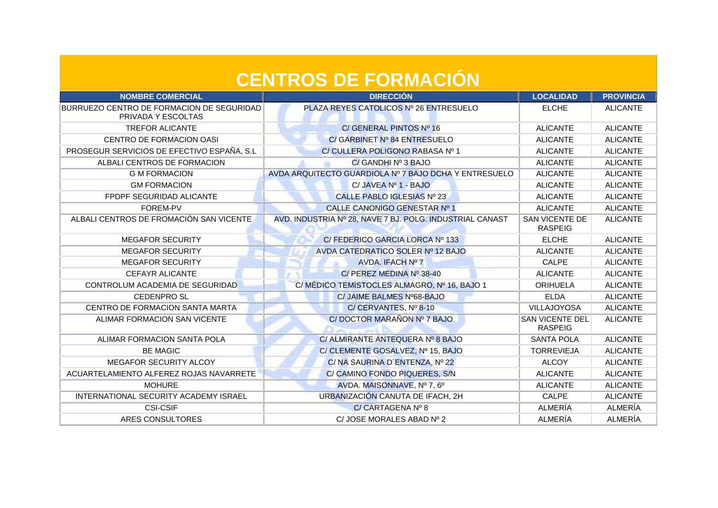| <b>NOMBRE COMERCIAL</b>                                         | <b>DIRECCIÓN</b>                                         | <b>LOCALIDAD</b>                         | <b>PROVINCIA</b> |
|-----------------------------------------------------------------|----------------------------------------------------------|------------------------------------------|------------------|
| BURRUEZO CENTRO DE FORMACION DE SEGURIDAD<br>PRIVADA Y ESCOLTAS | <b>PLAZA REYES CATOLICOS Nº 26 ENTRESUELO</b>            | <b>ELCHE</b>                             | <b>ALICANTE</b>  |
| <b>TREFOR ALICANTE</b>                                          | C/ GENERAL PINTOS Nº 16                                  | <b>ALICANTE</b>                          | <b>ALICANTE</b>  |
| CENTRO DE FORMACION OASI                                        | C/ GARBINET Nº 84 ENTRESUELO                             | <b>ALICANTE</b>                          | <b>ALICANTE</b>  |
| PROSEGUR SERVICIOS DE EFECTIVO ESPAÑA, S.L.                     | C/CULLERA POLIGONO RABASA Nº 1                           | <b>ALICANTE</b>                          | <b>ALICANTE</b>  |
| ALBALI CENTROS DE FORMACION                                     | C/ GANDHI Nº 3 BAJO                                      | <b>ALICANTE</b>                          | <b>ALICANTE</b>  |
| <b>G M FORMACION</b>                                            | AVDA ARQUITECTO GUARDIOLA Nº 7 BAJO DCHA Y ENTRESUELO    | <b>ALICANTE</b>                          | <b>ALICANTE</b>  |
| <b>GM FORMACION</b>                                             | C/ JAVEA Nº 1 - BAJO                                     | <b>ALICANTE</b>                          | <b>ALICANTE</b>  |
| FPDPF SEGURIDAD ALICANTE                                        | CALLE PABLO IGLESIAS Nº 23                               | <b>ALICANTE</b>                          | <b>ALICANTE</b>  |
| FOREM-PV                                                        | CALLE CANONIGO GENESTAR Nº 1                             | <b>ALICANTE</b>                          | <b>ALICANTE</b>  |
| ALBALI CENTROS DE FROMACIÓN SAN VICENTE                         | AVD. INDUSTRIA Nº 28, NAVE 7 BJ. POLG. INDUSTRIAL CANAST | <b>SAN VICENTE DE</b><br><b>RASPEIG</b>  | <b>ALICANTE</b>  |
| <b>MEGAFOR SECURITY</b>                                         | C/ FEDERICO GARCIA LORCA Nº 133                          | <b>ELCHE</b>                             | <b>ALICANTE</b>  |
| <b>MEGAFOR SECURITY</b>                                         | AVDA CATEDRATICO SOLER Nº 12 BAJO                        | <b>ALICANTE</b>                          | <b>ALICANTE</b>  |
| <b>MEGAFOR SECURITY</b>                                         | AVDA. IFACH Nº 7                                         | CALPE                                    | <b>ALICANTE</b>  |
| <b>CEFAYR ALICANTE</b>                                          | C/ PEREZ MEDINA Nº 38-40                                 | <b>ALICANTE</b>                          | <b>ALICANTE</b>  |
| CONTROLUM ACADEMIA DE SEGURIDAD                                 | C/MÉDICO TEMÍSTOCLES ALMAGRO, Nº 16, BAJO 1              | <b>ORIHUELA</b>                          | <b>ALICANTE</b>  |
| <b>CEDENPRO SL</b>                                              | C/ JAIME BALMES Nº68-BAJO                                | <b>ELDA</b>                              | <b>ALICANTE</b>  |
| CENTRO DE FORMACION SANTA MARTA                                 | C/CERVANTES, Nº 8-10                                     | <b>VILLAJOYOSA</b>                       | <b>ALICANTE</b>  |
| ALIMAR FORMACION SAN VICENTE                                    | C/DOCTOR MARAÑON Nº 7 BAJO                               | <b>SAN VICENTE DEL</b><br><b>RASPEIG</b> | <b>ALICANTE</b>  |
| ALIMAR FORMACION SANTA POLA                                     | C/ ALMIRANTE ANTEQUERA Nº 8 BAJO                         | <b>SANTA POLA</b>                        | <b>ALICANTE</b>  |
| <b>BE MAGIC</b>                                                 | C/ CLEMENTE GOSALVEZ, Nº 15, BAJO                        | <b>TORREVIEJA</b>                        | <b>ALICANTE</b>  |
| MEGAFOR SECURITY ALCOY                                          | C/ NA SAURINA D'ENTENZA, Nº 22                           | <b>ALCOY</b>                             | <b>ALICANTE</b>  |
| ACUARTELAMIENTO ALFEREZ ROJAS NAVARRETE                         | C/CAMINO FONDO PIQUERES, S/N                             | <b>ALICANTE</b>                          | <b>ALICANTE</b>  |
| <b>MOHURE</b>                                                   | AVDA. MAISONNAVE, Nº 7, 6º                               | <b>ALICANTE</b>                          | <b>ALICANTE</b>  |
| INTERNATIONAL SECURITY ACADEMY ISRAEL                           | URBANIZACIÓN CANUTA DE IFACH, 2H                         | CALPE                                    | <b>ALICANTE</b>  |
| <b>CSI-CSIF</b>                                                 | C/ CARTAGENA Nº 8                                        | <b>ALMERÍA</b>                           | ALMERÍA          |
| ARES CONSULTORES                                                | C/ JOSE MORALES ABAD Nº 2                                | ALMERÍA                                  | ALMERÍA          |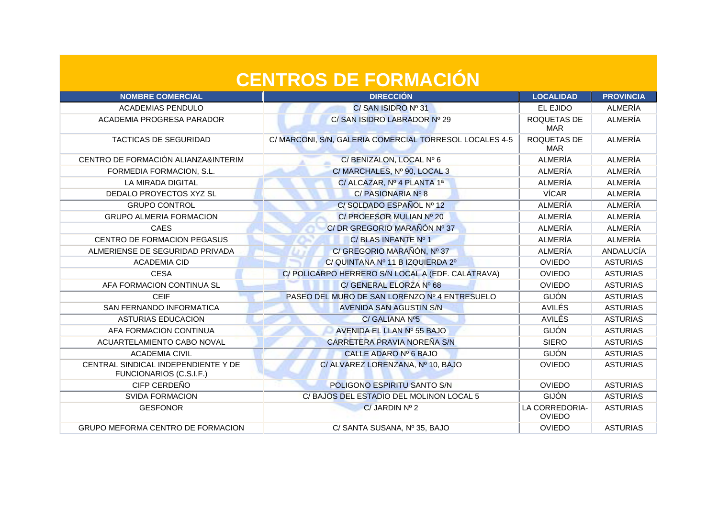| <b>NOMBRE COMERCIAL</b>                                        | <b>DIRECCIÓN</b>                                        | <b>LOCALIDAD</b>                | <b>PROVINCIA</b> |
|----------------------------------------------------------------|---------------------------------------------------------|---------------------------------|------------------|
| <b>ACADEMIAS PENDULO</b>                                       | C/SAN ISIDRO Nº 31                                      | EL EJIDO                        | ALMERÍA          |
| ACADEMIA PROGRESA PARADOR                                      | C/ SAN ISIDRO LABRADOR Nº 29                            | ROQUETAS DE<br><b>MAR</b>       | ALMERÍA          |
| <b>TACTICAS DE SEGURIDAD</b>                                   | C/ MARCONI, S/N, GALERIA COMERCIAL TORRESOL LOCALES 4-5 | ROQUETAS DE<br><b>MAR</b>       | ALMERÍA          |
| CENTRO DE FORMACIÓN ALIANZA&INTERIM                            | C/ BENIZALON, LOCAL Nº 6                                | ALMERÍA                         | ALMERÍA          |
| FORMEDIA FORMACION, S.L.                                       | C/MARCHALES, Nº 90, LOCAL 3                             | ALMERÍA                         | ALMERÍA          |
| LA MIRADA DIGITAL                                              | C/ ALCAZAR, Nº 4 PLANTA 1ª                              | ALMERÍA                         | ALMERÍA          |
| DEDALO PROYECTOS XYZ SL                                        | C/ PASIONARIA Nº 8                                      | <b>VÍCAR</b>                    | ALMERÍA          |
| <b>GRUPO CONTROL</b>                                           | C/SOLDADO ESPAÑOL Nº 12                                 | ALMERÍA                         | ALMERÍA          |
| <b>GRUPO ALMERIA FORMACION</b>                                 | C/ PROFESOR MULIAN Nº 20                                | ALMERÍA                         | ALMERÍA          |
| <b>CAES</b>                                                    | C/DR GREGORIO MARAÑÓN Nº 37                             | ALMERÍA                         | ALMERÍA          |
| CENTRO DE FORMACION PEGASUS                                    | C/BLAS INFANTE Nº 1                                     | ALMERÍA                         | ALMERÍA          |
| ALMERIENSE DE SEGURIDAD PRIVADA                                | C/ GREGORIO MARAÑÓN, Nº 37                              | ALMERÍA                         | ANDALUCÍA        |
| <b>ACADEMIA CID</b>                                            | C/ QUINTANA Nº 11 B IZQUIERDA 2º                        | <b>OVIEDO</b>                   | <b>ASTURIAS</b>  |
| <b>CESA</b>                                                    | C/POLICARPO HERRERO S/N LOCAL A (EDF. CALATRAVA)        | <b>OVIEDO</b>                   | <b>ASTURIAS</b>  |
| AFA FORMACION CONTINUA SL                                      | C/ GENERAL ELORZA Nº 68                                 | <b>OVIEDO</b>                   | <b>ASTURIAS</b>  |
| <b>CEIF</b>                                                    | PASEO DEL MURO DE SAN LORENZO Nº 4 ENTRESUELO           | <b>GIJÓN</b>                    | <b>ASTURIAS</b>  |
| SAN FERNANDO INFORMATICA                                       | <b>AVENIDA SAN AGUSTIN S/N</b>                          | <b>AVILÉS</b>                   | <b>ASTURIAS</b>  |
| <b>ASTURIAS EDUCACION</b>                                      | C/ GALIANA Nº5                                          | <b>AVILÉS</b>                   | <b>ASTURIAS</b>  |
| AFA FORMACION CONTINUA                                         | AVENIDA EL LLAN Nº 55 BAJO                              | <b>GIJÓN</b>                    | <b>ASTURIAS</b>  |
| ACUARTELAMIENTO CABO NOVAL                                     | CARRETERA PRAVIA NOREÑA S/N                             | <b>SIERO</b>                    | <b>ASTURIAS</b>  |
| <b>ACADEMIA CIVIL</b>                                          | CALLE ADARO Nº 6 BAJO                                   | <b>GIJÓN</b>                    | <b>ASTURIAS</b>  |
| CENTRAL SINDICAL INDEPENDIENTE Y DE<br>FUNCIONARIOS (C.S.I.F.) | C/ ALVAREZ LORENZANA, Nº 10, BAJO                       | <b>OVIEDO</b>                   | <b>ASTURIAS</b>  |
| CIFP CERDEÑO                                                   | POLIGONO ESPIRITU SANTO S/N                             | <b>OVIEDO</b>                   | <b>ASTURIAS</b>  |
| <b>SVIDA FORMACION</b>                                         | C/BAJOS DEL ESTADIO DEL MOLINON LOCAL 5                 | <b>GIJÓN</b>                    | <b>ASTURIAS</b>  |
| <b>GESFONOR</b>                                                | $C/$ JARDIN Nº 2                                        | LA CORREDORIA-<br><b>OVIEDO</b> | <b>ASTURIAS</b>  |
| GRUPO MEFORMA CENTRO DE FORMACION                              | C/ SANTA SUSANA, Nº 35, BAJO                            | <b>OVIEDO</b>                   | <b>ASTURIAS</b>  |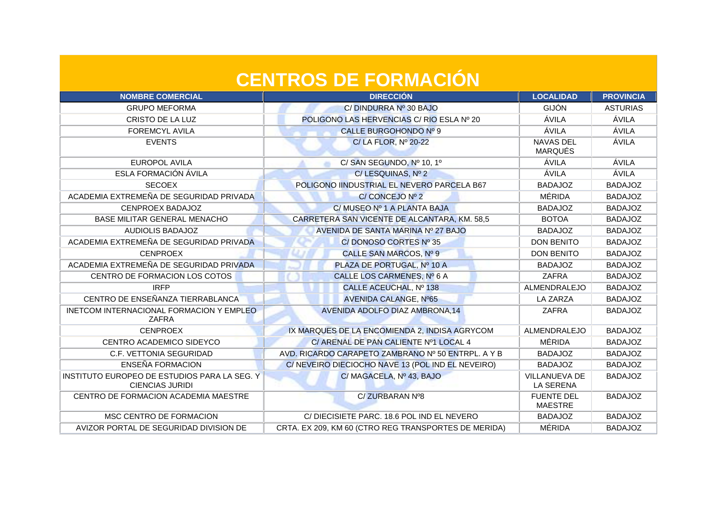| <b>NOMBRE COMERCIAL</b>                                                | <b>DIRECCIÓN</b>                                     | <b>LOCALIDAD</b>                    | <b>PROVINCIA</b> |
|------------------------------------------------------------------------|------------------------------------------------------|-------------------------------------|------------------|
| <b>GRUPO MEFORMA</b>                                                   | C/DINDURRA Nº 30 BAJO                                | <b>GIJÓN</b>                        | <b>ASTURIAS</b>  |
| CRISTO DE LA LUZ                                                       | POLIGONO LAS HERVENCIAS C/ RIO ESLA Nº 20            | ÁVILA                               | ÁVILA            |
| <b>FOREMCYL AVILA</b>                                                  | CALLE BURGOHONDO Nº 9                                | ÁVILA                               | ÁVILA            |
| <b>EVENTS</b>                                                          | C/LA FLOR, Nº 20-22                                  | NAVAS DEL<br><b>MARQUÉS</b>         | ÁVILA            |
| EUROPOL AVILA                                                          | C/SAN SEGUNDO, Nº 10, 1º                             | ÁVILA                               | ÁVILA            |
| ESLA FORMACIÓN ÁVILA                                                   | C/LESQUINAS, Nº 2                                    | ÁVILA                               | ÁVILA            |
| <b>SECOEX</b>                                                          | POLIGONO IINDUSTRIAL EL NEVERO PARCELA B67           | <b>BADAJOZ</b>                      | <b>BADAJOZ</b>   |
| ACADEMIA EXTREMEÑA DE SEGURIDAD PRIVADA                                | C/ CONCEJO Nº 2                                      | MÉRIDA                              | <b>BADAJOZ</b>   |
| CENPROEX BADAJOZ                                                       | C/ MUSEO Nº 1 A PLANTA BAJA                          | <b>BADAJOZ</b>                      | <b>BADAJOZ</b>   |
| <b>BASE MILITAR GENERAL MENACHO</b>                                    | CARRETERA SAN VICENTE DE ALCANTARA, KM. 58,5         | <b>BOTOA</b>                        | <b>BADAJOZ</b>   |
| AUDIOLIS BADAJOZ                                                       | AVENIDA DE SANTA MARINA Nº 27 BAJO                   | <b>BADAJOZ</b>                      | <b>BADAJOZ</b>   |
| ACADEMIA EXTREMEÑA DE SEGURIDAD PRIVADA                                | C/DONOSO CORTES Nº 35                                | <b>DON BENITO</b>                   | <b>BADAJOZ</b>   |
| <b>CENPROEX</b>                                                        | CALLE SAN MARCOS, Nº 9                               | <b>DON BENITO</b>                   | <b>BADAJOZ</b>   |
| ACADEMIA EXTREMEÑA DE SEGURIDAD PRIVADA                                | PLAZA DE PORTUGAL, Nº 10 A                           | <b>BADAJOZ</b>                      | <b>BADAJOZ</b>   |
| CENTRO DE FORMACION LOS COTOS                                          | CALLE LOS CARMENES, Nº 6 A                           | <b>ZAFRA</b>                        | <b>BADAJOZ</b>   |
| <b>IRFP</b>                                                            | CALLE ACEUCHAL, Nº 138                               | ALMENDRALEJO                        | <b>BADAJOZ</b>   |
| CENTRO DE ENSEÑANZA TIERRABLANCA                                       | AVENIDA CALANGE, Nº65                                | <b>LA ZARZA</b>                     | <b>BADAJOZ</b>   |
| INETCOM INTERNACIONAL FORMACION Y EMPLEO<br>ZAFRA                      | <b>AVENIDA ADOLFO DIAZ AMBRONA,14</b>                | <b>ZAFRA</b>                        | <b>BADAJOZ</b>   |
| <b>CENPROEX</b>                                                        | IX MARQUES DE LA ENCOMIENDA 2, INDISA AGRYCOM        | ALMENDRALEJO                        | <b>BADAJOZ</b>   |
| CENTRO ACADEMICO SIDEYCO                                               | C/ ARENAL DE PAN CALIENTE Nº1 LOCAL 4                | MÉRIDA                              | <b>BADAJOZ</b>   |
| C.F. VETTONIA SEGURIDAD                                                | AVD. RICARDO CARAPETO ZAMBRANO Nº 50 ENTRPL. A Y B   | <b>BADAJOZ</b>                      | <b>BADAJOZ</b>   |
| ENSEÑA FORMACION                                                       | C/NEVEIRO DIECIOCHO NAVE 13 (POL IND EL NEVEIRO)     | <b>BADAJOZ</b>                      | <b>BADAJOZ</b>   |
| INSTITUTO EUROPEO DE ESTUDIOS PARA LA SEG. Y<br><b>CIENCIAS JURIDI</b> | C/MAGACELA, Nº 43, BAJO                              | VILLANUEVA DE<br><b>LA SERENA</b>   | <b>BADAJOZ</b>   |
| CENTRO DE FORMACION ACADEMIA MAESTRE                                   | C/ZURBARAN Nº8                                       | <b>FUENTE DEL</b><br><b>MAESTRE</b> | <b>BADAJOZ</b>   |
| MSC CENTRO DE FORMACION                                                | C/DIECISIETE PARC. 18.6 POL IND EL NEVERO            | <b>BADAJOZ</b>                      | <b>BADAJOZ</b>   |
| AVIZOR PORTAL DE SEGURIDAD DIVISION DE                                 | CRTA. EX 209, KM 60 (CTRO REG TRANSPORTES DE MERIDA) | MÉRIDA                              | <b>BADAJOZ</b>   |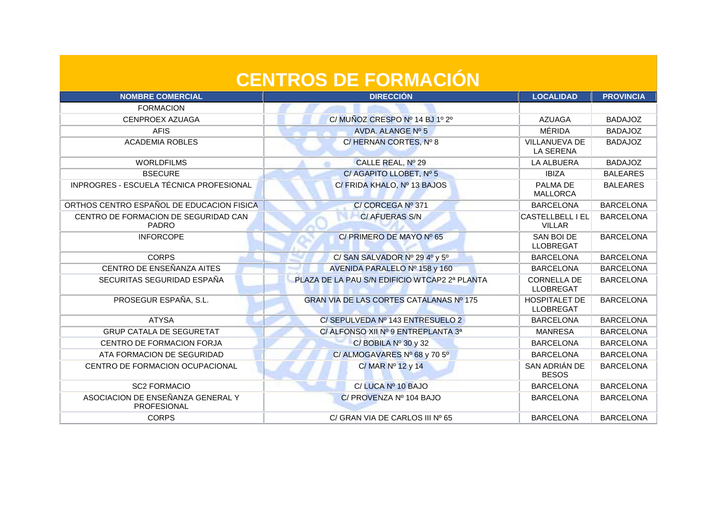| <b>NOMBRE COMERCIAL</b>                                 | <b>DIRECCIÓN</b>                              | <b>LOCALIDAD</b>                         | <b>PROVINCIA</b> |
|---------------------------------------------------------|-----------------------------------------------|------------------------------------------|------------------|
| <b>FORMACION</b>                                        |                                               |                                          |                  |
| CENPROEX AZUAGA                                         | C/MUÑOZ CRESPO Nº 14 BJ 1º 2º                 | <b>AZUAGA</b>                            | <b>BADAJOZ</b>   |
| <b>AFIS</b>                                             | AVDA. ALANGE Nº 5                             | MÉRIDA                                   | <b>BADAJOZ</b>   |
| <b>ACADEMIA ROBLES</b>                                  | C/HERNAN CORTES, Nº 8                         | <b>VILLANUEVA DE</b><br><b>LA SERENA</b> | <b>BADAJOZ</b>   |
| <b>WORLDFILMS</b>                                       | CALLE REAL, Nº 29                             | <b>LA ALBUERA</b>                        | <b>BADAJOZ</b>   |
| <b>BSECURE</b>                                          | C/ AGAPITO LLOBET, Nº 5                       | <b>IBIZA</b>                             | <b>BALEARES</b>  |
| INPROGRES - ESCUELA TÉCNICA PROFESIONAL                 | C/ FRIDA KHALO, Nº 13 BAJOS                   | PALMA DE<br><b>MALLORCA</b>              | <b>BALEARES</b>  |
| ORTHOS CENTRO ESPAÑOL DE EDUCACION FISICA               | C/CORCEGA Nº 371                              | <b>BARCELONA</b>                         | <b>BARCELONA</b> |
| CENTRO DE FORMACION DE SEGURIDAD CAN<br><b>PADRO</b>    | C/ AFUERAS S/N                                | <b>CASTELLBELL I EL</b><br><b>VILLAR</b> | <b>BARCELONA</b> |
| <b>INFORCOPE</b>                                        | C/ PRIMERO DE MAYO Nº 65                      | SAN BOI DE<br><b>LLOBREGAT</b>           | <b>BARCELONA</b> |
| <b>CORPS</b>                                            | C/SAN SALVADOR Nº 29 4º y 5º                  | <b>BARCELONA</b>                         | <b>BARCELONA</b> |
| CENTRO DE ENSEÑANZA AITES                               | AVENIDA PARALELO Nº 158 y 160                 | <b>BARCELONA</b>                         | <b>BARCELONA</b> |
| SECURITAS SEGURIDAD ESPAÑA                              | PLAZA DE LA PAU S/N EDIFICIO WTCAP2 2ª PLANTA | <b>CORNELLA DE</b><br><b>LLOBREGAT</b>   | <b>BARCELONA</b> |
| PROSEGUR ESPAÑA, S.L.                                   | GRAN VIA DE LAS CORTES CATALANAS Nº 175       | <b>HOSPITALET DE</b><br><b>LLOBREGAT</b> | <b>BARCELONA</b> |
| <b>ATYSA</b>                                            | C/SEPULVEDA Nº 143 ENTRESUELO 2               | <b>BARCELONA</b>                         | <b>BARCELONA</b> |
| <b>GRUP CATALA DE SEGURETAT</b>                         | C/ ALFONSO XII Nº 9 ENTREPLANTA 3ª            | <b>MANRESA</b>                           | <b>BARCELONA</b> |
| CENTRO DE FORMACION FORJA                               | $C/$ BOBILA $N^{\circ}$ 30 y 32               | <b>BARCELONA</b>                         | <b>BARCELONA</b> |
| ATA FORMACION DE SEGURIDAD                              | C/ALMOGAVARES Nº 68 y 70 5°                   | <b>BARCELONA</b>                         | <b>BARCELONA</b> |
| CENTRO DE FORMACION OCUPACIONAL                         | C/MAR $N^{\circ}$ 12 y 14                     | SAN ADRIÁN DE<br><b>BESOS</b>            | <b>BARCELONA</b> |
| <b>SC2 FORMACIO</b>                                     | C/LUCA Nº 10 BAJO                             | <b>BARCELONA</b>                         | <b>BARCELONA</b> |
| ASOCIACION DE ENSEÑANZA GENERAL Y<br><b>PROFESIONAL</b> | C/ PROVENZA Nº 104 BAJO                       | <b>BARCELONA</b>                         | <b>BARCELONA</b> |
| <b>CORPS</b>                                            | C/ GRAN VIA DE CARLOS III Nº 65               | <b>BARCELONA</b>                         | <b>BARCELONA</b> |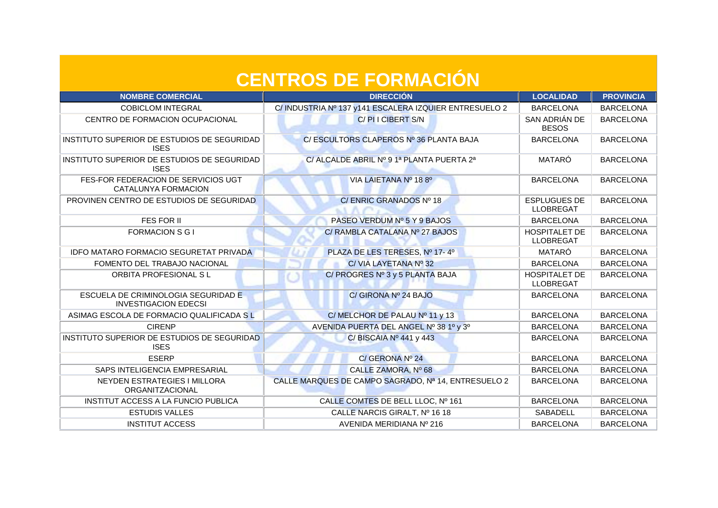| <b>NOMBRE COMERCIAL</b>                                            | <b>DIRECCIÓN</b>                                      | <b>LOCALIDAD</b>                         | <b>PROVINCIA</b> |
|--------------------------------------------------------------------|-------------------------------------------------------|------------------------------------------|------------------|
| <b>COBICLOM INTEGRAL</b>                                           | C/INDUSTRIA Nº 137 y141 ESCALERA IZQUIER ENTRESUELO 2 | <b>BARCELONA</b>                         | <b>BARCELONA</b> |
| CENTRO DE FORMACION OCUPACIONAL                                    | C/PIICIBERT S/N                                       | SAN ADRIÁN DE<br><b>BESOS</b>            | <b>BARCELONA</b> |
| INSTITUTO SUPERIOR DE ESTUDIOS DE SEGURIDAD<br><b>ISES</b>         | C/ESCULTORS CLAPEROS Nº 36 PLANTA BAJA                | <b>BARCELONA</b>                         | <b>BARCELONA</b> |
| INSTITUTO SUPERIOR DE ESTUDIOS DE SEGURIDAD<br><b>ISES</b>         | C/ ALCALDE ABRIL Nº 9 1ª PLANTA PUERTA 2ª             | MATARÓ                                   | <b>BARCELONA</b> |
| FES-FOR FEDERACION DE SERVICIOS UGT<br>CATALUNYA FORMACION         | VIA LAIETANA Nº 188º                                  | <b>BARCELONA</b>                         | <b>BARCELONA</b> |
| PROVINEN CENTRO DE ESTUDIOS DE SEGURIDAD                           | C/ENRIC GRANADOS Nº 18<br>NACES                       | <b>ESPLUGUES DE</b><br><b>LLOBREGAT</b>  | <b>BARCELONA</b> |
| <b>FES FOR II</b>                                                  | PASEO VERDUM Nº 5 Y 9 BAJOS                           | <b>BARCELONA</b>                         | <b>BARCELONA</b> |
| <b>FORMACION S G I</b>                                             | C/ RAMBLA CATALANA Nº 27 BAJOS                        | <b>HOSPITALET DE</b><br><b>LLOBREGAT</b> | <b>BARCELONA</b> |
| <b>IDFO MATARO FORMACIO SEGURETAT PRIVADA</b>                      | PLAZA DE LES TERESES, Nº 17-40                        | MATARÓ                                   | <b>BARCELONA</b> |
| FOMENTO DEL TRABAJO NACIONAL                                       | C/VIA LAYETANA Nº 32                                  | <b>BARCELONA</b>                         | <b>BARCELONA</b> |
| ORBITA PROFESIONAL SL                                              | C/ PROGRES Nº 3 y 5 PLANTA BAJA                       | <b>HOSPITALET DE</b><br><b>LLOBREGAT</b> | <b>BARCELONA</b> |
| ESCUELA DE CRIMINOLOGIA SEGURIDAD E<br><b>INVESTIGACION EDECSI</b> | C/ GIRONA Nº 24 BAJO                                  | <b>BARCELONA</b>                         | <b>BARCELONA</b> |
| ASIMAG ESCOLA DE FORMACIO QUALIFICADA S L                          | C/MELCHOR DE PALAU Nº 11 y 13                         | <b>BARCELONA</b>                         | <b>BARCELONA</b> |
| <b>CIRENP</b>                                                      | AVENIDA PUERTA DEL ANGEL Nº 38 1º y 3º                | <b>BARCELONA</b>                         | <b>BARCELONA</b> |
| INSTITUTO SUPERIOR DE ESTUDIOS DE SEGURIDAD<br><b>ISES</b>         | C/BISCAIA Nº 441 y 443                                | <b>BARCELONA</b>                         | <b>BARCELONA</b> |
| <b>ESERP</b>                                                       | C/ GERONA Nº 24                                       | <b>BARCELONA</b>                         | <b>BARCELONA</b> |
| SAPS INTELIGENCIA EMPRESARIAL                                      | CALLE ZAMORA, Nº 68                                   | <b>BARCELONA</b>                         | <b>BARCELONA</b> |
| <b>NEYDEN ESTRATEGIES I MILLORA</b><br>ORGANITZACIONAL             | CALLE MARQUES DE CAMPO SAGRADO, Nº 14, ENTRESUELO 2   | <b>BARCELONA</b>                         | <b>BARCELONA</b> |
| <b>INSTITUT ACCESS A LA FUNCIO PUBLICA</b>                         | CALLE COMTES DE BELL LLOC, Nº 161                     | <b>BARCELONA</b>                         | <b>BARCELONA</b> |
| <b>ESTUDIS VALLES</b>                                              | CALLE NARCIS GIRALT, Nº 16 18                         | SABADELL                                 | <b>BARCELONA</b> |
| <b>INSTITUT ACCESS</b>                                             | AVENIDA MERIDIANA Nº 216                              | <b>BARCELONA</b>                         | <b>BARCELONA</b> |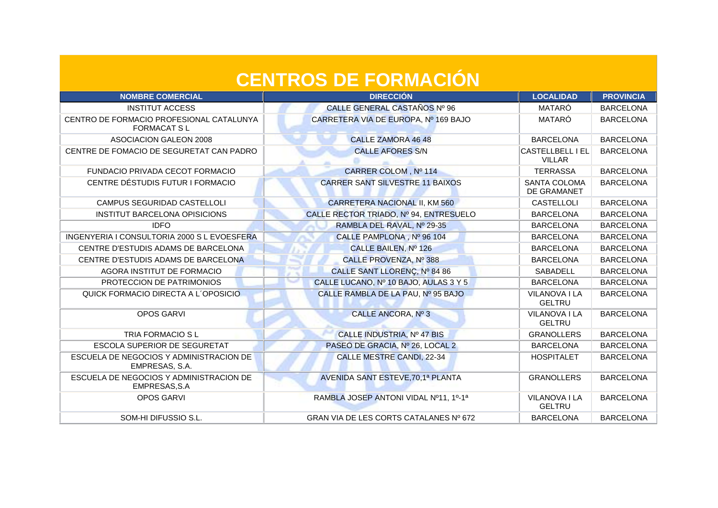| <b>NOMBRE COMERCIAL</b>                                        | <b>DIRECCIÓN</b>                       | <b>LOCALIDAD</b>                         | <b>PROVINCIA</b> |
|----------------------------------------------------------------|----------------------------------------|------------------------------------------|------------------|
| <b>INSTITUT ACCESS</b>                                         | CALLE GENERAL CASTAÑOS Nº 96           | MATARÓ                                   | <b>BARCELONA</b> |
| CENTRO DE FORMACIO PROFESIONAL CATALUNYA<br><b>FORMACAT SL</b> | CARRETERA VIA DE EUROPA, Nº 169 BAJO   | MATARÓ                                   | <b>BARCELONA</b> |
| ASOCIACION GALEON 2008                                         | <b>CALLE ZAMORA 46 48</b>              | <b>BARCELONA</b>                         | <b>BARCELONA</b> |
| CENTRE DE FOMACIO DE SEGURETAT CAN PADRO                       | <b>CALLE AFORES S/N</b>                | <b>CASTELLBELL I EL</b><br><b>VILLAR</b> | <b>BARCELONA</b> |
| <b>FUNDACIO PRIVADA CECOT FORMACIO</b>                         | CARRER COLOM, Nº 114                   | <b>TERRASSA</b>                          | <b>BARCELONA</b> |
| CENTRE DÉSTUDIS FUTUR I FORMACIO                               | <b>CARRER SANT SILVESTRE 11 BAIXOS</b> | <b>SANTA COLOMA</b><br>DE GRAMANET       | <b>BARCELONA</b> |
| CAMPUS SEGURIDAD CASTELLOLI                                    | CARRETERA NACIONAL II, KM 560          | <b>CASTELLOLI</b>                        | <b>BARCELONA</b> |
| <b>INSTITUT BARCELONA OPISICIONS</b>                           | CALLE RECTOR TRIADO, Nº 94, ENTRESUELO | <b>BARCELONA</b>                         | <b>BARCELONA</b> |
| <b>IDFO</b>                                                    | RAMBLA DEL RAVAL, Nº 29-35             | <b>BARCELONA</b>                         | <b>BARCELONA</b> |
| INGENYERIA I CONSULTORIA 2000 S L EVOESFERA                    | CALLE PAMPLONA, Nº 96 104              | <b>BARCELONA</b>                         | <b>BARCELONA</b> |
| CENTRE D'ESTUDIS ADAMS DE BARCELONA                            | CALLE BAILEN, Nº 126                   | <b>BARCELONA</b>                         | <b>BARCELONA</b> |
| CENTRE D'ESTUDIS ADAMS DE BARCELONA                            | CALLE PROVENZA, Nº 388                 | <b>BARCELONA</b>                         | <b>BARCELONA</b> |
| AGORA INSTITUT DE FORMACIO                                     | CALLE SANT LLORENC, Nº 84 86           | <b>SABADELL</b>                          | <b>BARCELONA</b> |
| PROTECCION DE PATRIMONIOS                                      | CALLE LUCANO, Nº 10 BAJO, AULAS 3 Y 5  | <b>BARCELONA</b>                         | <b>BARCELONA</b> |
| QUICK FORMACIO DIRECTA A L'OPOSICIO                            | CALLE RAMBLA DE LA PAU, Nº 95 BAJO     | VILANOVA I LA<br><b>GELTRU</b>           | <b>BARCELONA</b> |
| <b>OPOS GARVI</b>                                              | CALLE ANCORA, Nº 3                     | <b>VILANOVA I LA</b><br><b>GELTRU</b>    | <b>BARCELONA</b> |
| TRIA FORMACIO S L                                              | CALLE INDUSTRIA, Nº 47 BIS             | <b>GRANOLLERS</b>                        | <b>BARCELONA</b> |
| ESCOLA SUPERIOR DE SEGURETAT                                   | PASEO DE GRACIA, Nº 26, LOCAL 2        | <b>BARCELONA</b>                         | <b>BARCELONA</b> |
| ESCUELA DE NEGOCIOS Y ADMINISTRACION DE<br>EMPRESAS, S.A.      | <b>CALLE MESTRE CANDI, 22-34</b>       | <b>HOSPITALET</b>                        | <b>BARCELONA</b> |
| ESCUELA DE NEGOCIOS Y ADMINISTRACION DE<br>EMPRESAS, S.A       | AVENIDA SANT ESTEVE, 70, 1ª PLANTA     | <b>GRANOLLERS</b>                        | <b>BARCELONA</b> |
| <b>OPOS GARVI</b>                                              | RAMBLA JOSEP ANTONI VIDAL Nº11, 1º-1ª  | VILANOVA I LA<br><b>GELTRU</b>           | <b>BARCELONA</b> |
| SOM-HI DIFUSSIO S.L.                                           | GRAN VIA DE LES CORTS CATALANES Nº 672 | <b>BARCELONA</b>                         | <b>BARCELONA</b> |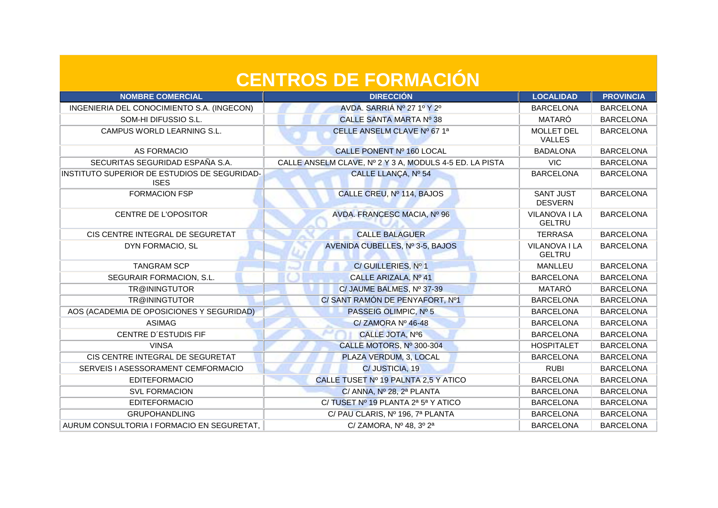| <b>NOMBRE COMERCIAL</b>                                     | <b>DIRECCIÓN</b>                                        | <b>LOCALIDAD</b>                   | <b>PROVINCIA</b> |
|-------------------------------------------------------------|---------------------------------------------------------|------------------------------------|------------------|
| INGENIERIA DEL CONOCIMIENTO S.A. (INGECON)                  | AVDA. SARRIÁ Nº 27 1º Y 2º                              | <b>BARCELONA</b>                   | <b>BARCELONA</b> |
| SOM-HI DIFUSSIO S.L.                                        | CALLE SANTA MARTA Nº 38                                 | MATARÓ                             | <b>BARCELONA</b> |
| CAMPUS WORLD LEARNING S.L.                                  | CELLE ANSELM CLAVE Nº 67 1ª                             | <b>MOLLET DEL</b><br><b>VALLES</b> | <b>BARCELONA</b> |
| <b>AS FORMACIO</b>                                          | CALLE PONENT Nº 160 LOCAL                               | <b>BADALONA</b>                    | <b>BARCELONA</b> |
| SECURITAS SEGURIDAD ESPAÑA S.A.                             | CALLE ANSELM CLAVE, Nº 2 Y 3 A, MODULS 4-5 ED. LA PISTA | <b>VIC</b>                         | <b>BARCELONA</b> |
| INSTITUTO SUPERIOR DE ESTUDIOS DE SEGURIDAD-<br><b>ISES</b> | CALLE LLANÇA, Nº 54                                     | <b>BARCELONA</b>                   | <b>BARCELONA</b> |
| <b>FORMACION FSP</b>                                        | CALLE CREU, Nº 114, BAJOS                               | <b>SANT JUST</b><br><b>DESVERN</b> | <b>BARCELONA</b> |
| CENTRE DE L'OPOSITOR                                        | AVDA. FRANCESC MACIA, Nº 96                             | VILANOVA I LA<br><b>GELTRU</b>     | <b>BARCELONA</b> |
| CIS CENTRE INTEGRAL DE SEGURETAT                            | <b>CALLE BALAGUER</b>                                   | <b>TERRASA</b>                     | <b>BARCELONA</b> |
| DYN FORMACIO, SL                                            | AVENIDA CUBELLES, Nº 3-5, BAJOS                         | VILANOVA I LA<br><b>GELTRU</b>     | <b>BARCELONA</b> |
| <b>TANGRAM SCP</b>                                          | C/GUILLERIES, Nº 1                                      | <b>MANLLEU</b>                     | <b>BARCELONA</b> |
| SEGURAIR FORMACION, S.L.                                    | CALLE ARIZALA, Nº 41                                    | <b>BARCELONA</b>                   | <b>BARCELONA</b> |
| TR@ININGTUTOR                                               | C/ JAUME BALMES, Nº 37-39                               | MATARÓ                             | <b>BARCELONA</b> |
| TR@ININGTUTOR                                               | C/ SANT RAMÓN DE PENYAFORT, Nº1                         | <b>BARCELONA</b>                   | <b>BARCELONA</b> |
| AOS (ACADEMIA DE OPOSICIONES Y SEGURIDAD)                   | PASSEIG OLIMPIC, Nº 5                                   | <b>BARCELONA</b>                   | <b>BARCELONA</b> |
| <b>ASIMAG</b>                                               | C/ZAMORA Nº 46-48                                       | <b>BARCELONA</b>                   | <b>BARCELONA</b> |
| <b>CENTRE D'ESTUDIS FIF</b>                                 | CALLE JOTA, Nº6                                         | <b>BARCELONA</b>                   | <b>BARCELONA</b> |
| <b>VINSA</b>                                                | CALLE MOTORS, Nº 300-304                                | <b>HOSPITALET</b>                  | <b>BARCELONA</b> |
| CIS CENTRE INTEGRAL DE SEGURETAT                            | PLAZA VERDUM, 3, LOCAL                                  | <b>BARCELONA</b>                   | <b>BARCELONA</b> |
| SERVEIS I ASESSORAMENT CEMFORMACIO                          | C/JUSTICIA, 19                                          | <b>RUBI</b>                        | <b>BARCELONA</b> |
| <b>EDITEFORMACIO</b>                                        | CALLE TUSET Nº 19 PALNTA 2,5 Y ATICO                    | <b>BARCELONA</b>                   | <b>BARCELONA</b> |
| <b>SVL FORMACION</b>                                        | C/ ANNA, Nº 28, 2ª PLANTA                               | <b>BARCELONA</b>                   | <b>BARCELONA</b> |
| <b>EDITEFORMACIO</b>                                        | C/TUSET Nº 19 PLANTA 2ª 5ª Y ATICO                      | <b>BARCELONA</b>                   | <b>BARCELONA</b> |
| <b>GRUPOHANDLING</b>                                        | C/ PAU CLARIS, Nº 196, 7ª PLANTA                        | <b>BARCELONA</b>                   | <b>BARCELONA</b> |
| AURUM CONSULTORIA I FORMACIO EN SEGURETAT,                  | C/ ZAMORA, Nº 48, 3º 2ª                                 | <b>BARCELONA</b>                   | <b>BARCELONA</b> |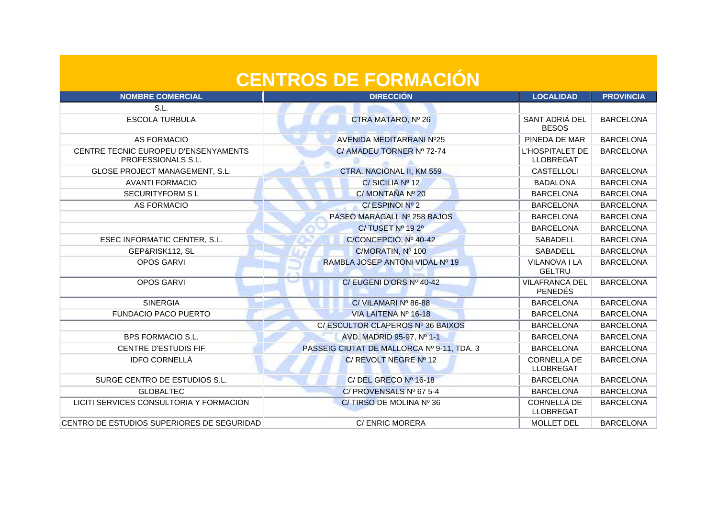| <b>NOMBRE COMERCIAL</b>                                    | <b>DIRECCIÓN</b>                           | <b>LOCALIDAD</b>                        | <b>PROVINCIA</b> |
|------------------------------------------------------------|--------------------------------------------|-----------------------------------------|------------------|
| S.L.                                                       |                                            |                                         |                  |
| <b>ESCOLA TURBULA</b>                                      | CTRA MATARO, Nº 26                         | SANT ADRIÁ DEL<br><b>BESOS</b>          | <b>BARCELONA</b> |
| <b>AS FORMACIO</b>                                         | <b>AVENIDA MEDITARRANI Nº25</b>            | PINEDA DE MAR                           | <b>BARCELONA</b> |
| CENTRE TECNIC EUROPEU D'ENSENYAMENTS<br>PROFESSIONALS S.L. | C/ AMADEU TORNER Nº 72-74                  | L'HOSPITALET DE<br><b>LLOBREGAT</b>     | <b>BARCELONA</b> |
| GLOSE PROJECT MANAGEMENT, S.L.                             | CTRA. NACIONAL II, KM 559                  | CASTELLOLI                              | <b>BARCELONA</b> |
| <b>AVANTI FORMACIO</b>                                     | C/SICILIA Nº 12                            | <b>BADALONA</b>                         | <b>BARCELONA</b> |
| <b>SECURITYFORM SL</b>                                     | C/MONTAÑA Nº 20                            | <b>BARCELONA</b>                        | <b>BARCELONA</b> |
| <b>AS FORMACIO</b>                                         | C/ESPINOI Nº 2                             | <b>BARCELONA</b>                        | <b>BARCELONA</b> |
|                                                            | PASEO MARAGALL Nº 258 BAJOS                | <b>BARCELONA</b>                        | <b>BARCELONA</b> |
|                                                            | C/TUSET Nº 192º                            | <b>BARCELONA</b>                        | <b>BARCELONA</b> |
| ESEC INFORMATIC CENTER, S.L.                               | C/CONCEPCIÓ, Nº 40-42                      | SABADELL                                | <b>BARCELONA</b> |
| GEP&RISK112, SL                                            | C/MORATIN, Nº 100                          | SABADELL                                | <b>BARCELONA</b> |
| OPOS GARVI                                                 | RAMBLA JOSEP ANTONI VIDAL Nº 19            | VILANOVA I LA<br><b>GELTRU</b>          | <b>BARCELONA</b> |
| <b>OPOS GARVI</b>                                          | C/EUGENI D'ORS Nº 40-42                    | <b>VILAFRANCA DEL</b><br><b>PENEDÉS</b> | <b>BARCELONA</b> |
| <b>SINERGIA</b>                                            | C/VILAMARI Nº 86-88                        | <b>BARCELONA</b>                        | <b>BARCELONA</b> |
| <b>FUNDACIO PACO PUERTO</b>                                | VIA LAITENA Nº 16-18                       | <b>BARCELONA</b>                        | <b>BARCELONA</b> |
|                                                            | C/ ESCULTOR CLAPEROS Nº 36 BAIXOS          | <b>BARCELONA</b>                        | <b>BARCELONA</b> |
| <b>BPS FORMACIO S.L.</b>                                   | AVD. MADRID 95-97, Nº 1-1                  | <b>BARCELONA</b>                        | <b>BARCELONA</b> |
| <b>CENTRE D'ESTUDIS FIF</b>                                | PASSEIG CIUTAT DE MALLORCA Nº 9-11, TDA. 3 | <b>BARCELONA</b>                        | <b>BARCELONA</b> |
| <b>IDFO CORNELLÁ</b>                                       | C/ REVOLT NEGRE Nº 12                      | <b>CORNELLA DE</b><br><b>LLOBREGAT</b>  | <b>BARCELONA</b> |
| SURGE CENTRO DE ESTUDIOS S.L.                              | C/DEL GRECO Nº 16-18                       | <b>BARCELONA</b>                        | <b>BARCELONA</b> |
| <b>GLOBALTEC</b>                                           | C/ PROVENSALS Nº 67 5-4                    | <b>BARCELONA</b>                        | <b>BARCELONA</b> |
| LICITI SERVICES CONSULTORIA Y FORMACION                    | C/TIRSO DE MOLINA Nº 36                    | CORNELLÁ DE<br><b>LLOBREGAT</b>         | <b>BARCELONA</b> |
| CENTRO DE ESTUDIOS SUPERIORES DE SEGURIDAD                 | C/ ENRIC MORERA                            | <b>MOLLET DEL</b>                       | <b>BARCELONA</b> |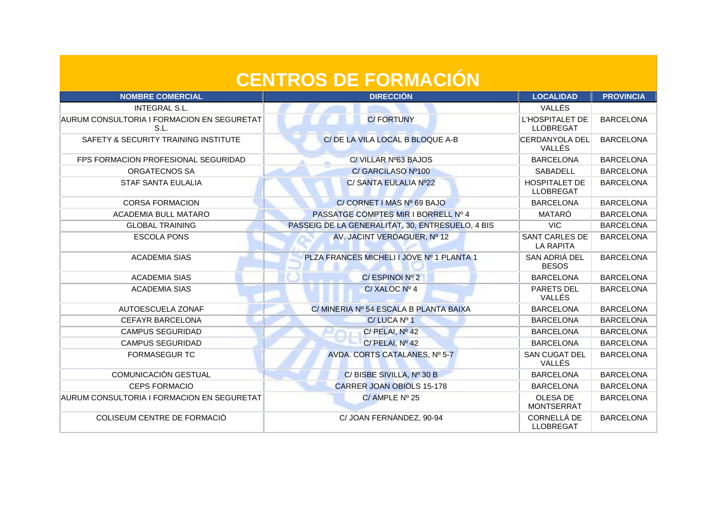| <b>NOMBRE COMERCIAL</b>                            | <b>DIRECCIÓN</b>                                 | <b>LOCALIDAD</b>                           | <b>PROVINCIA</b> |
|----------------------------------------------------|--------------------------------------------------|--------------------------------------------|------------------|
| <b>INTEGRAL S.L.</b>                               |                                                  | VALLÉS                                     |                  |
| AURUM CONSULTORIA I FORMACION EN SEGURETAT<br>S.L. | <b>C/FORTUNY</b>                                 | <b>L'HOSPITALET DE</b><br><b>LLOBREGAT</b> | <b>BARCELONA</b> |
| SAFETY & SECURITY TRAINING INSTITUTE               | C/ DE LA VILA LOCAL B BLOQUE A-B                 | CERDANYOLA DEL<br>VALLÉS                   | <b>BARCELONA</b> |
| FPS FORMACION PROFESIONAL SEGURIDAD                | C/VILLAR Nº63 BAJOS                              | <b>BARCELONA</b>                           | <b>BARCELONA</b> |
| ORGATECNOS SA                                      | C/ GARCILASO Nº100                               | <b>SABADELL</b>                            | <b>BARCELONA</b> |
| <b>STAF SANTA EULALIA</b>                          | C/ SANTA EULALIA Nº22                            | <b>HOSPITALET DE</b><br><b>LLOBREGAT</b>   | <b>BARCELONA</b> |
| <b>CORSA FORMACION</b>                             | C/CORNET I MAS Nº 69 BAJO                        | <b>BARCELONA</b>                           | <b>BARCELONA</b> |
| <b>ACADEMIA BULL MATARO</b>                        | PASSATGE COMPTES MIR I BORRELL Nº 4              | MATARÓ                                     | <b>BARCELONA</b> |
| <b>GLOBAL TRAINING</b>                             | PASSEIG DE LA GENERALITAT, 30, ENTRESUELO, 4 BIS | <b>VIC</b>                                 | <b>BARCELONA</b> |
| <b>ESCOLA PONS</b>                                 | AV. JACINT VERDAGUER, Nº 12                      | <b>SANT CARLES DE</b><br><b>LA RAPITA</b>  | <b>BARCELONA</b> |
| <b>ACADEMIA SIAS</b>                               | PLZA FRANCES MICHELI I JOVE Nº 1 PLANTA 1        | SAN ADRIÁ DEL<br><b>BESOS</b>              | <b>BARCELONA</b> |
| <b>ACADEMIA SIAS</b>                               | C/ESPINOI Nº 2                                   | <b>BARCELONA</b>                           | <b>BARCELONA</b> |
| <b>ACADEMIA SIAS</b>                               | C/XALOC Nº 4                                     | PARETS DEL<br>VALLÉS                       | <b>BARCELONA</b> |
| <b>AUTOESCUELA ZONAF</b>                           | C/ MINERIA Nº 54 ESCALA B PLANTA BAIXA           | <b>BARCELONA</b>                           | <b>BARCELONA</b> |
| <b>CEFAYR BARCELONA</b>                            | C/LUCA Nº 1                                      | <b>BARCELONA</b>                           | <b>BARCELONA</b> |
| <b>CAMPUS SEGURIDAD</b>                            | C/ PELAI, Nº 42                                  | <b>BARCELONA</b>                           | <b>BARCELONA</b> |
| <b>CAMPUS SEGURIDAD</b>                            | C/PELAI, Nº 42                                   | <b>BARCELONA</b>                           | <b>BARCELONA</b> |
| <b>FORMASEGUR TC</b>                               | AVDA. CORTS CATALANES, Nº 5-7                    | <b>SAN CUGAT DEL</b><br>VALLÉS             | <b>BARCELONA</b> |
| COMUNICACIÓN GESTUAL                               | C/BISBE SIVILLA, Nº 30 B                         | <b>BARCELONA</b>                           | <b>BARCELONA</b> |
| <b>CEPS FORMACIO</b>                               | <b>CARRER JOAN OBIOLS 15-178</b>                 | <b>BARCELONA</b>                           | <b>BARCELONA</b> |
| AURUM CONSULTORIA I FORMACION EN SEGURETAT         | C/ AMPLE Nº 25                                   | OLESA DE<br><b>MONTSERRAT</b>              | <b>BARCELONA</b> |
| COLISEUM CENTRE DE FORMACIÓ                        | C/ JOAN FERNÁNDEZ, 90-94                         | <b>CORNELLÁ DE</b><br><b>LLOBREGAT</b>     | <b>BARCELONA</b> |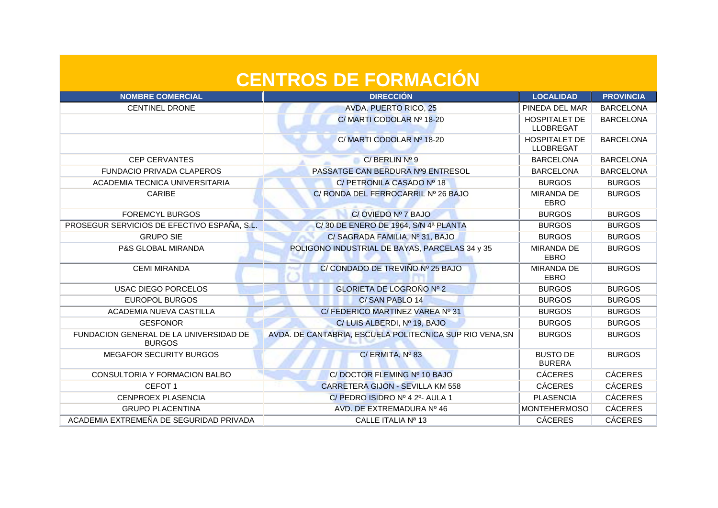| <b>CENTROS DE FORMACIÓN</b>                             |                                                          |                                          |                  |
|---------------------------------------------------------|----------------------------------------------------------|------------------------------------------|------------------|
| <b>NOMBRE COMERCIAL</b>                                 | <b>DIRECCIÓN</b>                                         | <b>LOCALIDAD</b>                         | <b>PROVINCIA</b> |
| <b>CENTINEL DRONE</b>                                   | <b>AVDA. PUERTO RICO, 25</b>                             | PINEDA DEL MAR                           | <b>BARCELONA</b> |
|                                                         | C/ MARTI CODOLAR Nº 18-20                                | <b>HOSPITALET DE</b><br><b>LLOBREGAT</b> | <b>BARCELONA</b> |
|                                                         | C/ MARTI CODOLAR Nº 18-20                                | <b>HOSPITALET DE</b><br><b>LLOBREGAT</b> | <b>BARCELONA</b> |
| <b>CEP CERVANTES</b>                                    | $C/$ BERLIN $N^{\circ}$ 9                                | <b>BARCELONA</b>                         | <b>BARCELONA</b> |
| <b>FUNDACIO PRIVADA CLAPEROS</b>                        | PASSATGE CAN BERDURA Nº9 ENTRESOL                        | <b>BARCELONA</b>                         | <b>BARCELONA</b> |
| ACADEMIA TECNICA UNIVERSITARIA                          | C/ PETRONILA CASADO Nº 18                                | <b>BURGOS</b>                            | <b>BURGOS</b>    |
| CARIBE                                                  | C/ RONDA DEL FERROCARRIL Nº 26 BAJO                      | MIRANDA DE<br><b>EBRO</b>                | <b>BURGOS</b>    |
| <b>FOREMCYL BURGOS</b>                                  | C/OVIEDO Nº 7 BAJO                                       | <b>BURGOS</b>                            | <b>BURGOS</b>    |
| PROSEGUR SERVICIOS DE EFECTIVO ESPAÑA, S.L.             | C/30 DE ENERO DE 1964, S/N 4ª PLANTA                     | <b>BURGOS</b>                            | <b>BURGOS</b>    |
| <b>GRUPO SIE</b>                                        | C/SAGRADA FAMILIA, Nº 31, BAJO                           | <b>BURGOS</b>                            | <b>BURGOS</b>    |
| <b>P&amp;S GLOBAL MIRANDA</b>                           | POLIGONO INDUSTRIAL DE BAYAS, PARCELAS 34 y 35           | <b>MIRANDA DE</b><br><b>EBRO</b>         | <b>BURGOS</b>    |
| <b>CEMI MIRANDA</b>                                     | C/ CONDADO DE TREVIÑO Nº 25 BAJO                         | <b>MIRANDA DE</b><br><b>EBRO</b>         | <b>BURGOS</b>    |
| <b>USAC DIEGO PORCELOS</b>                              | <b>GLORIETA DE LOGROÑO Nº 2</b>                          | <b>BURGOS</b>                            | <b>BURGOS</b>    |
| <b>EUROPOL BURGOS</b>                                   | C/SAN PABLO 14                                           | <b>BURGOS</b>                            | <b>BURGOS</b>    |
| ACADEMIA NUEVA CASTILLA                                 | C/ FEDERICO MARTINEZ VAREA Nº 31                         | <b>BURGOS</b>                            | <b>BURGOS</b>    |
| <b>GESFONOR</b>                                         | C/ LUIS ALBERDI, Nº 19, BAJO                             | <b>BURGOS</b>                            | <b>BURGOS</b>    |
| FUNDACION GENERAL DE LA UNIVERSIDAD DE<br><b>BURGOS</b> | AVDA. DE CANTABRIA, ESCUELA POLITECNICA SUP RIO VENA, SN | <b>BURGOS</b>                            | <b>BURGOS</b>    |
| <b>MEGAFOR SECURITY BURGOS</b>                          | C/ ERMITA, Nº 83                                         | <b>BUSTO DE</b><br><b>BURERA</b>         | <b>BURGOS</b>    |
| CONSULTORIA Y FORMACION BALBO                           | C/DOCTOR FLEMING Nº 10 BAJO                              | <b>CÁCERES</b>                           | <b>CÁCERES</b>   |
| CEFOT <sub>1</sub>                                      | <b>CARRETERA GIJON - SEVILLA KM 558</b>                  | <b>CÁCERES</b>                           | <b>CÁCERES</b>   |
| CENPROEX PLASENCIA                                      | C/ PEDRO ISIDRO Nº 4 2º- AULA 1                          | <b>PLASENCIA</b>                         | <b>CÁCERES</b>   |
| <b>GRUPO PLACENTINA</b>                                 | AVD. DE EXTREMADURA Nº 46                                | <b>MONTEHERMOSO</b>                      | <b>CÁCERES</b>   |
| ACADEMIA EXTREMEÑA DE SEGURIDAD PRIVADA                 | CALLE ITALIA Nº 13                                       | <b>CÁCERES</b>                           | <b>CÁCERES</b>   |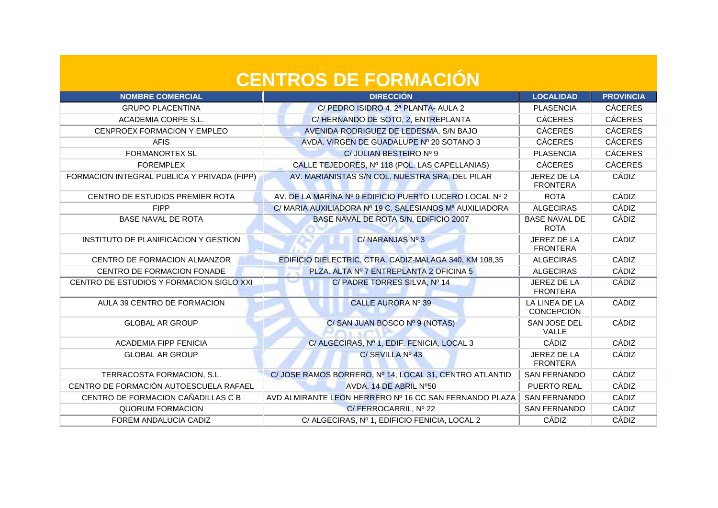| <b>NOMBRE COMERCIAL</b>                     | <b>DIRECCIÓN</b>                                        | <b>LOCALIDAD</b>                    | <b>PROVINCIA</b> |
|---------------------------------------------|---------------------------------------------------------|-------------------------------------|------------------|
| <b>GRUPO PLACENTINA</b>                     | C/ PEDRO ISIDRO 4, 2ª PLANTA- AULA 2                    | <b>PLASENCIA</b>                    | <b>CÁCERES</b>   |
| ACADEMIA CORPE S.L.                         | C/HERNANDO DE SOTO, 2, ENTREPLANTA                      | <b>CÁCERES</b>                      | <b>CÁCERES</b>   |
| CENPROEX FORMACION Y EMPLEO                 | AVENIDA RODRIGUEZ DE LEDESMA, S/N BAJO                  | <b>CÁCERES</b>                      | <b>CÁCERES</b>   |
| <b>AFIS</b>                                 | AVDA. VIRGEN DE GUADALUPE Nº 20 SOTANO 3                | <b>CÁCERES</b>                      | <b>CÁCERES</b>   |
| <b>FORMANORTEX SL</b>                       | C/ JULIAN BESTEIRO Nº 9                                 | <b>PLASENCIA</b>                    | <b>CÁCERES</b>   |
| <b>FOREMPLEX</b>                            | CALLE TEJEDORES, Nº 118 (POL. LAS CAPELLANIAS)          | <b>CÁCERES</b>                      | <b>CÁCERES</b>   |
| FORMACION INTEGRAL PUBLICA Y PRIVADA (FIPP) | AV. MARIANISTAS S/N COL. NUESTRA SRA. DEL PILAR         | JEREZ DE LA<br><b>FRONTERA</b>      | CÁDIZ            |
| CENTRO DE ESTUDIOS PREMIER ROTA             | AV. DE LA MARINA Nº 9 EDIFICIO PUERTO LUCERO LOCAL Nº 2 | <b>ROTA</b>                         | <b>CÁDIZ</b>     |
| <b>FIPP</b>                                 | C/ MARIA AUXILIADORA Nº 19 C. SALESIANOS Mª AUXILIADORA | <b>ALGECIRAS</b>                    | CÁDIZ            |
| <b>BASE NAVAL DE ROTA</b>                   | BASE NAVAL DE ROTA S/N, EDIFICIO 2007                   | <b>BASE NAVAL DE</b><br><b>ROTA</b> | CÁDIZ            |
| INSTITUTO DE PLANIFICACION Y GESTION        | C/NARANJAS Nº 3                                         | JEREZ DE LA<br><b>FRONTERA</b>      | CÁDIZ            |
| CENTRO DE FORMACION ALMANZOR                | EDIFICIO DIELECTRIC, CTRA. CADIZ-MALAGA 340, KM 108,35  | <b>ALGECIRAS</b>                    | CÁDIZ            |
| CENTRO DE FORMACION FONADE                  | PLZA. ALTA Nº 7 ENTREPLANTA 2 OFICINA 5                 | <b>ALGECIRAS</b>                    | CÁDIZ            |
| CENTRO DE ESTUDIOS Y FORMACION SIGLO XXI    | C/ PADRE TORRES SILVA, Nº 14                            | JEREZ DE LA<br><b>FRONTERA</b>      | CÁDIZ            |
| AULA 39 CENTRO DE FORMACION                 | <b>CALLE AURORA Nº 39</b>                               | LA LINEA DE LA<br><b>CONCEPCIÓN</b> | CÁDIZ            |
| <b>GLOBAL AR GROUP</b>                      | C/SAN JUAN BOSCO Nº 9 (NOTAS)                           | SAN JOSE DEL<br>VALLE               | CÁDIZ            |
| <b>ACADEMIA FIPP FENICIA</b>                | C/ ALGECIRAS, Nº 1, EDIF. FENICIA, LOCAL 3              | CÁDIZ                               | CÁDIZ            |
| <b>GLOBAL AR GROUP</b>                      | C/SEVILLA Nº 43                                         | JEREZ DE LA<br><b>FRONTERA</b>      | CÁDIZ            |
| TERRACOSTA FORMACION, S.L.                  | C/ JOSE RAMOS BORRERO, Nº 14, LOCAL 31, CENTRO ATLANTID | <b>SAN FERNANDO</b>                 | CÁDIZ            |
| CENTRO DE FORMACIÓN AUTOESCUELA RAFAEL      | AVDA, 14 DE ABRIL Nº50                                  | PUERTO REAL                         | CÁDIZ            |
| CENTRO DE FORMACION CAÑADILLAS C B          | AVD ALMIRANTE LEON HERRERO Nº 16 CC SAN FERNANDO PLAZA  | <b>SAN FERNANDO</b>                 | CÁDIZ            |
| <b>QUORUM FORMACION</b>                     | C/FERROCARRIL, Nº 22                                    | <b>SAN FERNANDO</b>                 | CÁDIZ            |
| FOREM ANDALUCIA CADIZ                       | C/ ALGECIRAS, Nº 1, EDIFICIO FENICIA, LOCAL 2           | CÁDIZ                               | CÁDIZ            |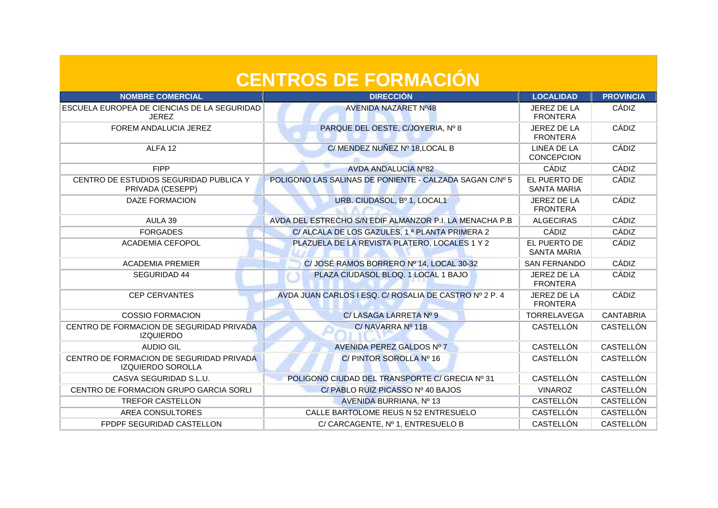| <b>NOMBRE COMERCIAL</b>                                              | <b>DIRECCIÓN</b>                                          | <b>LOCALIDAD</b>                        | <b>PROVINCIA</b> |
|----------------------------------------------------------------------|-----------------------------------------------------------|-----------------------------------------|------------------|
| <b>ESCUELA EUROPEA DE CIENCIAS DE LA SEGURIDAD</b><br><b>JEREZ</b>   | AVENIDA NAZARET Nº48                                      | JEREZ DE LA<br><b>FRONTERA</b>          | CÁDIZ            |
| FOREM ANDALUCIA JEREZ                                                | PARQUE DEL OESTE, C/JOYERIA, Nº 8                         | JEREZ DE LA<br><b>FRONTERA</b>          | CÁDIZ            |
| ALFA <sub>12</sub>                                                   | C/MENDEZ NUÑEZ Nº 18, LOCAL B                             | <b>LINEA DE LA</b><br><b>CONCEPCION</b> | CÁDIZ            |
| <b>FIPP</b>                                                          | AVDA ANDALUCIA Nº82                                       | CÁDIZ                                   | CÁDIZ            |
| CENTRO DE ESTUDIOS SEGURIDAD PUBLICA Y<br>PRIVADA (CESEPP)           | POLIGONO LAS SALINAS DE PONIENTE - CALZADA SAGAN C/Nº 5   | EL PUERTO DE<br><b>SANTA MARIA</b>      | CÁDIZ            |
| <b>DAZE FORMACION</b>                                                | URB. CIUDASOL, Bº 1, LOCAL1                               | JEREZ DE LA<br><b>FRONTERA</b>          | CÁDIZ            |
| AULA 39                                                              | AVDA DEL ESTRECHO S/N EDIF ALMANZOR P.I. LA MENACHA P.B.  | <b>ALGECIRAS</b>                        | CÁDIZ            |
| <b>FORGADES</b>                                                      | C/ ALCALA DE LOS GAZULES, 1 <sup>ª</sup> PLANTA PRIMERA 2 | CÁDIZ                                   | CÁDIZ            |
| <b>ACADEMIA CEFOPOL</b>                                              | PLAZUELA DE LA REVISTA PLATERO, LOCALES 1 Y 2             | EL PUERTO DE<br><b>SANTA MARIA</b>      | CÁDIZ            |
| <b>ACADEMIA PREMIER</b>                                              | C/ JOSÉ RAMOS BORRERO Nº 14, LOCAL 30-32                  | <b>SAN FERNANDO</b>                     | CÁDIZ            |
| SEGURIDAD 44                                                         | PLAZA CIUDASOL BLOQ. 1 LOCAL 1 BAJO                       | JEREZ DE LA<br><b>FRONTERA</b>          | CÁDIZ            |
| <b>CEP CERVANTES</b>                                                 | AVDA JUAN CARLOS I ESQ. C/ ROSALIA DE CASTRO Nº 2 P. 4    | JEREZ DE LA<br><b>FRONTERA</b>          | CÁDIZ            |
| <b>COSSIO FORMACION</b>                                              | C/ LASAGA LARRETA Nº 9                                    | <b>TORRELAVEGA</b>                      | <b>CANTABRIA</b> |
| CENTRO DE FORMACION DE SEGURIDAD PRIVADA<br><b>IZQUIERDO</b>         | C/NAVARRA Nº 118                                          | CASTELLÓN                               | CASTELLÓN        |
| <b>AUDIO GIL</b>                                                     | AVENIDA PEREZ GALDOS Nº 7                                 | CASTELLÓN                               | CASTELLÓN        |
| CENTRO DE FORMACION DE SEGURIDAD PRIVADA<br><b>IZQUIERDO SOROLLA</b> | C/PINTOR SOROLLA Nº 16                                    | CASTELLÓN                               | CASTELLÓN        |
| CASVA SEGURIDAD S.L.U.                                               | POLIGONO CIUDAD DEL TRANSPORTE C/ GRECIA Nº 31            | CASTELLÓN                               | CASTELLÓN        |
| CENTRO DE FORMACION GRUPO GARCIA SORLI                               | C/PABLO RUIZ PICASSO Nº 40 BAJOS                          | <b>VINAROZ</b>                          | CASTELLÓN        |
| <b>TREFOR CASTELLON</b>                                              | AVENIDA BURRIANA, Nº 13                                   | CASTELLÓN                               | CASTELLÓN        |
| AREA CONSULTORES                                                     | CALLE BARTOLOME REUS N 52 ENTRESUELO                      | <b>CASTELLÓN</b>                        | <b>CASTELLÓN</b> |
| FPDPF SEGURIDAD CASTELLON                                            | C/CARCAGENTE, Nº 1, ENTRESUELO B                          | CASTELLÓN                               | <b>CASTELLÓN</b> |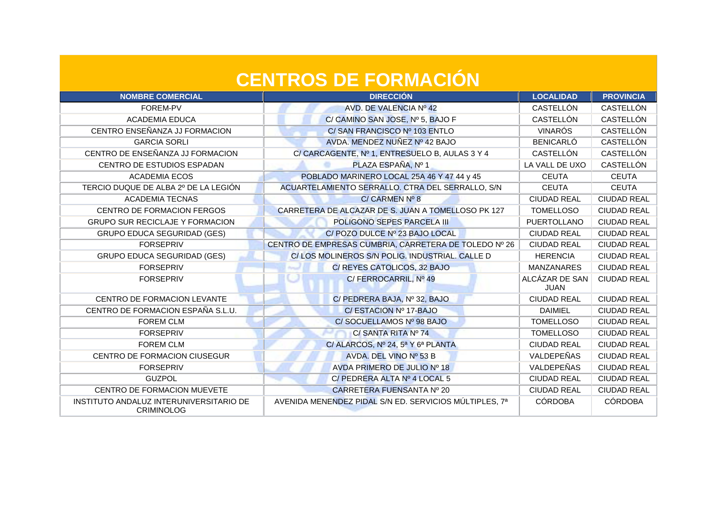| <b>NOMBRE COMERCIAL</b>                                      | <b>DIRECCIÓN</b>                                       | <b>LOCALIDAD</b>              | <b>PROVINCIA</b>   |
|--------------------------------------------------------------|--------------------------------------------------------|-------------------------------|--------------------|
| FOREM-PV                                                     | AVD. DE VALENCIA Nº 42                                 | CASTELLÓN                     | CASTELLÓN          |
| <b>ACADEMIA EDUCA</b>                                        | C/ CAMINO SAN JOSE, Nº 5, BAJO F                       | CASTELLÓN                     | CASTELLÓN          |
| CENTRO ENSEÑANZA JJ FORMACION                                | C/SAN FRANCISCO Nº 103 ENTLO                           | <b>VINARÓS</b>                | CASTELLÓN          |
| <b>GARCIA SORLI</b>                                          | AVDA. MENDEZ NUÑEZ Nº 42 BAJO                          | <b>BENICARLÓ</b>              | CASTELLÓN          |
| CENTRO DE ENSEÑANZA JJ FORMACION                             | C/CARCAGENTE, Nº 1, ENTRESUELO B, AULAS 3 Y 4          | CASTELLÓN                     | CASTELLÓN          |
| CENTRO DE ESTUDIOS ESPADAN                                   | PLAZA ESPAÑA, Nº 1                                     | LA VALL DE UXO                | CASTELLÓN          |
| <b>ACADEMIA ECOS</b>                                         | POBLADO MARINERO LOCAL 25A 46 Y 47 44 y 45             | <b>CEUTA</b>                  | <b>CEUTA</b>       |
| TERCIO DUQUE DE ALBA 2º DE LA LEGIÓN                         | ACUARTELAMIENTO SERRALLO. CTRA DEL SERRALLO, S/N       | <b>CEUTA</b>                  | <b>CEUTA</b>       |
| <b>ACADEMIA TECNAS</b>                                       | C/CARMEN N <sup>o</sup> 8                              | <b>CIUDAD REAL</b>            | <b>CIUDAD REAL</b> |
| CENTRO DE FORMACION FERGOS                                   | CARRETERA DE ALCAZAR DE S. JUAN A TOMELLOSO PK 127     | <b>TOMELLOSO</b>              | <b>CIUDAD REAL</b> |
| <b>GRUPO SUR RECICLAJE Y FORMACION</b>                       | POLIGONO SEPES PARCELA III                             | PUERTOLLANO                   | <b>CIUDAD REAL</b> |
| <b>GRUPO EDUCA SEGURIDAD (GES)</b>                           | C/ POZO DULCE Nº 23 BAJO LOCAL                         | <b>CIUDAD REAL</b>            | <b>CIUDAD REAL</b> |
| <b>FORSEPRIV</b>                                             | CENTRO DE EMPRESAS CUMBRIA, CARRETERA DE TOLEDO Nº 26  | <b>CIUDAD REAL</b>            | <b>CIUDAD REAL</b> |
| <b>GRUPO EDUCA SEGURIDAD (GES)</b>                           | C/LOS MOLINEROS S/N POLIG. INDUSTRIAL. CALLE D         | <b>HERENCIA</b>               | <b>CIUDAD REAL</b> |
| <b>FORSEPRIV</b>                                             | C/ REYES CATOLICOS, 32 BAJO                            | <b>MANZANARES</b>             | <b>CIUDAD REAL</b> |
| <b>FORSEPRIV</b>                                             | C/FERROCARRIL, Nº 49                                   | ALCÁZAR DE SAN<br><b>JUAN</b> | <b>CIUDAD REAL</b> |
| CENTRO DE FORMACION LEVANTE                                  | C/ PEDRERA BAJA, Nº 32, BAJO                           | <b>CIUDAD REAL</b>            | <b>CIUDAD REAL</b> |
| CENTRO DE FORMACION ESPAÑA S.L.U.                            | C/ESTACION Nº 17-BAJO                                  | <b>DAIMIEL</b>                | <b>CIUDAD REAL</b> |
| <b>FOREM CLM</b>                                             | C/ SOCUELLAMOS Nº 98 BAJO                              | <b>TOMELLOSO</b>              | <b>CIUDAD REAL</b> |
| <b>FORSEPRIV</b>                                             | C/SANTA RITA Nº 74                                     | <b>TOMELLOSO</b>              | <b>CIUDAD REAL</b> |
| <b>FOREM CLM</b>                                             | C/ ALARCOS, Nº 24, 5ª Y 6ª PLANTA                      | <b>CIUDAD REAL</b>            | <b>CIUDAD REAL</b> |
| CENTRO DE FORMACION CIUSEGUR                                 | AVDA. DEL VINO Nº 53 B                                 | VALDEPEÑAS                    | <b>CIUDAD REAL</b> |
| <b>FORSEPRIV</b>                                             | AVDA PRIMERO DE JULIO Nº 18                            | <b>VALDEPEÑAS</b>             | <b>CIUDAD REAL</b> |
| <b>GUZPOL</b>                                                | C/ PEDRERA ALTA Nº 4 LOCAL 5                           | <b>CIUDAD REAL</b>            | <b>CIUDAD REAL</b> |
| CENTRO DE FORMACION MUEVETE                                  | CARRETERA FUENSANTA Nº 20                              | <b>CIUDAD REAL</b>            | <b>CIUDAD REAL</b> |
| INSTITUTO ANDALUZ INTERUNIVERSITARIO DE<br><b>CRIMINOLOG</b> | AVENIDA MENENDEZ PIDAL S/N ED. SERVICIOS MÚLTIPLES, 7ª | <b>CÓRDOBA</b>                | <b>CÓRDOBA</b>     |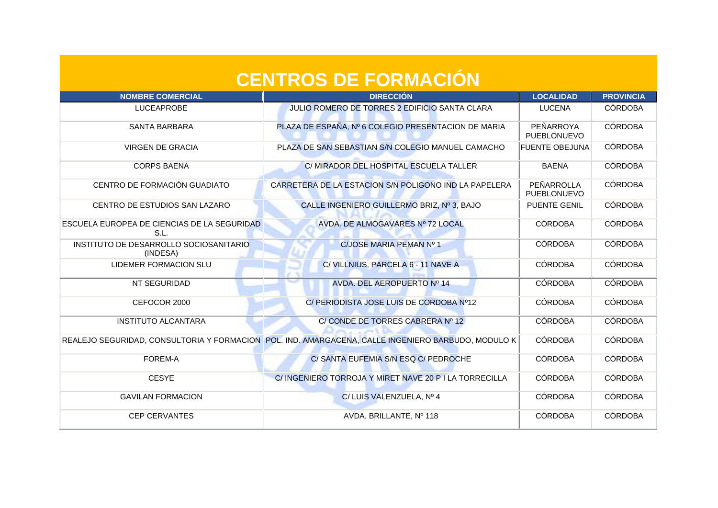| <b>NOMBRE COMERCIAL</b>                             | <b>DIRECCIÓN</b>                                                                                     | <b>LOCALIDAD</b>          | <b>PROVINCIA</b> |
|-----------------------------------------------------|------------------------------------------------------------------------------------------------------|---------------------------|------------------|
| <b>LUCEAPROBE</b>                                   | JULIO ROMERO DE TORRES 2 EDIFICIO SANTA CLARA                                                        | <b>LUCENA</b>             | <b>CÓRDOBA</b>   |
| <b>SANTA BARBARA</b>                                | PLAZA DE ESPAÑA, Nº 6 COLEGIO PRESENTACION DE MARIA                                                  | PEÑARROYA<br>PUEBLONUEVO  | <b>CÓRDOBA</b>   |
| <b>VIRGEN DE GRACIA</b>                             | PLAZA DE SAN SEBASTIAN S/N COLEGIO MANUEL CAMACHO                                                    | <b>FUENTE OBEJUNA</b>     | <b>CÓRDOBA</b>   |
| <b>CORPS BAENA</b>                                  | C/ MIRADOR DEL HOSPITAL ESCUELA TALLER                                                               | <b>BAENA</b>              | <b>CÓRDOBA</b>   |
| CENTRO DE FORMACIÓN GUADIATO                        | CARRETERA DE LA ESTACION S/N POLIGONO IND LA PAPELERA                                                | PEÑARROLLA<br>PUEBLONUEVO | <b>CÓRDOBA</b>   |
| CENTRO DE ESTUDIOS SAN LAZARO                       | CALLE INGENIERO GUILLERMO BRIZ, Nº 3, BAJO                                                           | <b>PUENTE GENIL</b>       | <b>CÓRDOBA</b>   |
| ESCUELA EUROPEA DE CIENCIAS DE LA SEGURIDAD<br>S.L. | AVDA. DE ALMOGAVARES Nº 72 LOCAL                                                                     | <b>CÓRDOBA</b>            | <b>CÓRDOBA</b>   |
| INSTITUTO DE DESARROLLO SOCIOSANITARIO<br>(INDESA)  | C/JOSE MARIA PEMAN Nº 1                                                                              | <b>CÓRDOBA</b>            | <b>CÓRDOBA</b>   |
| LIDEMER FORMACION SLU                               | C/ VILLNIUS, PARCELA 6 - 11 NAVE A                                                                   | <b>CÓRDOBA</b>            | <b>CÓRDOBA</b>   |
| NT SEGURIDAD                                        | AVDA. DEL AEROPUERTO Nº 14                                                                           | <b>CÓRDOBA</b>            | <b>CÓRDOBA</b>   |
| CEFOCOR 2000                                        | C/ PERIODISTA JOSE LUIS DE CORDOBA Nº12                                                              | <b>CÓRDOBA</b>            | <b>CÓRDOBA</b>   |
| <b>INSTITUTO ALCANTARA</b>                          | C/CONDE DE TORRES CABRERA Nº 12                                                                      | <b>CÓRDOBA</b>            | <b>CÓRDOBA</b>   |
|                                                     | REALEJO SEGURIDAD, CONSULTORIA Y FORMACION   POL. IND. AMARGACENA, CALLE INGENIERO BARBUDO, MODULO K | <b>CÓRDOBA</b>            | <b>CÓRDOBA</b>   |
| <b>FOREM-A</b>                                      | C/ SANTA EUFEMIA S/N ESQ C/ PEDROCHE                                                                 | <b>CÓRDOBA</b>            | <b>CÓRDOBA</b>   |
| <b>CESYE</b>                                        | C/INGENIERO TORROJA Y MIRET NAVE 20 PI LA TORRECILLA                                                 | <b>CÓRDOBA</b>            | <b>CÓRDOBA</b>   |
| <b>GAVILAN FORMACION</b>                            | C/LUIS VALENZUELA, Nº 4                                                                              | <b>CÓRDOBA</b>            | <b>CÓRDOBA</b>   |
| <b>CEP CERVANTES</b>                                | AVDA. BRILLANTE, Nº 118                                                                              | <b>CÓRDOBA</b>            | <b>CÓRDOBA</b>   |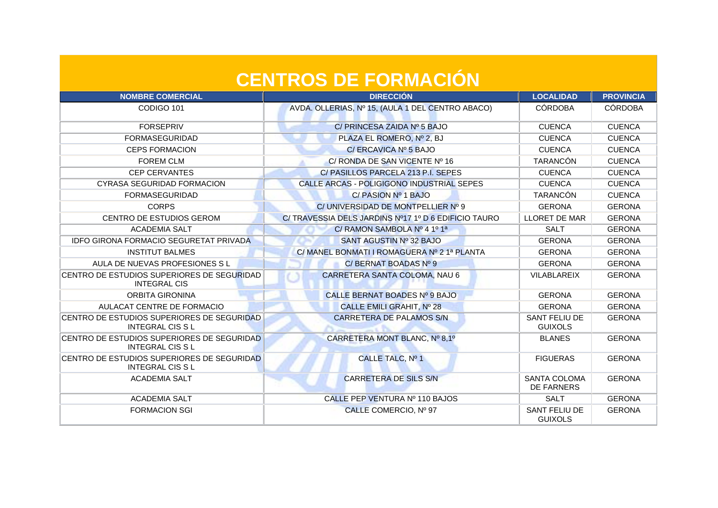| <b>NOMBRE COMERCIAL</b>                                              | <b>DIRECCIÓN</b>                                    | <b>LOCALIDAD</b>                         | <b>PROVINCIA</b> |
|----------------------------------------------------------------------|-----------------------------------------------------|------------------------------------------|------------------|
| CODIGO 101                                                           | AVDA. OLLERIAS, Nº 15, (AULA 1 DEL CENTRO ABACO)    | <b>CÓRDOBA</b>                           | <b>CÓRDOBA</b>   |
| <b>FORSEPRIV</b>                                                     | C/ PRINCESA ZAIDA Nº 5 BAJO                         | <b>CUENCA</b>                            | <b>CUENCA</b>    |
| <b>FORMASEGURIDAD</b>                                                | PLAZA EL ROMERO, Nº 2, BJ                           | <b>CUENCA</b>                            | <b>CUENCA</b>    |
| <b>CEPS FORMACION</b>                                                | C/ ERCAVICA Nº 5 BAJO                               | <b>CUENCA</b>                            | <b>CUENCA</b>    |
| <b>FOREM CLM</b>                                                     | C/ RONDA DE SAN VICENTE Nº 16                       | <b>TARANCÓN</b>                          | <b>CUENCA</b>    |
| <b>CEP CERVANTES</b>                                                 | C/PASILLOS PARCELA 213 P.I. SEPES                   | <b>CUENCA</b>                            | <b>CUENCA</b>    |
| CYRASA SEGURIDAD FORMACION                                           | CALLE ARCAS - POLIGIGONO INDUSTRIAL SEPES           | <b>CUENCA</b>                            | <b>CUENCA</b>    |
| <b>FORMASEGURIDAD</b>                                                | C/ PASION Nº 1 BAJO                                 | <b>TARANCÓN</b>                          | <b>CUENCA</b>    |
| <b>CORPS</b>                                                         | C/ UNIVERSIDAD DE MONTPELLIER Nº 9                  | <b>GERONA</b>                            | <b>GERONA</b>    |
| <b>CENTRO DE ESTUDIOS GEROM</b>                                      | C/TRAVESSIA DELS JARDINS Nº17 1º D 6 EDIFICIO TAURO | <b>LLORET DE MAR</b>                     | <b>GERONA</b>    |
| <b>ACADEMIA SALT</b>                                                 | C/ RAMON SAMBOLA Nº 4 1º 1ª                         | <b>SALT</b>                              | <b>GERONA</b>    |
| <b>IDFO GIRONA FORMACIO SEGURETAT PRIVADA</b>                        | SANT AGUSTIN Nº 32 BAJO                             | <b>GERONA</b>                            | <b>GERONA</b>    |
| <b>INSTITUT BALMES</b>                                               | C/MANEL BONMATI I ROMAGUERA Nº 21ª PLANTA           | <b>GERONA</b>                            | <b>GERONA</b>    |
| AULA DE NUEVAS PROFESIONES S L                                       | C/BERNAT BOADAS Nº 9                                | <b>GERONA</b>                            | <b>GERONA</b>    |
| CENTRO DE ESTUDIOS SUPERIORES DE SEGURIDAD<br><b>INTEGRAL CIS</b>    | CARRETERA SANTA COLOMA, NAU 6                       | <b>VILABLAREIX</b>                       | <b>GERONA</b>    |
| <b>ORBITA GIRONINA</b>                                               | CALLE BERNAT BOADES Nº 9 BAJO                       | <b>GERONA</b>                            | <b>GERONA</b>    |
| AULACAT CENTRE DE FORMACIO                                           | CALLE EMILI GRAHIT, Nº 28                           | <b>GERONA</b>                            | <b>GERONA</b>    |
| CENTRO DE ESTUDIOS SUPERIORES DE SEGURIDAD.<br><b>INTEGRAL CISSL</b> | <b>CARRETERA DE PALAMOS S/N</b>                     | SANT FELIU DE<br><b>GUIXOLS</b>          | <b>GERONA</b>    |
| CENTRO DE ESTUDIOS SUPERIORES DE SEGURIDAD<br><b>INTEGRAL CISSL</b>  | CARRETERA MONT BLANC, Nº 8,1º                       | <b>BLANES</b>                            | <b>GERONA</b>    |
| CENTRO DE ESTUDIOS SUPERIORES DE SEGURIDAD<br><b>INTEGRAL CIS SL</b> | CALLE TALC, Nº 1                                    | <b>FIGUERAS</b>                          | <b>GERONA</b>    |
| <b>ACADEMIA SALT</b>                                                 | <b>CARRETERA DE SILS S/N</b>                        | <b>SANTA COLOMA</b><br><b>DE FARNERS</b> | <b>GERONA</b>    |
| <b>ACADEMIA SALT</b>                                                 | CALLE PEP VENTURA Nº 110 BAJOS                      | <b>SALT</b>                              | <b>GERONA</b>    |
| <b>FORMACION SGI</b>                                                 | CALLE COMERCIO, Nº 97                               | SANT FELIU DE<br><b>GUIXOLS</b>          | <b>GERONA</b>    |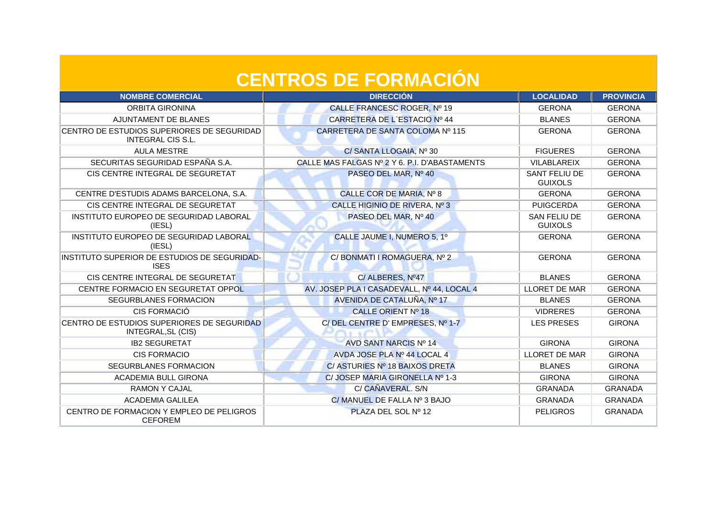| <b>NOMBRE COMERCIAL</b>                                          | <b>DIRECCIÓN</b>                              | <b>LOCALIDAD</b>                | <b>PROVINCIA</b> |
|------------------------------------------------------------------|-----------------------------------------------|---------------------------------|------------------|
| <b>ORBITA GIRONINA</b>                                           | CALLE FRANCESC ROGER, Nº 19                   | <b>GERONA</b>                   | <b>GERONA</b>    |
| AJUNTAMENT DE BLANES                                             | CARRETERA DE L'ESTACIO Nº 44                  | <b>BLANES</b>                   | <b>GERONA</b>    |
| CENTRO DE ESTUDIOS SUPERIORES DE SEGURIDAD<br>INTEGRAL CIS S.L.  | CARRETERA DE SANTA COLOMA Nº 115              | <b>GERONA</b>                   | <b>GERONA</b>    |
| <b>AULA MESTRE</b>                                               | C/ SANTA LLOGAIA, Nº 30                       | <b>FIGUERES</b>                 | <b>GERONA</b>    |
| SECURITAS SEGURIDAD ESPAÑA S.A.                                  | CALLE MAS FALGAS Nº 2 Y 6. P.I. D'ABASTAMENTS | VILABLAREIX                     | <b>GERONA</b>    |
| CIS CENTRE INTEGRAL DE SEGURETAT                                 | PASEO DEL MAR, Nº 40                          | SANT FELIU DE<br><b>GUIXOLS</b> | <b>GERONA</b>    |
| CENTRE D'ESTUDIS ADAMS BARCELONA, S.A.                           | CALLE COR DE MARIA, Nº 8                      | <b>GERONA</b>                   | <b>GERONA</b>    |
| CIS CENTRE INTEGRAL DE SEGURETAT                                 | CALLE HIGINIO DE RIVERA, Nº 3                 | <b>PUIGCERDA</b>                | <b>GERONA</b>    |
| INSTITUTO EUROPEO DE SEGURIDAD LABORAL<br>(IESL)                 | PASEO DEL MAR, Nº 40                          | SAN FELIU DE<br><b>GUIXOLS</b>  | <b>GERONA</b>    |
| INSTITUTO EUROPEO DE SEGURIDAD LABORAL<br>(IESL)                 | CALLE JAUME I, NUMERO 5, 1º                   | <b>GERONA</b>                   | <b>GERONA</b>    |
| INSTITUTO SUPERIOR DE ESTUDIOS DE SEGURIDAD-<br><b>ISES</b>      | C/ BONMATI I ROMAGUERA, Nº 2                  | <b>GERONA</b>                   | <b>GERONA</b>    |
| CIS CENTRE INTEGRAL DE SEGURETAT                                 | C/ALBERES, Nº47                               | <b>BLANES</b>                   | <b>GERONA</b>    |
| CENTRE FORMACIO EN SEGURETAT OPPOL                               | AV. JOSEP PLA I CASADEVALL, Nº 44, LOCAL 4    | <b>LLORET DE MAR</b>            | <b>GERONA</b>    |
| SEGURBLANES FORMACION                                            | AVENIDA DE CATALUÑA, Nº 17                    | <b>BLANES</b>                   | <b>GERONA</b>    |
| CIS FORMACIÓ                                                     | CALLE ORIENT Nº 18                            | <b>VIDRERES</b>                 | <b>GERONA</b>    |
| CENTRO DE ESTUDIOS SUPERIORES DE SEGURIDAD<br>INTEGRAL, SL (CIS) | C/DEL CENTRE D'EMPRESES, Nº 1-7               | <b>LES PRESES</b>               | <b>GIRONA</b>    |
| <b>IB2 SEGURETAT</b>                                             | AVD SANT NARCIS Nº 14                         | <b>GIRONA</b>                   | <b>GIRONA</b>    |
| <b>CIS FORMACIO</b>                                              | AVDA JOSE PLA Nº 44 LOCAL 4                   | <b>LLORET DE MAR</b>            | <b>GIRONA</b>    |
| SEGURBLANES FORMACION                                            | C/ ASTURIES Nº 18 BAIXOS DRETA                | <b>BLANES</b>                   | <b>GIRONA</b>    |
| ACADEMIA BULL GIRONA                                             | C/ JOSEP MARIA GIRONELLA Nº 1-3               | <b>GIRONA</b>                   | <b>GIRONA</b>    |
| <b>RAMON Y CAJAL</b>                                             | C/ CAÑAVERAL. S/N                             | <b>GRANADA</b>                  | <b>GRANADA</b>   |
| <b>ACADEMIA GALILEA</b>                                          | C/ MANUEL DE FALLA Nº 3 BAJO                  | <b>GRANADA</b>                  | <b>GRANADA</b>   |
| CENTRO DE FORMACION Y EMPLEO DE PELIGROS<br><b>CEFOREM</b>       | PLAZA DEL SOL Nº 12                           | <b>PELIGROS</b>                 | <b>GRANADA</b>   |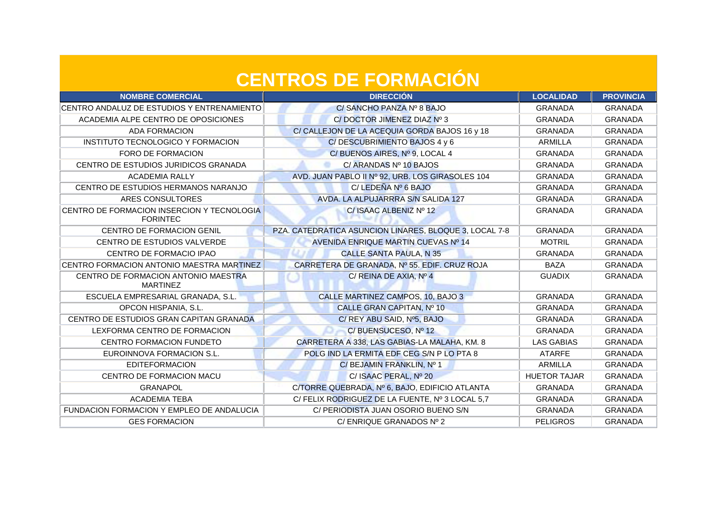| <b>NOMBRE COMERCIAL</b>                                       | <b>DIRECCIÓN</b>                                       | <b>LOCALIDAD</b>    | <b>PROVINCIA</b> |
|---------------------------------------------------------------|--------------------------------------------------------|---------------------|------------------|
| CENTRO ANDALUZ DE ESTUDIOS Y ENTRENAMIENTO                    | C/ SANCHO PANZA Nº 8 BAJO                              | <b>GRANADA</b>      | <b>GRANADA</b>   |
| ACADEMIA ALPE CENTRO DE OPOSICIONES                           | C/DOCTOR JIMENEZ DIAZ Nº 3                             | <b>GRANADA</b>      | <b>GRANADA</b>   |
| <b>ADA FORMACION</b>                                          | C/ CALLEJON DE LA ACEQUIA GORDA BAJOS 16 y 18          | <b>GRANADA</b>      | <b>GRANADA</b>   |
| INSTITUTO TECNOLOGICO Y FORMACION                             | C/DESCUBRIMIENTO BAJOS 4 y 6                           | ARMILLA             | <b>GRANADA</b>   |
| FORO DE FORMACION                                             | C/BUENOS AIRES, Nº 9, LOCAL 4                          | <b>GRANADA</b>      | <b>GRANADA</b>   |
| CENTRO DE ESTUDIOS JURIDICOS GRANADA                          | C/ ARANDAS Nº 10 BAJOS                                 | <b>GRANADA</b>      | <b>GRANADA</b>   |
| <b>ACADEMIA RALLY</b>                                         | AVD. JUAN PABLO II Nº 92, URB. LOS GIRASOLES 104       | <b>GRANADA</b>      | <b>GRANADA</b>   |
| CENTRO DE ESTUDIOS HERMANOS NARANJO                           | C/ LEDEÑA Nº 6 BAJO                                    | <b>GRANADA</b>      | <b>GRANADA</b>   |
| ARES CONSULTORES                                              | AVDA. LA ALPUJARRRA S/N SALIDA 127                     | <b>GRANADA</b>      | <b>GRANADA</b>   |
| CENTRO DE FORMACION INSERCION Y TECNOLOGIA<br><b>FORINTEC</b> | C/ ISAAC ALBENIZ Nº 12                                 | <b>GRANADA</b>      | <b>GRANADA</b>   |
| CENTRO DE FORMACION GENIL                                     | PZA. CATEDRATICA ASUNCION LINARES, BLOQUE 3, LOCAL 7-8 | <b>GRANADA</b>      | <b>GRANADA</b>   |
| CENTRO DE ESTUDIOS VALVERDE                                   | AVENIDA ENRIQUE MARTIN CUEVAS Nº 14                    | <b>MOTRIL</b>       | <b>GRANADA</b>   |
| CENTRO DE FORMACIO IPAO                                       | <b>CALLE SANTA PAULA, N 35</b>                         | <b>GRANADA</b>      | <b>GRANADA</b>   |
| CENTRO FORMACION ANTONIO MAESTRA MARTINEZ                     | CARRETERA DE GRANADA, Nº 55. EDIF. CRUZ ROJA           | <b>BAZA</b>         | <b>GRANADA</b>   |
| CENTRO DE FORMACION ANTONIO MAESTRA<br><b>MARTINEZ</b>        | C/ REINA DE AXIA, Nº 4                                 | <b>GUADIX</b>       | <b>GRANADA</b>   |
| ESCUELA EMPRESARIAL GRANADA, S.L.                             | CALLE MARTINEZ CAMPOS, 10, BAJO 3                      | <b>GRANADA</b>      | <b>GRANADA</b>   |
| OPCON HISPANIA, S.L.                                          | CALLE GRAN CAPITAN, Nº 10                              | <b>GRANADA</b>      | <b>GRANADA</b>   |
| CENTRO DE ESTUDIOS GRAN CAPITAN GRANADA                       | C/ REY ABU SAID, Nº5, BAJO                             | <b>GRANADA</b>      | <b>GRANADA</b>   |
| LEXFORMA CENTRO DE FORMACION                                  | C/BUENSUCESO, Nº 12                                    | <b>GRANADA</b>      | <b>GRANADA</b>   |
| CENTRO FORMACION FUNDETO                                      | CARRETERA A 338, LAS GABIAS-LA MALAHA, KM. 8           | <b>LAS GABIAS</b>   | <b>GRANADA</b>   |
| EUROINNOVA FORMACION S.L.                                     | POLG IND LA ERMITA EDF CEG S/N P LO PTA 8              | <b>ATARFE</b>       | <b>GRANADA</b>   |
| <b>EDITEFORMACION</b>                                         | C/ BEJAMIN FRANKLIN, Nº 1                              | ARMILLA             | <b>GRANADA</b>   |
| <b>CENTRO DE FORMACION MACU</b>                               | C/ ISAAC PERAL, Nº 20                                  | <b>HUETOR TAJAR</b> | <b>GRANADA</b>   |
| <b>GRANAPOL</b>                                               | C/TORRE QUEBRADA, Nº 6, BAJO, EDIFICIO ATLANTA         | <b>GRANADA</b>      | <b>GRANADA</b>   |
| <b>ACADEMIA TEBA</b>                                          | C/ FELIX RODRIGUEZ DE LA FUENTE, Nº 3 LOCAL 5,7        | <b>GRANADA</b>      | <b>GRANADA</b>   |
| FUNDACION FORMACION Y EMPLEO DE ANDALUCIA                     | C/ PERIODISTA JUAN OSORIO BUENO S/N                    | <b>GRANADA</b>      | <b>GRANADA</b>   |
| <b>GES FORMACION</b>                                          | C/ENRIQUE GRANADOS Nº 2                                | <b>PELIGROS</b>     | <b>GRANADA</b>   |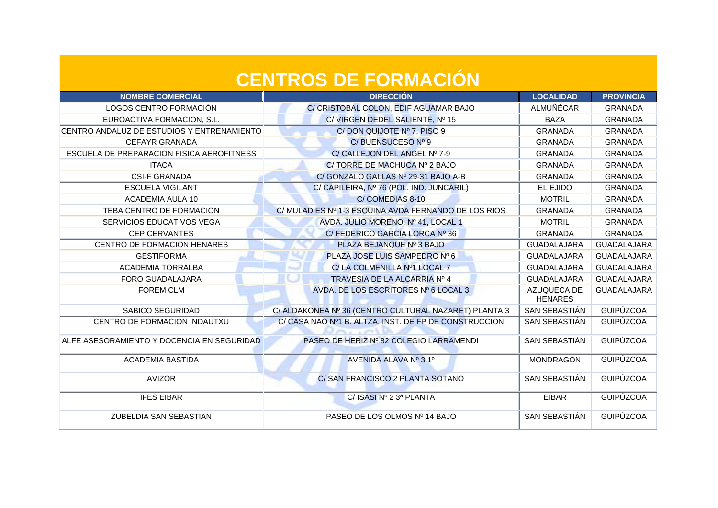| <b>NOMBRE COMERCIAL</b>                    | <b>DIRECCIÓN</b>                                      | <b>LOCALIDAD</b>              | <b>PROVINCIA</b>   |
|--------------------------------------------|-------------------------------------------------------|-------------------------------|--------------------|
| LOGOS CENTRO FORMACIÓN                     | C/ CRISTOBAL COLON, EDIF AGUAMAR BAJO                 | ALMUÑÉCAR                     | <b>GRANADA</b>     |
| EUROACTIVA FORMACION, S.L.                 | C/ VIRGEN DEDEL SALIENTE, Nº 15                       | <b>BAZA</b>                   | <b>GRANADA</b>     |
| CENTRO ANDALUZ DE ESTUDIOS Y ENTRENAMIENTO | C/DON QUIJOTE Nº 7, PISO 9                            | <b>GRANADA</b>                | <b>GRANADA</b>     |
| <b>CEFAYR GRANADA</b>                      | C/BUENSUCESO Nº 9                                     | <b>GRANADA</b>                | <b>GRANADA</b>     |
| ESCUELA DE PREPARACION FISICA AEROFITNESS  | C/ CALLEJON DEL ANGEL Nº 7-9                          | <b>GRANADA</b>                | <b>GRANADA</b>     |
| <b>ITACA</b>                               | C/TORRE DE MACHUCA Nº 2 BAJO                          | <b>GRANADA</b>                | <b>GRANADA</b>     |
| <b>CSI-F GRANADA</b>                       | C/ GONZALO GALLAS Nº 29-31 BAJO A-B                   | <b>GRANADA</b>                | <b>GRANADA</b>     |
| <b>ESCUELA VIGILANT</b>                    | C/ CAPILEIRA, Nº 76 (POL. IND. JUNCARIL)              | EL EJIDO                      | <b>GRANADA</b>     |
| ACADEMIA AULA 10                           | C/COMEDIAS 8-10                                       | <b>MOTRIL</b>                 | <b>GRANADA</b>     |
| TEBA CENTRO DE FORMACION                   | C/ MULADIES Nº 1-3 ESQUINA AVDA FERNANDO DE LOS RIOS  | <b>GRANADA</b>                | <b>GRANADA</b>     |
| SERVICIOS EDUCATIVOS VEGA                  | AVDA. JULIO MORENO, Nº 41, LOCAL 1                    | <b>MOTRIL</b>                 | <b>GRANADA</b>     |
| <b>CEP CERVANTES</b>                       | C/ FEDERICO GARCIA LORCA Nº 36                        | <b>GRANADA</b>                | <b>GRANADA</b>     |
| CENTRO DE FORMACION HENARES                | PLAZA BEJANQUE Nº 3 BAJO                              | GUADALAJARA                   | <b>GUADALAJARA</b> |
| <b>GESTIFORMA</b>                          | PLAZA JOSE LUIS SAMPEDRO Nº 6                         | <b>GUADALAJARA</b>            | <b>GUADALAJARA</b> |
| <b>ACADEMIA TORRALBA</b>                   | C/ LA COLMENILLA Nº1 LOCAL 7                          | <b>GUADALAJARA</b>            | <b>GUADALAJARA</b> |
| FORO GUADALAJARA                           | TRAVESIA DE LA ALCARRIA Nº 4                          | <b>GUADALAJARA</b>            | <b>GUADALAJARA</b> |
| <b>FOREM CLM</b>                           | AVDA. DE LOS ESCRITORES Nº 6 LOCAL 3                  | AZUQUECA DE<br><b>HENARES</b> | <b>GUADALAJARA</b> |
| SABICO SEGURIDAD                           | C/ ALDAKONEA Nº 36 (CENTRO CULTURAL NAZARET) PLANTA 3 | SAN SEBASTIÁN                 | <b>GUIPÚZCOA</b>   |
| CENTRO DE FORMACION INDAUTXU               | C/ CASA NAO Nº1 B. ALTZA, INST. DE FP DE CONSTRUCCION | SAN SEBASTIÁN                 | <b>GUIPÚZCOA</b>   |
| ALFE ASESORAMIENTO Y DOCENCIA EN SEGURIDAD | PASEO DE HERIZ Nº 82 COLEGIO LARRAMENDI               | SAN SEBASTIÁN                 | <b>GUIPÚZCOA</b>   |
| <b>ACADEMIA BASTIDA</b>                    | AVENIDA ALAVA Nº 31º                                  | <b>MONDRAGÓN</b>              | <b>GUIPÚZCOA</b>   |
| <b>AVIZOR</b>                              | C/ SAN FRANCISCO 2 PLANTA SOTANO                      | SAN SEBASTIÁN                 | <b>GUIPÚZCOA</b>   |
| <b>IFES EIBAR</b>                          | C/ ISASI Nº 2 3ª PLANTA                               | EÍBAR                         | <b>GUIPÚZCOA</b>   |
| ZUBELDIA SAN SEBASTIAN                     | PASEO DE LOS OLMOS Nº 14 BAJO                         | SAN SEBASTIÁN                 | <b>GUIPÚZCOA</b>   |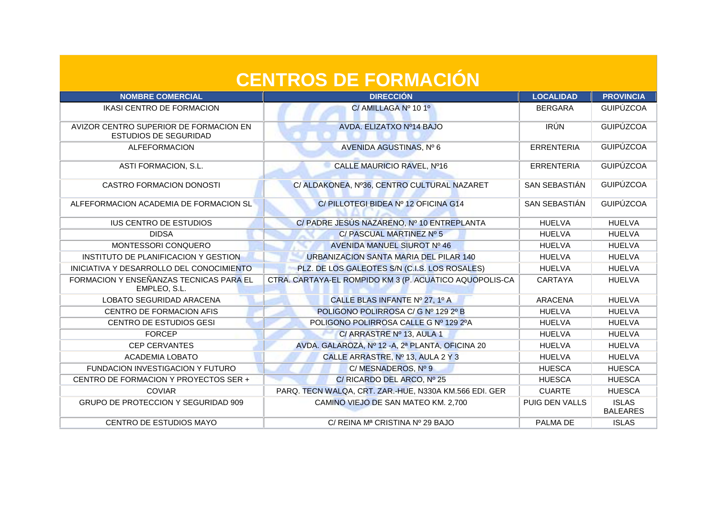| <b>CENTROS DE FORMACIÓN</b>                                            |                                                         |                   |                                 |
|------------------------------------------------------------------------|---------------------------------------------------------|-------------------|---------------------------------|
| <b>NOMBRE COMERCIAL</b>                                                | <b>DIRECCIÓN</b>                                        | <b>LOCALIDAD</b>  | <b>PROVINCIA</b>                |
| IKASI CENTRO DE FORMACION                                              | C/ AMILLAGA Nº 10 1º                                    | <b>BERGARA</b>    | <b>GUIPÚZCOA</b>                |
| AVIZOR CENTRO SUPERIOR DE FORMACION EN<br><b>ESTUDIOS DE SEGURIDAD</b> | AVDA. ELIZATXO Nº14 BAJO                                | <b>IRÚN</b>       | <b>GUIPÚZCOA</b>                |
| <b>ALFEFORMACION</b>                                                   | AVENIDA AGUSTINAS, Nº 6                                 | <b>ERRENTERIA</b> | <b>GUIPÚZCOA</b>                |
| ASTI FORMACION, S.L.                                                   | CALLE MAURICIO RAVEL, Nº16                              | <b>ERRENTERIA</b> | <b>GUIPÚZCOA</b>                |
| <b>CASTRO FORMACION DONOSTI</b>                                        | C/ ALDAKONEA, Nº36, CENTRO CULTURAL NAZARET             | SAN SEBASTIÁN     | <b>GUIPÚZCOA</b>                |
| ALFEFORMACION ACADEMIA DE FORMACION SL                                 | C/PILLOTEGI BIDEA Nº 12 OFICINA G14                     | SAN SEBASTIÁN     | <b>GUIPÚZCOA</b>                |
| <b>IUS CENTRO DE ESTUDIOS</b>                                          | C/PADRE JESÚS NAZARENO, Nº 10 ENTREPLANTA               | <b>HUELVA</b>     | <b>HUELVA</b>                   |
| <b>DIDSA</b>                                                           | C/ PASCUAL MARTINEZ Nº 5                                | <b>HUELVA</b>     | <b>HUELVA</b>                   |
| MONTESSORI CONQUERO                                                    | AVENIDA MANUEL SIUROT Nº 46                             | <b>HUELVA</b>     | <b>HUELVA</b>                   |
| INSTITUTO DE PLANIFICACION Y GESTION                                   | URBANIZACION SANTA MARIA DEL PILAR 140                  | <b>HUELVA</b>     | <b>HUELVA</b>                   |
| INICIATIVA Y DESARROLLO DEL CONOCIMIENTO                               | PLZ. DE LOS GALEOTES S/N (C.I.S. LOS ROSALES)           | <b>HUELVA</b>     | <b>HUELVA</b>                   |
| FORMACION Y ENSEÑANZAS TECNICAS PARA EL<br>EMPLEO, S.L.                | CTRA. CARTAYA-EL ROMPIDO KM 3 (P. ACUATICO AQUOPOLIS-CA | <b>CARTAYA</b>    | <b>HUELVA</b>                   |
| LOBATO SEGURIDAD ARACENA                                               | CALLE BLAS INFANTE Nº 27, 1º A                          | <b>ARACENA</b>    | <b>HUELVA</b>                   |
| CENTRO DE FORMACION AFIS                                               | POLIGONO POLIRROSA C/ G Nº 129 2º B                     | <b>HUELVA</b>     | <b>HUELVA</b>                   |
| <b>CENTRO DE ESTUDIOS GESI</b>                                         | POLIGONO POLIRROSA CALLE G Nº 129 2ºA                   | <b>HUELVA</b>     | <b>HUELVA</b>                   |
| <b>FORCEP</b>                                                          | C/ ARRASTRE Nº 13, AULA 1                               | <b>HUELVA</b>     | <b>HUELVA</b>                   |
| <b>CEP CERVANTES</b>                                                   | AVDA. GALAROZA, Nº 12 - A, 2ª PLANTA, OFICINA 20        | <b>HUELVA</b>     | <b>HUELVA</b>                   |
| <b>ACADEMIA LOBATO</b>                                                 | CALLE ARRASTRE, Nº 13, AULA 2 Y 3                       | <b>HUELVA</b>     | <b>HUELVA</b>                   |
| FUNDACION INVESTIGACION Y FUTURO                                       | C/MESNADEROS, Nº 9                                      | <b>HUESCA</b>     | <b>HUESCA</b>                   |
| CENTRO DE FORMACION Y PROYECTOS SER +                                  | C/ RICARDO DEL ARCO, Nº 25                              | <b>HUESCA</b>     | <b>HUESCA</b>                   |
| <b>COVIAR</b>                                                          | PARQ. TECN WALQA, CRT. ZAR.-HUE, N330A KM.566 EDI. GER  | <b>CUARTE</b>     | <b>HUESCA</b>                   |
| GRUPO DE PROTECCION Y SEGURIDAD 909                                    | CAMINO VIEJO DE SAN MATEO KM. 2,700                     | PUIG DEN VALLS    | <b>ISLAS</b><br><b>BALEARES</b> |
| CENTRO DE ESTUDIOS MAYO                                                | C/ REINA Mª CRISTINA Nº 29 BAJO                         | PALMA DE          | <b>ISLAS</b>                    |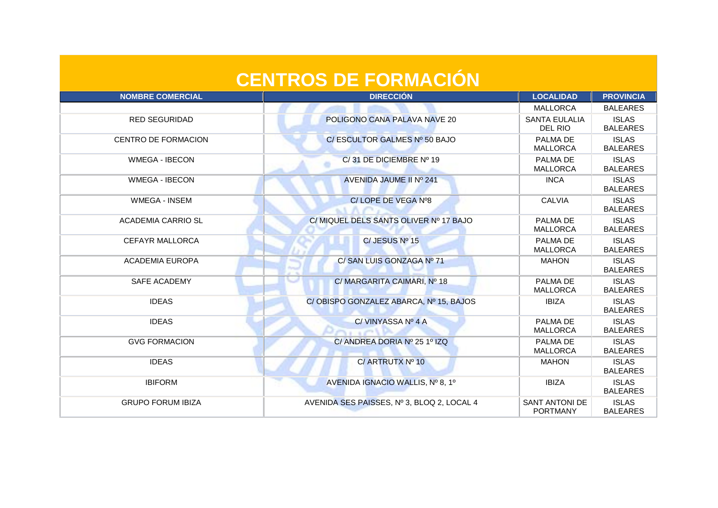| <b>CENTROS DE FORMACIÓN</b> |                                            |                                   |                                 |
|-----------------------------|--------------------------------------------|-----------------------------------|---------------------------------|
| <b>NOMBRE COMERCIAL</b>     | <b>DIRECCIÓN</b>                           | <b>LOCALIDAD</b>                  | <b>PROVINCIA</b>                |
|                             |                                            | <b>MALLORCA</b>                   | <b>BALEARES</b>                 |
| <b>RED SEGURIDAD</b>        | POLIGONO CANA PALAVA NAVE 20               | <b>SANTA EULALIA</b><br>DEL RIO   | <b>ISLAS</b><br><b>BALEARES</b> |
| <b>CENTRO DE FORMACION</b>  | C/ESCULTOR GALMES Nº 50 BAJO               | PALMA DE<br><b>MALLORCA</b>       | <b>ISLAS</b><br><b>BALEARES</b> |
| <b>WMEGA - IBECON</b>       | C/31 DE DICIEMBRE Nº 19                    | PALMA DE<br><b>MALLORCA</b>       | <b>ISLAS</b><br><b>BALEARES</b> |
| <b>WMEGA - IBECON</b>       | AVENIDA JAUME II Nº 241                    | <b>INCA</b>                       | <b>ISLAS</b><br><b>BALEARES</b> |
| <b>WMEGA - INSEM</b>        | C/LOPE DE VEGA Nº8<br><b>MACTE</b>         | <b>CALVIA</b>                     | <b>ISLAS</b><br><b>BALEARES</b> |
| <b>ACADEMIA CARRIO SL</b>   | C/ MIQUEL DELS SANTS OLIVER Nº 17 BAJO     | PALMA DE<br><b>MALLORCA</b>       | <b>ISLAS</b><br><b>BALEARES</b> |
| <b>CEFAYR MALLORCA</b>      | C/JESUS Nº 15                              | PALMA DE<br><b>MALLORCA</b>       | <b>ISLAS</b><br><b>BALEARES</b> |
| <b>ACADEMIA EUROPA</b>      | C/ SAN LUIS GONZAGA Nº 71                  | <b>MAHON</b>                      | <b>ISLAS</b><br><b>BALEARES</b> |
| SAFE ACADEMY                | C/ MARGARITA CAIMARI, Nº 18                | PALMA DE<br><b>MALLORCA</b>       | <b>ISLAS</b><br><b>BALEARES</b> |
| <b>IDEAS</b>                | C/OBISPO GONZALEZ ABARCA, Nº 15, BAJOS     | <b>IBIZA</b>                      | <b>ISLAS</b><br><b>BALEARES</b> |
| <b>IDEAS</b>                | C/VINYASSA Nº 4 A<br>ヘロアハト                 | PALMA DE<br><b>MALLORCA</b>       | <b>ISLAS</b><br><b>BALEARES</b> |
| <b>GVG FORMACION</b>        | C/ ANDREA DORIA Nº 25 1º IZQ               | PALMA DE<br><b>MALLORCA</b>       | <b>ISLAS</b><br><b>BALEARES</b> |
| <b>IDEAS</b>                | C/ ARTRUTX Nº 10                           | <b>MAHON</b>                      | <b>ISLAS</b><br><b>BALEARES</b> |
| <b>IBIFORM</b>              | AVENIDA IGNACIO WALLIS, Nº 8, 1º           | <b>IBIZA</b>                      | <b>ISLAS</b><br><b>BALEARES</b> |
| <b>GRUPO FORUM IBIZA</b>    | AVENIDA SES PAISSES, Nº 3, BLOQ 2, LOCAL 4 | SANT ANTONI DE<br><b>PORTMANY</b> | <b>ISLAS</b><br><b>BALEARES</b> |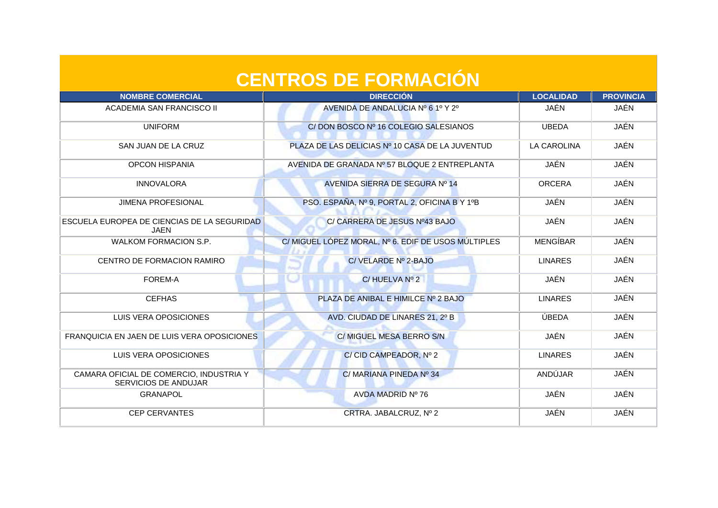| <b>NOMBRE COMERCIAL</b>                                                | <b>DIRECCIÓN</b>                                    | <b>LOCALIDAD</b>   | <b>PROVINCIA</b> |
|------------------------------------------------------------------------|-----------------------------------------------------|--------------------|------------------|
| ACADEMIA SAN FRANCISCO II                                              | AVENIDA DE ANDALUCIA Nº 6 1º Y 2º                   | JAÉN               | JAÉN             |
| <b>UNIFORM</b>                                                         | C/DON BOSCO Nº 16 COLEGIO SALESIANOS                | <b>UBEDA</b>       | <b>JAÉN</b>      |
| SAN JUAN DE LA CRUZ                                                    | PLAZA DE LAS DELICIAS Nº 10 CASA DE LA JUVENTUD     | <b>LA CAROLINA</b> | JAÉN             |
| <b>OPCON HISPANIA</b>                                                  | AVENIDA DE GRANADA Nº 57 BLOQUE 2 ENTREPLANTA       | JAÉN               | JAÉN             |
| <b>INNOVALORA</b>                                                      | AVENIDA SIERRA DE SEGURA Nº 14                      | <b>ORCERA</b>      | JAÉN             |
| <b>JIMENA PROFESIONAL</b>                                              | PSO. ESPAÑA, Nº 9, PORTAL 2, OFICINA B Y 1ºB        | JAÉN               | JAÉN             |
| ESCUELA EUROPEA DE CIENCIAS DE LA SEGURIDAD<br>JAEN                    | C/ CARRERA DE JESUS Nº43 BAJO                       | JAÉN               | JAÉN             |
| <b>WALKOM FORMACION S.P.</b>                                           | C/ MIGUEL LÓPEZ MORAL, Nº 6. EDIF DE USOS MÚLTIPLES | <b>MENGÍBAR</b>    | JAÉN             |
| CENTRO DE FORMACION RAMIRO                                             | C/ VELARDE Nº 2-BAJO                                | <b>LINARES</b>     | <b>JAÉN</b>      |
| FOREM-A                                                                | C/HUELVA Nº 2                                       | JAÉN               | JAÉN             |
| <b>CEFHAS</b>                                                          | PLAZA DE ANIBAL E HIMILCE Nº 2 BAJO                 | <b>LINARES</b>     | JAÉN             |
| LUIS VERA OPOSICIONES                                                  | AVD. CIUDAD DE LINARES 21, 2º B                     | ÚBEDA              | JAÉN             |
| FRANQUICIA EN JAEN DE LUIS VERA OPOSICIONES                            | C/ MIGUEL MESA BERRO S/N                            | JAÉN               | JAÉN             |
| LUIS VERA OPOSICIONES                                                  | C/ CID CAMPEADOR, Nº 2                              | <b>LINARES</b>     | JAÉN             |
| CAMARA OFICIAL DE COMERCIO, INDUSTRIA Y<br><b>SERVICIOS DE ANDUJAR</b> | C/MARIANA PINEDA Nº 34                              | ANDÚJAR            | JAÉN             |
| <b>GRANAPOL</b>                                                        | AVDA MADRID Nº 76                                   | JAÉN               | JAÉN             |
| <b>CEP CERVANTES</b>                                                   | CRTRA. JABALCRUZ, Nº 2                              | JAÉN               | JAÉN             |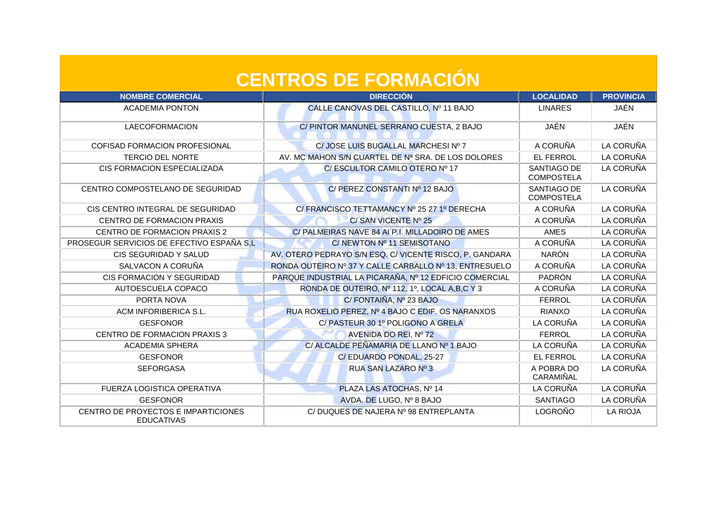| <b>CENTROS DE FORMACION</b>                              |                                                         |                                  |                  |
|----------------------------------------------------------|---------------------------------------------------------|----------------------------------|------------------|
| <b>NOMBRE COMERCIAL</b>                                  | <b>DIRECCIÓN</b>                                        | <b>LOCALIDAD</b>                 | <b>PROVINCIA</b> |
| <b>ACADEMIA PONTON</b>                                   | CALLE CANOVAS DEL CASTILLO, Nº 11 BAJO                  | <b>LINARES</b>                   | JAÉN             |
| <b>LAECOFORMACION</b>                                    | C/ PINTOR MANUNEL SERRANO CUESTA, 2 BAJO                | JAÉN                             | <b>JAÉN</b>      |
| COFISAD FORMACION PROFESIONAL                            | C/ JOSE LUIS BUGALLAL MARCHESI Nº 7                     | A CORUÑA                         | LA CORUÑA        |
| <b>TERCIO DEL NORTE</b>                                  | AV. MC MAHON S/N CUARTEL DE Nª SRA. DE LOS DOLORES      | <b>EL FERROL</b>                 | LA CORUÑA        |
| CIS FORMACION ESPECIALIZADA                              | C/ESCULTOR CAMILO OTERO Nº 17                           | SANTIAGO DE<br><b>COMPOSTELA</b> | LA CORUÑA        |
| CENTRO COMPOSTELANO DE SEGURIDAD                         | C/ PEREZ CONSTANTI Nº 12 BAJO                           | SANTIAGO DE<br><b>COMPOSTELA</b> | LA CORUÑA        |
| CIS CENTRO INTEGRAL DE SEGURIDAD                         | C/ FRANCISCO TETTAMANCY Nº 25 27 1º DERECHA             | A CORUÑA                         | LA CORUÑA        |
| CENTRO DE FORMACION PRAXIS                               | C/SAN VICENTE Nº 25                                     | A CORUÑA                         | LA CORUÑA        |
| CENTRO DE FORMACION PRAXIS 2                             | C/ PALMEIRAS NAVE 84 AI P.I. MILLADOIRO DE AMES         | <b>AMES</b>                      | LA CORUÑA        |
| PROSEGUR SERVICIOS DE EFECTIVO ESPAÑA S,L                | C/NEWTON Nº 11 SEMISOTANO                               | A CORUÑA                         | LA CORUÑA        |
| CIS SEGURIDAD Y SALUD                                    | AV. OTERO PEDRAYO S/N ESQ. C/ VICENTE RISCO, P. GANDARA | <b>NARÓN</b>                     | LA CORUÑA        |
| SALVACON A CORUÑA                                        | RONDA OUTEIRO Nº 37 Y CALLE CARBALLO Nº 13, ENTRESUELO  | A CORUÑA                         | LA CORUÑA        |
| <b>CIS FORMACION Y SEGURIDAD</b>                         | PARQUE INDUSTRIAL LA PICARAÑA, Nº 12 EDFICIO COMERCIAL  | PADRÓN                           | LA CORUÑA        |
| AUTOESCUELA COPACO                                       | RONDA DE OUTEIRO, Nº 112, 1º, LOCAL A,B,C Y 3           | A CORUÑA                         | LA CORUÑA        |
| PORTA NOVA                                               | C/ FONTAIÑA, Nº 23 BAJO                                 | <b>FERROL</b>                    | LA CORUÑA        |
| ACM INFORIBERICA S.L.                                    | RUA ROXELIO PEREZ, Nº 4 BAJO C EDIF. OS NARANXOS        | <b>RIANXO</b>                    | LA CORUÑA        |
| <b>GESFONOR</b>                                          | C/ PASTEUR 30 1º POLIGONO A GRELA                       | LA CORUÑA                        | LA CORUÑA        |
| <b>CENTRO DE FORMACION PRAXIS 3</b>                      | AVENIDA DO REI, Nº 72                                   | <b>FERROL</b>                    | LA CORUÑA        |
| <b>ACADEMIA SPHERA</b>                                   | C/ ALCALDE PEÑAMARIA DE LLANO Nº 1 BAJO                 | LA CORUÑA                        | LA CORUÑA        |
| <b>GESFONOR</b>                                          | C/EDUARDO PONDAL, 25-27                                 | <b>EL FERROL</b>                 | LA CORUÑA        |
| <b>SEFORGASA</b>                                         | RUA SAN LAZARO Nº 3                                     | A POBRA DO<br>CARAMIÑAL          | LA CORUÑA        |
| <b>FUERZA LOGISTICA OPERATIVA</b>                        | PLAZA LAS ATOCHAS, Nº 14                                | LA CORUÑA                        | LA CORUÑA        |
| <b>GESFONOR</b>                                          | AVDA. DE LUGO, Nº 8 BAJO                                | <b>SANTIAGO</b>                  | LA CORUÑA        |
| CENTRO DE PROYECTOS E IMPARTICIONES<br><b>EDUCATIVAS</b> | C/DUQUES DE NAJERA Nº 98 ENTREPLANTA                    | LOGROÑO                          | <b>LA RIOJA</b>  |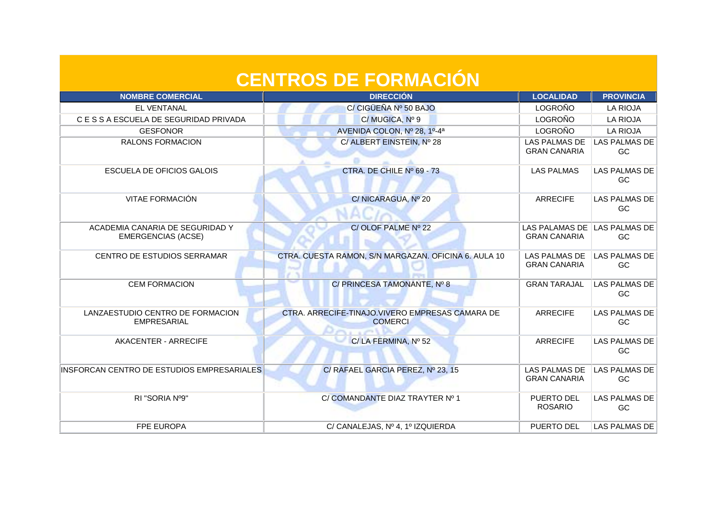| <b>CENTROS DE FORMACIÓN</b>                                  |                                                                    |                                              |                             |
|--------------------------------------------------------------|--------------------------------------------------------------------|----------------------------------------------|-----------------------------|
| <b>NOMBRE COMERCIAL</b>                                      | <b>DIRECCIÓN</b>                                                   | <b>LOCALIDAD</b>                             | <b>PROVINCIA</b>            |
| <b>EL VENTANAL</b>                                           | C/ CIGÜEÑA Nº 50 BAJO                                              | LOGROÑO                                      | <b>LA RIOJA</b>             |
| C E S S A ESCUELA DE SEGURIDAD PRIVADA                       | C/MUGICA, Nº 9                                                     | <b>LOGROÑO</b>                               | <b>LA RIOJA</b>             |
| <b>GESFONOR</b>                                              | AVENIDA COLON, Nº 28, 1º-4ª                                        | <b>LOGROÑO</b>                               | <b>LA RIOJA</b>             |
| <b>RALONS FORMACION</b>                                      | C/ ALBERT EINSTEIN, Nº 28                                          | <b>LAS PALMAS DE</b><br><b>GRAN CANARIA</b>  | <b>LAS PALMAS DE</b><br>GC  |
| ESCUELA DE OFICIOS GALOIS                                    | CTRA, DE CHILE Nº 69 - 73                                          | <b>LAS PALMAS</b>                            | <b>LAS PALMAS DE</b><br>GC. |
| VITAE FORMACIÓN                                              | C/NICARAGUA, Nº 20                                                 | <b>ARRECIFE</b>                              | LAS PALMAS DE<br>GC.        |
| ACADEMIA CANARIA DE SEGURIDAD Y<br><b>EMERGENCIAS (ACSE)</b> | C/OLOF PALME Nº 22                                                 | <b>LAS PALAMAS DE</b><br><b>GRAN CANARIA</b> | LAS PALMAS DE<br>GC         |
| <b>CENTRO DE ESTUDIOS SERRAMAR</b>                           | CTRA. CUESTA RAMON, S/N MARGAZAN. OFICINA 6. AULA 10               | <b>LAS PALMAS DE</b><br><b>GRAN CANARIA</b>  | <b>LAS PALMAS DE</b><br>GC  |
| <b>CEM FORMACION</b>                                         | C/ PRINCESA TAMONANTE, Nº 8                                        | <b>GRAN TARAJAL</b>                          | <b>LAS PALMAS DE</b><br>GC  |
| LANZAESTUDIO CENTRO DE FORMACION<br><b>EMPRESARIAL</b>       | CTRA. ARRECIFE-TINAJO. VIVERO EMPRESAS CAMARA DE<br><b>COMERCI</b> | <b>ARRECIFE</b>                              | <b>LAS PALMAS DE</b><br>GC  |
| AKACENTER - ARRECIFE                                         | C/LA FERMINA, Nº 52                                                | <b>ARRECIFE</b>                              | LAS PALMAS DE<br>GC         |
| INSFORCAN CENTRO DE ESTUDIOS EMPRESARIALES                   | C/ RAFAEL GARCIA PEREZ, Nº 23, 15                                  | <b>LAS PALMAS DE</b><br><b>GRAN CANARIA</b>  | <b>LAS PALMAS DE</b><br>GC  |

RI "SORIA Nº9" C/ COMANDANTE DIAZ TRAYTER Nº 1 PUERTO DEL

FPE EUROPA C/ CANALEJAS, Nº 4, 1º IZQUIERDA PUERTO DEL LAS PALMAS DE

ROSARIO

LAS PALMAS DE GC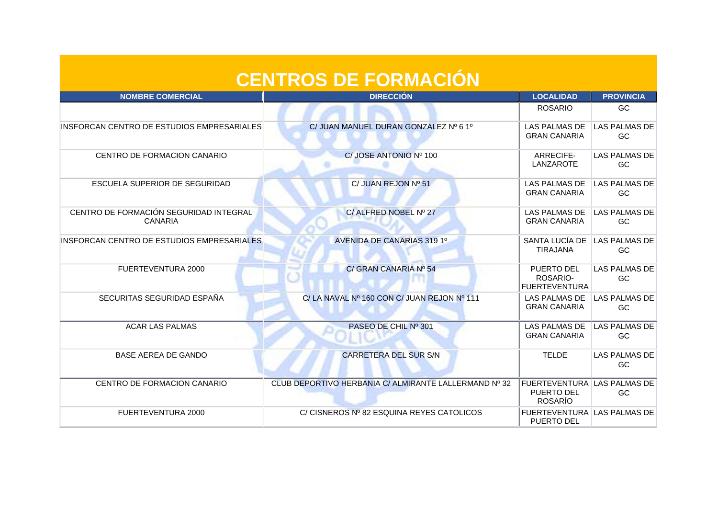| <b>CENTROS DE FORMACIÓN</b>                              |                                                       |                                                                    |                                   |  |
|----------------------------------------------------------|-------------------------------------------------------|--------------------------------------------------------------------|-----------------------------------|--|
| <b>NOMBRE COMERCIAL</b>                                  | <b>DIRECCIÓN</b>                                      | <b>LOCALIDAD</b>                                                   | <b>PROVINCIA</b>                  |  |
|                                                          |                                                       | <b>ROSARIO</b>                                                     | <b>GC</b>                         |  |
| INSFORCAN CENTRO DE ESTUDIOS EMPRESARIALES               | C/ JUAN MANUEL DURAN GONZALEZ Nº 6 1º                 | <b>LAS PALMAS DE</b><br><b>GRAN CANARIA</b>                        | <b>LAS PALMAS DE</b><br><b>GC</b> |  |
| CENTRO DE FORMACION CANARIO                              | C/JOSE ANTONIO Nº 100                                 | ARRECIFE-<br><b>LANZAROTE</b>                                      | <b>LAS PALMAS DE</b><br>GC        |  |
| ESCUELA SUPERIOR DE SEGURIDAD                            | C/ JUAN REJON Nº 51                                   | <b>LAS PALMAS DE</b><br><b>GRAN CANARIA</b>                        | <b>LAS PALMAS DE</b><br>GC        |  |
| CENTRO DE FORMACIÓN SEGURIDAD INTEGRAL<br><b>CANARIA</b> | C/ALFRED NOBEL Nº 27                                  | <b>LAS PALMAS DE</b><br><b>GRAN CANARIA</b>                        | <b>LAS PALMAS DE</b><br>GC        |  |
| INSFORCAN CENTRO DE ESTUDIOS EMPRESARIALES               | AVENIDA DE CANARIAS 319 1º                            | SANTA LUCÍA DE<br><b>TIRAJANA</b>                                  | <b>LAS PALMAS DE</b><br>GC        |  |
| FUERTEVENTURA 2000                                       | C/ GRAN CANARIA Nº 54                                 | <b>PUERTO DEL</b><br>ROSARIO-<br><b>FUERTEVENTURA</b>              | LAS PALMAS DE<br>GC               |  |
| SECURITAS SEGURIDAD ESPAÑA                               | C/LA NAVAL Nº 160 CON C/ JUAN REJON Nº 111            | <b>LAS PALMAS DE</b><br><b>GRAN CANARIA</b>                        | <b>LAS PALMAS DE</b><br>GC        |  |
| <b>ACAR LAS PALMAS</b>                                   | PASEO DE CHIL Nº 301                                  | <b>LAS PALMAS DE</b><br><b>GRAN CANARIA</b>                        | <b>LAS PALMAS DE</b><br>GC        |  |
| <b>BASE AEREA DE GANDO</b>                               | <b>CARRETERA DEL SUR S/N</b>                          | <b>TELDE</b>                                                       | <b>LAS PALMAS DE</b><br>GC        |  |
| CENTRO DE FORMACION CANARIO                              | CLUB DEPORTIVO HERBANIA C/ ALMIRANTE LALLERMAND Nº 32 | <b>FUERTEVENTURA LAS PALMAS DE</b><br>PUERTO DEL<br><b>ROSARÍO</b> | GC                                |  |
| <b>FUERTEVENTURA 2000</b>                                | C/ CISNEROS Nº 82 ESQUINA REYES CATOLICOS             | FUERTEVENTURA LAS PALMAS DE<br><b>PUERTO DEL</b>                   |                                   |  |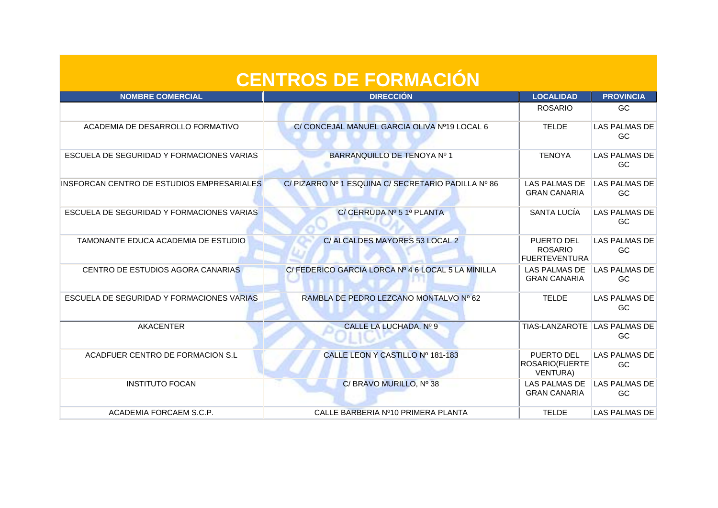| <b>CENTROS DE FORMACION</b> |  |
|-----------------------------|--|
|                             |  |
|                             |  |
|                             |  |

| <b>NOMBRE COMERCIAL</b>                    | <b>DIRECCIÓN</b>                                    | <b>LOCALIDAD</b>                                       | <b>PROVINCIA</b>            |
|--------------------------------------------|-----------------------------------------------------|--------------------------------------------------------|-----------------------------|
|                                            |                                                     | <b>ROSARIO</b>                                         | <b>GC</b>                   |
| ACADEMIA DE DESARROLLO FORMATIVO           | C/ CONCEJAL MANUEL GARCIA OLIVA Nº19 LOCAL 6        | <b>TELDE</b>                                           | LAS PALMAS DE<br>GC.        |
| ESCUELA DE SEGURIDAD Y FORMACIONES VARIAS  | BARRANQUILLO DE TENOYA Nº 1                         | <b>TENOYA</b>                                          | <b>LAS PALMAS DE</b><br>GC  |
| INSFORCAN CENTRO DE ESTUDIOS EMPRESARIALES | C/ PIZARRO Nº 1 ESQUINA C/ SECRETARIO PADILLA Nº 86 | <b>LAS PALMAS DE</b><br><b>GRAN CANARIA</b>            | LAS PALMAS DE<br>GC         |
| ESCUELA DE SEGURIDAD Y FORMACIONES VARIAS  | C/ CERRUDA Nº 5 1ª PLANTA                           | SANTA LUCÍA                                            | <b>LAS PALMAS DE</b><br>GC. |
| TAMONANTE EDUCA ACADEMIA DE ESTUDIO        | C/ ALCALDES MAYORES 53 LOCAL 2                      | PUERTO DEL<br><b>ROSARIO</b><br><b>FUERTEVENTURA</b>   | LAS PALMAS DE<br>GC         |
| CENTRO DE ESTUDIOS AGORA CANARIAS          | C/ FEDERICO GARCIA LORCA Nº 4 6 LOCAL 5 LA MINILLA  | <b>LAS PALMAS DE</b><br><b>GRAN CANARIA</b>            | LAS PALMAS DE<br>GC         |
| ESCUELA DE SEGURIDAD Y FORMACIONES VARIAS  | RAMBLA DE PEDRO LEZCANO MONTALVO Nº 62              | <b>TELDE</b>                                           | LAS PALMAS DE<br>GC         |
| <b>AKACENTER</b>                           | CALLE LA LUCHADA, Nº 9                              | <b>TIAS-LANZAROTE</b>                                  | LAS PALMAS DE<br>GC         |
| ACADFUER CENTRO DE FORMACION S.L           | CALLE LEON Y CASTILLO Nº 181-183                    | PUERTO DEL<br><b>ROSARIO(FUERTE</b><br><b>VENTURA)</b> | <b>LAS PALMAS DE</b><br>GC  |
| <b>INSTITUTO FOCAN</b>                     | C/ BRAVO MURILLO, Nº 38                             | <b>LAS PALMAS DE</b><br><b>GRAN CANARIA</b>            | LAS PALMAS DE<br>GC.        |
| ACADEMIA FORCAEM S.C.P.                    | CALLE BARBERIA Nº10 PRIMERA PLANTA                  | <b>TELDE</b>                                           | LAS PALMAS DE               |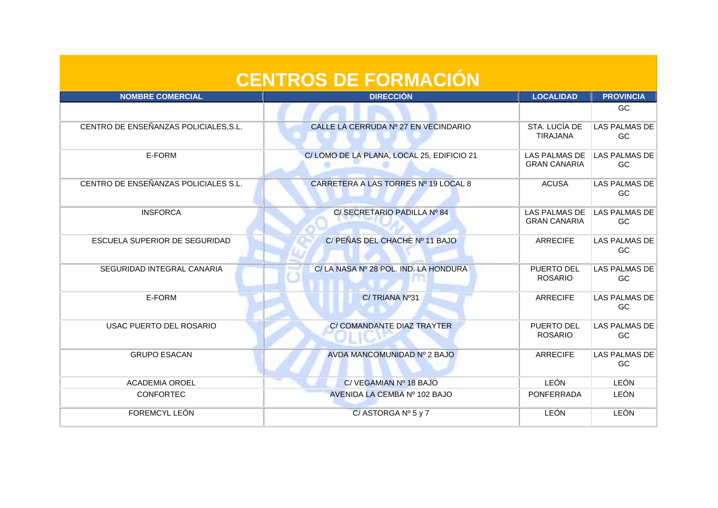| <b>CENTROS DE FORMACIÓN</b>           |                                           |                                             |                            |
|---------------------------------------|-------------------------------------------|---------------------------------------------|----------------------------|
| <b>NOMBRE COMERCIAL</b>               | <b>DIRECCIÓN</b>                          | <b>LOCALIDAD</b>                            | <b>PROVINCIA</b>           |
|                                       |                                           |                                             | GC                         |
| CENTRO DE ENSEÑANZAS POLICIALES, S.L. | CALLE LA CERRUDA Nº 27 EN VECINDARIO      | STA, LUCÍA DE<br><b>TIRAJANA</b>            | <b>LAS PALMAS DE</b><br>GC |
| E-FORM                                | C/LOMO DE LA PLANA, LOCAL 25, EDIFICIO 21 | <b>LAS PALMAS DE</b><br><b>GRAN CANARIA</b> | <b>LAS PALMAS DE</b><br>GC |
| CENTRO DE ENSEÑANZAS POLICIALES S.L.  | CARRETERA A LAS TORRES Nº 19 LOCAL 8      | <b>ACUSA</b>                                | <b>LAS PALMAS DE</b><br>GC |
| <b>INSFORCA</b>                       | C/ SECRETARIO PADILLA Nº 84               | <b>LAS PALMAS DE</b><br><b>GRAN CANARIA</b> | LAS PALMAS DE<br>GC        |
| ESCUELA SUPERIOR DE SEGURIDAD         | C/ PEÑAS DEL CHACHE Nº 11 BAJO            | <b>ARRECIFE</b>                             | <b>LAS PALMAS DE</b><br>GC |
| SEGURIDAD INTEGRAL CANARIA            | C/LA NASA Nº 28 POL. IND. LA HONDURA      | PUERTO DEL<br><b>ROSARIO</b>                | <b>LAS PALMAS DE</b><br>GC |
| E-FORM                                | C/TRIANA Nº31                             | <b>ARRECIFE</b>                             | <b>LAS PALMAS DE</b><br>GC |
| <b>USAC PUERTO DEL ROSARIO</b>        | C/ COMANDANTE DIAZ TRAYTER                | PUERTO DEL<br><b>ROSARIO</b>                | <b>LAS PALMAS DE</b><br>GC |
| <b>GRUPO ESACAN</b>                   | AVDA MANCOMUNIDAD Nº 2 BAJO               | <b>ARRECIFE</b>                             | <b>LAS PALMAS DE</b><br>GC |
| <b>ACADEMIA OROEL</b>                 | C/VEGAMIAN Nº 18 BAJO                     | LEÓN                                        | LEÓN                       |
| <b>CONFORTEC</b>                      | AVENIDA LA CEMBA Nº 102 BAJO              | PONFERRADA                                  | <b>LEÓN</b>                |
| FOREMCYL LEÓN                         | C/ASTORGA $N^{\circ}$ 5 y 7               | <b>LEÓN</b>                                 | <b>LEÓN</b>                |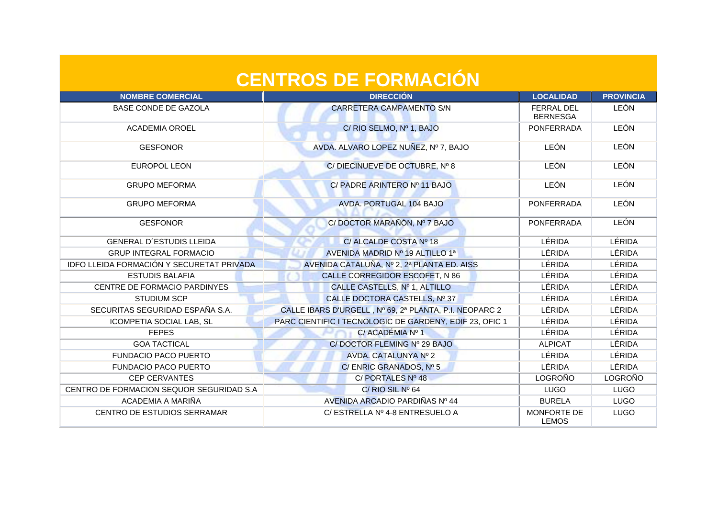| <b>NOMBRE COMERCIAL</b>                   | <b>DIRECCIÓN</b>                                        | <b>LOCALIDAD</b>                     | <b>PROVINCIA</b> |
|-------------------------------------------|---------------------------------------------------------|--------------------------------------|------------------|
| <b>BASE CONDE DE GAZOLA</b>               | <b>CARRETERA CAMPAMENTO S/N</b>                         | <b>FERRAL DEL</b><br><b>BERNESGA</b> | <b>LEÓN</b>      |
| <b>ACADEMIA OROEL</b>                     | C/ RIO SELMO, Nº 1, BAJO                                | <b>PONFERRADA</b>                    | <b>LEÓN</b>      |
| <b>GESFONOR</b>                           | AVDA. ALVARO LOPEZ NUÑEZ, Nº 7, BAJO                    | <b>LEÓN</b>                          | <b>LEÓN</b>      |
| <b>EUROPOL LEON</b>                       | C/DIECINUEVE DE OCTUBRE, Nº 8                           | LEÓN                                 | <b>LEÓN</b>      |
| <b>GRUPO MEFORMA</b>                      | C/ PADRE ARINTERO Nº 11 BAJO                            | <b>LEÓN</b>                          | <b>LEÓN</b>      |
| <b>GRUPO MEFORMA</b>                      | <b>AVDA. PORTUGAL 104 BAJO</b>                          | <b>PONFERRADA</b>                    | <b>LEÓN</b>      |
| <b>GESFONOR</b>                           | C/ DOCTOR MARAÑÓN, Nº 7 BAJO                            | <b>PONFERRADA</b>                    | <b>LEÓN</b>      |
| <b>GENERAL D'ESTUDIS LLEIDA</b>           | C/ ALCALDE COSTA Nº 18                                  | LÉRIDA                               | LÉRIDA           |
| <b>GRUP INTEGRAL FORMACIO</b>             | AVENIDA MADRID Nº 19 ALTILLO 1ª                         | LÉRIDA                               | <b>LÉRIDA</b>    |
| IDFO LLEIDA FORMACIÓN Y SECURETAT PRIVADA | AVENIDA CATALUÑA, Nº 2, 2ª PLANTA ED. AISS              | LÉRIDA                               | LÉRIDA           |
| <b>ESTUDIS BALAFIA</b>                    | CALLE CORREGIDOR ESCOFET, N 86                          | LÉRIDA                               | LÉRIDA           |
| CENTRE DE FORMACIO PARDINYES              | CALLE CASTELLS, Nº 1, ALTILLO                           | LÉRIDA                               | LÉRIDA           |
| <b>STUDIUM SCP</b>                        | CALLE DOCTORA CASTELLS, Nº 37                           | LÉRIDA                               | LÉRIDA           |
| SECURITAS SEGURIDAD ESPAÑA S.A.           | CALLE IBARS D'URGELL, Nº 69, 2ª PLANTA, P.I. NEOPARC 2  | LÉRIDA                               | LÉRIDA           |
| ICOMPETIA SOCIAL LAB, SL                  | PARC CIENTIFIC I TECNOLOGIC DE GARDENY, EDIF 23, OFIC 1 | LÉRIDA                               | LÉRIDA           |
| <b>FEPES</b>                              | C/ACADÉMIA Nº 1                                         | LÉRIDA                               | LÉRIDA           |
| <b>GOA TACTICAL</b>                       | C/DOCTOR FLEMING Nº 29 BAJO                             | <b>ALPICAT</b>                       | LÉRIDA           |
| <b>FUNDACIO PACO PUERTO</b>               | AVDA. CATALUNYA Nº 2                                    | LÉRIDA                               | LÉRIDA           |
| <b>FUNDACIO PACO PUERTO</b>               | C/ENRIC GRANADOS, Nº 5                                  | LÉRIDA                               | LÉRIDA           |
| <b>CEP CERVANTES</b>                      | C/PORTALES Nº 48                                        | <b>LOGROÑO</b>                       | LOGROÑO          |
| CENTRO DE FORMACION SEQUOR SEGURIDAD S.A. | $C/$ RIO SIL Nº 64                                      | <b>LUGO</b>                          | <b>LUGO</b>      |
| ACADEMIA A MARIÑA                         | AVENIDA ARCADIO PARDIÑAS Nº 44                          | <b>BURELA</b>                        | <b>LUGO</b>      |
| <b>CENTRO DE ESTUDIOS SERRAMAR</b>        | C/ ESTRELLA Nº 4-8 ENTRESUELO A                         | MONFORTE DE<br><b>LEMOS</b>          | <b>LUGO</b>      |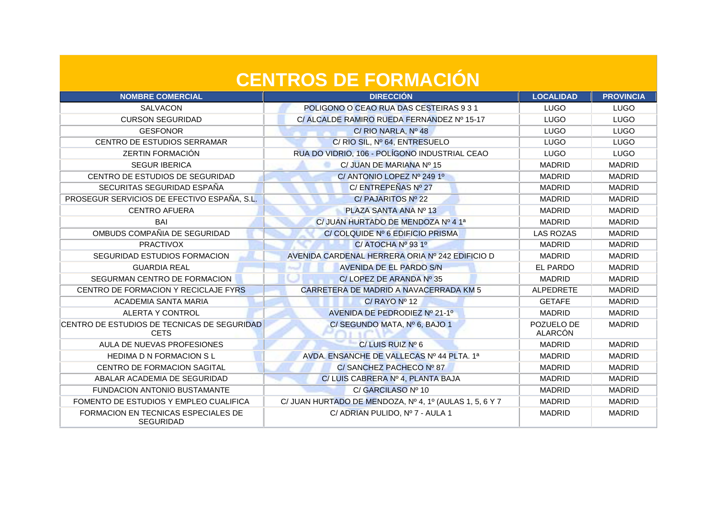| <b>NOMBRE COMERCIAL</b>                                    | <b>DIRECCIÓN</b>                                        | <b>LOCALIDAD</b>      | <b>PROVINCIA</b> |
|------------------------------------------------------------|---------------------------------------------------------|-----------------------|------------------|
| <b>SALVACON</b>                                            | POLIGONO O CEAO RUA DAS CESTEIRAS 9 3 1                 | LUGO                  | <b>LUGO</b>      |
| <b>CURSON SEGURIDAD</b>                                    | C/ALCALDE RAMIRO RUEDA FERNANDEZ Nº 15-17               | <b>LUGO</b>           | <b>LUGO</b>      |
| <b>GESFONOR</b>                                            | C/ RIO NARLA, $N^{\circ}$ 48                            | <b>LUGO</b>           | <b>LUGO</b>      |
| CENTRO DE ESTUDIOS SERRAMAR                                | C/ RIO SIL, Nº 64, ENTRESUELO                           | <b>LUGO</b>           | <b>LUGO</b>      |
| <b>ZERTIN FORMACIÓN</b>                                    | RUA DO VIDRIO, 106 - POLÍGONO INDUSTRIAL CEAO           | <b>LUGO</b>           | <b>LUGO</b>      |
| <b>SEGUR IBERICA</b>                                       | C/ JUAN DE MARIANA Nº 15                                | <b>MADRID</b>         | <b>MADRID</b>    |
| CENTRO DE ESTUDIOS DE SEGURIDAD                            | C/ ANTONIO LOPEZ Nº 249 1º                              | <b>MADRID</b>         | <b>MADRID</b>    |
| SECURITAS SEGURIDAD ESPAÑA                                 | C/ENTREPEÑAS Nº 27                                      | <b>MADRID</b>         | <b>MADRID</b>    |
| PROSEGUR SERVICIOS DE EFECTIVO ESPAÑA, S.L.                | C/ PAJARITOS Nº 22                                      | <b>MADRID</b>         | <b>MADRID</b>    |
| <b>CENTRO AFUERA</b>                                       | PLAZA SANTA ANA Nº 13                                   | <b>MADRID</b>         | <b>MADRID</b>    |
| BAI                                                        | C/ JUAN HURTADO DE MENDOZA Nº 4 1ª                      | <b>MADRID</b>         | <b>MADRID</b>    |
| OMBUDS COMPAÑIA DE SEGURIDAD                               | C/ COLQUIDE Nº 6 EDIFICIO PRISMA                        | <b>LAS ROZAS</b>      | <b>MADRID</b>    |
| <b>PRACTIVOX</b>                                           | $C/$ ATOCHA $N^{\circ}$ 93 1°                           | <b>MADRID</b>         | <b>MADRID</b>    |
| SEGURIDAD ESTUDIOS FORMACION                               | AVENIDA CARDENAL HERRERA ORIA Nº 242 EDIFICIO D         | <b>MADRID</b>         | <b>MADRID</b>    |
| <b>GUARDIA REAL</b>                                        | <b>AVENIDA DE EL PARDO S/N</b>                          | EL PARDO              | <b>MADRID</b>    |
| SEGURMAN CENTRO DE FORMACION                               | C/LOPEZ DE ARANDA Nº 35                                 | <b>MADRID</b>         | <b>MADRID</b>    |
| CENTRO DE FORMACION Y RECICLAJE FYRS                       | CARRETERA DE MADRID A NAVACERRADA KM 5                  | ALPEDRETE             | <b>MADRID</b>    |
| ACADEMIA SANTA MARIA                                       | $C/$ RAYO Nº 12                                         | <b>GETAFE</b>         | <b>MADRID</b>    |
| <b>ALERTA Y CONTROL</b>                                    | AVENIDA DE PEDRODIEZ Nº 21-1º                           | <b>MADRID</b>         | <b>MADRID</b>    |
| CENTRO DE ESTUDIOS DE TECNICAS DE SEGURIDAD<br><b>CETS</b> | C/SEGUNDO MATA, Nº 6, BAJO 1                            | POZUELO DE<br>ALARCÓN | <b>MADRID</b>    |
| AULA DE NUEVAS PROFESIONES                                 | C/LUIS RUIZ Nº 6                                        | <b>MADRID</b>         | <b>MADRID</b>    |
| <b>HEDIMA D N FORMACION S L</b>                            | AVDA, ENSANCHE DE VALLECAS Nº 44 PLTA, 1ª               | <b>MADRID</b>         | <b>MADRID</b>    |
| CENTRO DE FORMACION SAGITAL                                | C/SANCHEZ PACHECO Nº 87                                 | <b>MADRID</b>         | <b>MADRID</b>    |
| ABALAR ACADEMIA DE SEGURIDAD                               | C/LUIS CABRERA Nº 4, PLANTA BAJA                        | <b>MADRID</b>         | <b>MADRID</b>    |
| FUNDACION ANTONIO BUSTAMANTE                               | C/ GARCILASO Nº 10                                      | <b>MADRID</b>         | <b>MADRID</b>    |
| FOMENTO DE ESTUDIOS Y EMPLEO CUALIFICA                     | C/ JUAN HURTADO DE MENDOZA, Nº 4, 1º (AULAS 1, 5, 6 Y 7 | <b>MADRID</b>         | <b>MADRID</b>    |
| FORMACION EN TECNICAS ESPECIALES DE<br><b>SEGURIDAD</b>    | C/ ADRIAN PULIDO, Nº 7 - AULA 1                         | <b>MADRID</b>         | <b>MADRID</b>    |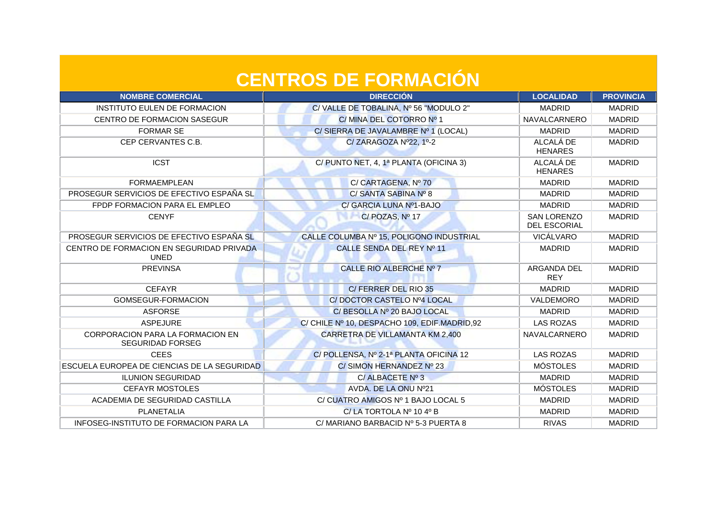| <b>CENTROS DE FORMACION</b> |  |
|-----------------------------|--|
|                             |  |
|                             |  |

| <b>NOMBRE COMERCIAL</b>                                     | <b>DIRECCIÓN</b>                             | <b>LOCALIDAD</b>                          | <b>PROVINCIA</b> |
|-------------------------------------------------------------|----------------------------------------------|-------------------------------------------|------------------|
| INSTITUTO EULEN DE FORMACION                                | C/VALLE DE TOBALINA, Nº 56 "MODULO 2"        | <b>MADRID</b>                             | <b>MADRID</b>    |
| CENTRO DE FORMACION SASEGUR                                 | C/MINA DEL COTORRO Nº 1                      | NAVALCARNERO                              | <b>MADRID</b>    |
| <b>FORMAR SE</b>                                            | C/SIERRA DE JAVALAMBRE Nº 1 (LOCAL)          | <b>MADRID</b>                             | <b>MADRID</b>    |
| CEP CERVANTES C.B.                                          | C/ZARAGOZA Nº22, 1º-2                        | ALCALÁ DE<br><b>HENARES</b>               | <b>MADRID</b>    |
| <b>ICST</b>                                                 | C/ PUNTO NET, 4, 1ª PLANTA (OFICINA 3)       | ALCALÁ DE<br><b>HENARES</b>               | <b>MADRID</b>    |
| <b>FORMAEMPLEAN</b>                                         | C/ CARTAGENA, Nº 70                          | <b>MADRID</b>                             | <b>MADRID</b>    |
| PROSEGUR SERVICIOS DE EFECTIVO ESPAÑA SLI                   | C/ SANTA SABINA Nº 8                         | <b>MADRID</b>                             | <b>MADRID</b>    |
| FPDP FORMACION PARA EL EMPLEO                               | C/ GARCIA LUNA Nº1-BAJO                      | <b>MADRID</b>                             | <b>MADRID</b>    |
| <b>CENYF</b>                                                | $C/$ POZAS, $No$ 17                          | <b>SAN LORENZO</b><br><b>DEL ESCORIAL</b> | <b>MADRID</b>    |
| PROSEGUR SERVICIOS DE EFECTIVO ESPAÑA SL                    | CALLE COLUMBA Nº 15, POLIGONO INDUSTRIAL     | VICÁLVARO                                 | <b>MADRID</b>    |
| CENTRO DE FORMACION EN SEGURIDAD PRIVADA<br><b>UNED</b>     | CALLE SENDA DEL REY Nº 11                    | <b>MADRID</b>                             | <b>MADRID</b>    |
| <b>PREVINSA</b>                                             | CALLE RIO ALBERCHE Nº 7                      | ARGANDA DEL<br><b>REY</b>                 | <b>MADRID</b>    |
| <b>CEFAYR</b>                                               | C/FERRER DEL RIO 35                          | <b>MADRID</b>                             | <b>MADRID</b>    |
| GOMSEGUR-FORMACION                                          | C/ DOCTOR CASTELO Nº4 LOCAL                  | VALDEMORO                                 | <b>MADRID</b>    |
| <b>ASFORSE</b>                                              | C/ BESOLLA Nº 20 BAJO LOCAL                  | <b>MADRID</b>                             | <b>MADRID</b>    |
| <b>ASPEJURE</b>                                             | C/ CHILE Nº 10, DESPACHO 109, EDIF.MADRID,92 | <b>LAS ROZAS</b>                          | <b>MADRID</b>    |
| CORPORACION PARA LA FORMACION EN<br><b>SEGURIDAD FORSEG</b> | CARRETRA DE VILLAMANTA KM 2,400              | <b>NAVALCARNERO</b>                       | <b>MADRID</b>    |
| <b>CEES</b>                                                 | C/ POLLENSA, Nº 2-1ª PLANTA OFICINA 12       | <b>LAS ROZAS</b>                          | <b>MADRID</b>    |
| ESCUELA EUROPEA DE CIENCIAS DE LA SEGURIDAD                 | C/SIMON HERNANDEZ Nº 23                      | <b>MÓSTOLES</b>                           | <b>MADRID</b>    |
| <b>ILUNION SEGURIDAD</b>                                    | C/ALBACETE Nº 3                              | <b>MADRID</b>                             | <b>MADRID</b>    |
| <b>CEFAYR MOSTOLES</b>                                      | AVDA. DE LA ONU Nº21                         | <b>MÓSTOLES</b>                           | <b>MADRID</b>    |
| ACADEMIA DE SEGURIDAD CASTILLA                              | C/ CUATRO AMIGOS Nº 1 BAJO LOCAL 5           | <b>MADRID</b>                             | <b>MADRID</b>    |
| PLANETALIA                                                  | $C/LA$ TORTOLA $No$ 10 4 <sup>o</sup> B      | <b>MADRID</b>                             | <b>MADRID</b>    |
| INFOSEG-INSTITUTO DE FORMACION PARA LA                      | C/MARIANO BARBACID Nº 5-3 PUERTA 8           | <b>RIVAS</b>                              | <b>MADRID</b>    |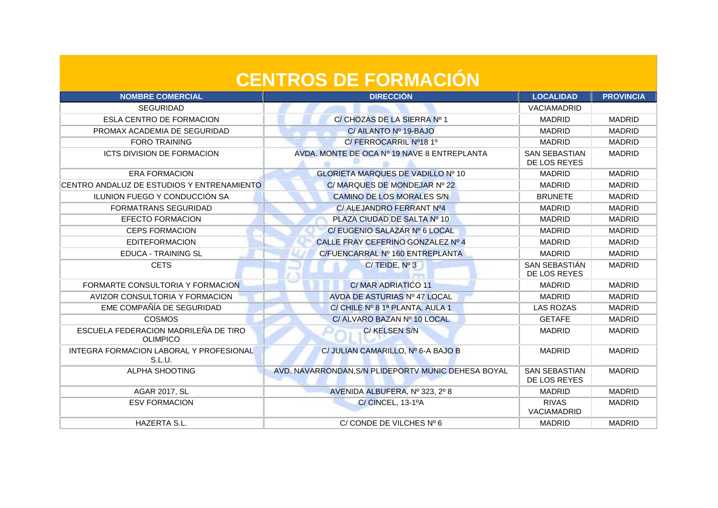| <b>NOMBRE COMERCIAL</b>                                 | <b>DIRECCIÓN</b>                                    | <b>LOCALIDAD</b>                     | <b>PROVINCIA</b> |
|---------------------------------------------------------|-----------------------------------------------------|--------------------------------------|------------------|
| <b>SEGURIDAD</b>                                        |                                                     | <b>VACIAMADRID</b>                   |                  |
| <b>ESLA CENTRO DE FORMACION</b>                         | C/ CHOZAS DE LA SIERRA Nº 1                         | <b>MADRID</b>                        | <b>MADRID</b>    |
| PROMAX ACADEMIA DE SEGURIDAD                            | C/ AILANTO Nº 19-BAJO                               | <b>MADRID</b>                        | <b>MADRID</b>    |
| <b>FORO TRAINING</b>                                    | C/FERROCARRIL Nº18 1º                               | <b>MADRID</b>                        | <b>MADRID</b>    |
| <b>ICTS DIVISION DE FORMACION</b>                       | AVDA. MONTE DE OCA Nº 19 NAVE 8 ENTREPLANTA         | <b>SAN SEBASTIAN</b><br>DE LOS REYES | <b>MADRID</b>    |
| <b>ERA FORMACION</b>                                    | <b>GLORIETA MARQUES DE VADILLO Nº 10</b>            | <b>MADRID</b>                        | <b>MADRID</b>    |
| CENTRO ANDALUZ DE ESTUDIOS Y ENTRENAMIENTO              | C/ MARQUES DE MONDEJAR Nº 22                        | <b>MADRID</b>                        | <b>MADRID</b>    |
| ILUNION FUEGO Y CONDUCCIÓN SA                           | <b>CAMINO DE LOS MORALES S/N</b>                    | <b>BRUNETE</b>                       | <b>MADRID</b>    |
| <b>FORMATRANS SEGURIDAD</b>                             | C/ ALEJANDRO FERRANT Nº4                            | <b>MADRID</b>                        | <b>MADRID</b>    |
| <b>EFECTO FORMACION</b>                                 | PLAZA CIUDAD DE SALTA Nº 10                         | <b>MADRID</b>                        | <b>MADRID</b>    |
| <b>CEPS FORMACION</b>                                   | C/ EUGENIO SALAZAR Nº 6 LOCAL                       | <b>MADRID</b>                        | <b>MADRID</b>    |
| <b>EDITEFORMACION</b>                                   | CALLE FRAY CEFERINO GONZALEZ Nº 4                   | <b>MADRID</b>                        | <b>MADRID</b>    |
| <b>EDUCA - TRAINING SL</b>                              | C/FUENCARRAL Nº 160 ENTREPLANTA                     | <b>MADRID</b>                        | <b>MADRID</b>    |
| <b>CETS</b>                                             | $C/TEIDE$ , $N^{\circ}3$                            | SAN SEBASTIÁN<br>DE LOS REYES        | <b>MADRID</b>    |
| FORMARTE CONSULTORIA Y FORMACION                        | C/MAR ADRIATICO 11                                  | <b>MADRID</b>                        | <b>MADRID</b>    |
| AVIZOR CONSULTORIA Y FORMACION                          | AVDA DE ASTURIAS Nº 47 LOCAL                        | <b>MADRID</b>                        | <b>MADRID</b>    |
| EME COMPAÑÍA DE SEGURIDAD                               | C/ CHILE Nº 8 1ª PLANTA, AULA 1                     | <b>LAS ROZAS</b>                     | <b>MADRID</b>    |
| <b>COSMOS</b>                                           | C/ ALVARO BAZAN Nº 10 LOCAL                         | <b>GETAFE</b>                        | <b>MADRID</b>    |
| ESCUELA FEDERACION MADRILEÑA DE TIRO<br><b>OLIMPICO</b> | C/KELSEN S/N                                        | <b>MADRID</b>                        | <b>MADRID</b>    |
| INTEGRA FORMACION LABORAL Y PROFESIONAL<br>S.L.U.       | C/ JULIAN CAMARILLO, Nº 6-A BAJO B                  | <b>MADRID</b>                        | <b>MADRID</b>    |
| <b>ALPHA SHOOTING</b>                                   | AVD. NAVARRONDAN, S/N PLIDEPORTV MUNIC DEHESA BOYAL | <b>SAN SEBASTIAN</b><br>DE LOS REYES | <b>MADRID</b>    |
| <b>AGAR 2017, SL</b>                                    | AVENIDA ALBUFERA, Nº 323, 2º 8                      | <b>MADRID</b>                        | <b>MADRID</b>    |
| <b>ESV FORMACION</b>                                    | C/CINCEL, 13-1ºA                                    | <b>RIVAS</b><br><b>VACIAMADRID</b>   | <b>MADRID</b>    |
| HAZERTA S.L.                                            | C/ CONDE DE VILCHES Nº 6                            | <b>MADRID</b>                        | <b>MADRID</b>    |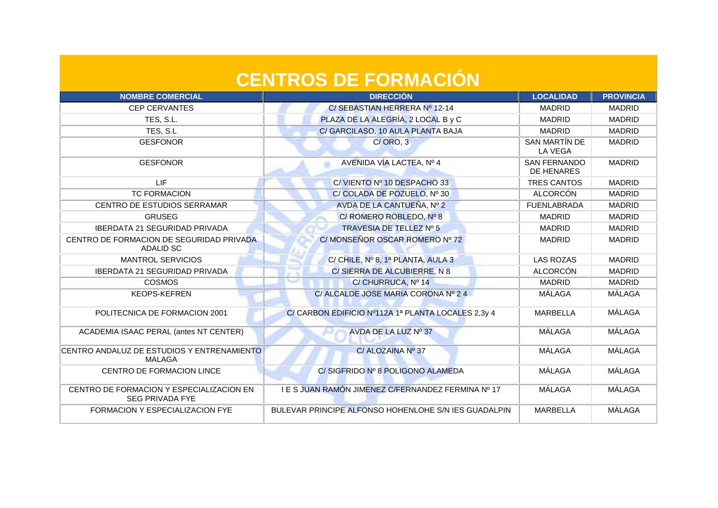| <b>NOMBRE COMERCIAL</b>                                            | <b>DIRECCIÓN</b>                                     | <b>LOCALIDAD</b>                  | <b>PROVINCIA</b> |
|--------------------------------------------------------------------|------------------------------------------------------|-----------------------------------|------------------|
| <b>CEP CERVANTES</b>                                               | C/ SEBASTIAN HERRERA Nº 12-14                        | <b>MADRID</b>                     | <b>MADRID</b>    |
| TES, S.L.                                                          | PLAZA DE LA ALEGRÍA, 2 LOCAL B y C                   | <b>MADRID</b>                     | <b>MADRID</b>    |
| TES, S.L.                                                          | C/ GARCILASO, 10 AULA PLANTA BAJA                    | <b>MADRID</b>                     | <b>MADRID</b>    |
| <b>GESFONOR</b>                                                    | C/ORO, 3                                             | SAN MARTÍN DE<br><b>LA VEGA</b>   | <b>MADRID</b>    |
| <b>GESFONOR</b>                                                    | AVENIDA VÍA LACTEA, Nº 4                             | <b>SAN FERNANDO</b><br>DE HENARES | <b>MADRID</b>    |
| <b>LIF</b>                                                         | C/VIENTO Nº 10 DESPACHO 33                           | <b>TRES CANTOS</b>                | <b>MADRID</b>    |
| <b>TC FORMACION</b>                                                | C/ COLADA DE POZUELO, Nº 30                          | <b>ALCORCÓN</b>                   | <b>MADRID</b>    |
| CENTRO DE ESTUDIOS SERRAMAR                                        | AVDA DE LA CANTUEÑA, Nº 2                            | <b>FUENLABRADA</b>                | <b>MADRID</b>    |
| <b>GRUSEG</b>                                                      | C/ ROMERO ROBLEDO, Nº 8                              | <b>MADRID</b>                     | <b>MADRID</b>    |
| <b>IBERDATA 21 SEGURIDAD PRIVADA</b>                               | TRAVESIA DE TELLEZ Nº 5                              | <b>MADRID</b>                     | <b>MADRID</b>    |
| CENTRO DE FORMACION DE SEGURIDAD PRIVADA<br>ADALID SC              | C/ MONSEÑOR OSCAR ROMERO Nº 72                       | <b>MADRID</b>                     | <b>MADRID</b>    |
| <b>MANTROL SERVICIOS</b>                                           | C/ CHILE, Nº 8, 1ª PLANTA, AULA 3                    | <b>LAS ROZAS</b>                  | <b>MADRID</b>    |
| <b>IBERDATA 21 SEGURIDAD PRIVADA</b>                               | C/ SIERRA DE ALCUBIERRE, N 8                         | <b>ALCORCÓN</b>                   | <b>MADRID</b>    |
| <b>COSMOS</b>                                                      | C/ CHURRUCA, Nº 14                                   | <b>MADRID</b>                     | <b>MADRID</b>    |
| <b>KEOPS-KEFREN</b>                                                | C/ ALCALDE JOSE MARIA CORONA Nº 24                   | MÁLAGA                            | MÁLAGA           |
| POLITECNICA DE FORMACION 2001                                      | C/ CARBON EDIFICIO Nº112A 1ª PLANTA LOCALES 2,3y 4   | <b>MARBELLA</b>                   | MÁLAGA           |
| ACADEMIA ISAAC PERAL (antes NT CENTER)                             | AVDA DE LA LUZ Nº 37                                 | MÁLAGA                            | MÁLAGA           |
| CENTRO ANDALUZ DE ESTUDIOS Y ENTRENAMIENTO<br><b>MALAGA</b>        | C/ ALOZAINA Nº 37                                    | MÁLAGA                            | MÁLAGA           |
| <b>CENTRO DE FORMACION LINCE</b>                                   | C/SIGFRIDO Nº 8 POLIGONO ALAMEDA                     | MÁLAGA                            | MÁLAGA           |
| CENTRO DE FORMACION Y ESPECIALIZACION EN<br><b>SEG PRIVADA FYE</b> | I E S JUAN RAMÓN JIMENEZ C/FERNANDEZ FERMINA Nº 17   | MÁLAGA                            | <b>MÁLAGA</b>    |
| FORMACION Y ESPECIALIZACION FYE                                    | BULEVAR PRINCIPE ALFONSO HOHENLOHE S/N IES GUADALPIN | <b>MARBELLA</b>                   | MÁLAGA           |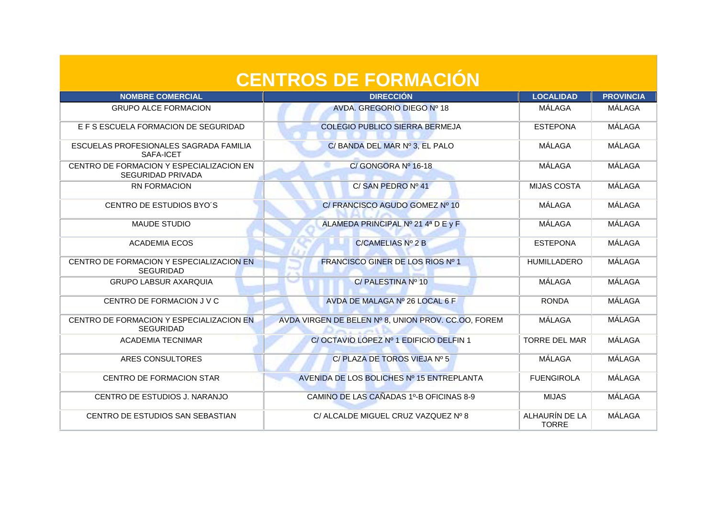| <b>CENTROS DE FORMACIÓN</b>                                          |                                                     |                                |                  |
|----------------------------------------------------------------------|-----------------------------------------------------|--------------------------------|------------------|
| <b>NOMBRE COMERCIAL</b>                                              | <b>DIRECCIÓN</b>                                    | <b>LOCALIDAD</b>               | <b>PROVINCIA</b> |
| <b>GRUPO ALCE FORMACION</b>                                          | AVDA, GREGORIO DIEGO Nº 18                          | MÁLAGA                         | MÁLAGA           |
| E F S ESCUELA FORMACION DE SEGURIDAD                                 | <b>COLEGIO PUBLICO SIERRA BERMEJA</b>               | <b>ESTEPONA</b>                | <b>MÁLAGA</b>    |
| ESCUELAS PROFESIONALES SAGRADA FAMILIA<br>SAFA-ICET                  | C/ BANDA DEL MAR Nº 3, EL PALO                      | MÁLAGA                         | MÁLAGA           |
| CENTRO DE FORMACION Y ESPECIALIZACION EN<br><b>SEGURIDAD PRIVADA</b> | C/GONGORA Nº 16-18                                  | MÁLAGA                         | MÁLAGA           |
| <b>RN FORMACION</b>                                                  | C/SAN PEDRO Nº 41                                   | <b>MIJAS COSTA</b>             | <b>MÁLAGA</b>    |
| CENTRO DE ESTUDIOS BYO'S                                             | C/ FRANCISCO AGUDO GOMEZ Nº 10                      | MÁLAGA                         | MÁLAGA           |
| <b>MAUDE STUDIO</b>                                                  | ALAMEDA PRINCIPAL Nº 21 4ª D E y F                  | MÁLAGA                         | MÁLAGA           |
| <b>ACADEMIA ECOS</b>                                                 | C/CAMELIAS N <sup>o</sup> 2 B                       | <b>ESTEPONA</b>                | <b>MÁLAGA</b>    |
| CENTRO DE FORMACION Y ESPECIALIZACION EN<br><b>SEGURIDAD</b>         | <b>FRANCISCO GINER DE LOS RIOS Nº 1</b>             | <b>HUMILLADERO</b>             | MÁLAGA           |
| <b>GRUPO LABSUR AXARQUIA</b>                                         | C/PALESTINA Nº 10                                   | MÁLAGA                         | MÁLAGA           |
| CENTRO DE FORMACION J V C                                            | AVDA DE MALAGA Nº 26 LOCAL 6 F                      | <b>RONDA</b>                   | <b>MÁLAGA</b>    |
| CENTRO DE FORMACION Y ESPECIALIZACION EN<br><b>SEGURIDAD</b>         | AVDA VIRGEN DE BELEN Nº 8, UNION PROV. CC.OO, FOREM | MÁLAGA                         | <b>MÁLAGA</b>    |
| <b>ACADEMIA TECNIMAR</b>                                             | C/OCTAVIO LOPEZ Nº 1 EDIFICIO DELFIN 1              | <b>TORRE DEL MAR</b>           | MÁLAGA           |
| ARES CONSULTORES                                                     | C/ PLAZA DE TOROS VIEJA Nº 5                        | MÁLAGA                         | <b>MÁLAGA</b>    |
| <b>CENTRO DE FORMACION STAR</b>                                      | AVENIDA DE LOS BOLICHES Nº 15 ENTREPLANTA           | <b>FUENGIROLA</b>              | <b>MÁLAGA</b>    |
| CENTRO DE ESTUDIOS J. NARANJO                                        | CAMINO DE LAS CAÑADAS 1º-B OFICINAS 8-9             | <b>MIJAS</b>                   | MÁLAGA           |
| CENTRO DE ESTUDIOS SAN SEBASTIAN                                     | C/ ALCALDE MIGUEL CRUZ VAZQUEZ Nº 8                 | ALHAURÍN DE LA<br><b>TORRE</b> | MÁLAGA           |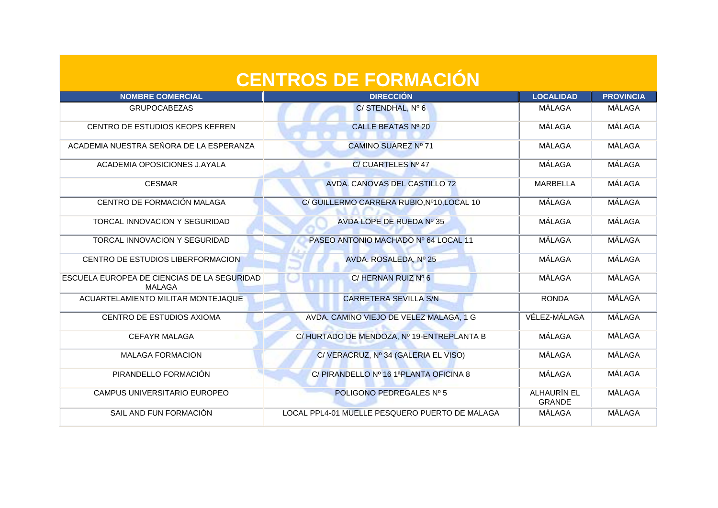| <b>CENTROS DE FORMACIÓN</b>                                  |                                                |                              |                  |
|--------------------------------------------------------------|------------------------------------------------|------------------------------|------------------|
| <b>NOMBRE COMERCIAL</b>                                      | <b>DIRECCIÓN</b>                               | <b>LOCALIDAD</b>             | <b>PROVINCIA</b> |
| <b>GRUPOCABEZAS</b>                                          | C/STENDHAL, Nº 6                               | MÁLAGA                       | MÁLAGA           |
| CENTRO DE ESTUDIOS KEOPS KEFREN                              | CALLE BEATAS Nº 20                             | MÁLAGA                       | <b>MÁLAGA</b>    |
| ACADEMIA NUESTRA SEÑORA DE LA ESPERANZA                      | CAMINO SUAREZ Nº 71                            | MÁLAGA                       | <b>MÁLAGA</b>    |
| ACADEMIA OPOSICIONES J.AYALA                                 | C/ CUARTELES Nº 47<br>۰                        | MÁLAGA                       | <b>MÁLAGA</b>    |
| <b>CESMAR</b>                                                | AVDA. CANOVAS DEL CASTILLO 72                  | <b>MARBELLA</b>              | MÁLAGA           |
| CENTRO DE FORMACIÓN MALAGA                                   | C/ GUILLERMO CARRERA RUBIO, Nº10, LOCAL 10     | MÁLAGA                       | MÁLAGA           |
| TORCAL INNOVACION Y SEGURIDAD                                | AVDA LOPE DE RUEDA Nº 35                       | MÁLAGA                       | MÁLAGA           |
| TORCAL INNOVACION Y SEGURIDAD                                | PASEO ANTONIO MACHADO Nº 64 LOCAL 11           | MÁLAGA                       | MÁLAGA           |
| CENTRO DE ESTUDIOS LIBERFORMACION                            | AVDA. ROSALEDA, Nº 25                          | MÁLAGA                       | MÁLAGA           |
| <b>ESCUELA EUROPEA DE CIENCIAS DE LA SEGURIDAD</b><br>MALAGA | $C/$ HERNAN RUIZ Nº 6                          | MÁLAGA                       | <b>MÁLAGA</b>    |
| ACUARTELAMIENTO MILITAR MONTEJAQUE                           | <b>CARRETERA SEVILLA S/N</b>                   | <b>RONDA</b>                 | <b>MÁLAGA</b>    |
| CENTRO DE ESTUDIOS AXIOMA                                    | AVDA. CAMINO VIEJO DE VELEZ MALAGA, 1 G        | VÉLEZ-MÁLAGA                 | MÁLAGA           |
| <b>CEFAYR MALAGA</b>                                         | C/HURTADO DE MENDOZA, Nº 19-ENTREPLANTA B      | MÁLAGA                       | MÁLAGA           |
| <b>MALAGA FORMACION</b>                                      | C/VERACRUZ, Nº 34 (GALERIA EL VISO)            | MÁLAGA                       | <b>MÁLAGA</b>    |
| PIRANDELLO FORMACIÓN                                         | C/PIRANDELLO Nº 16 1ªPLANTA OFICINA 8          | MÁLAGA                       | MÁLAGA           |
| CAMPUS UNIVERSITARIO EUROPEO                                 | POLIGONO PEDREGALES Nº 5                       | ALHAURÍN EL<br><b>GRANDE</b> | MÁLAGA           |
| SAIL AND FUN FORMACIÓN                                       | LOCAL PPL4-01 MUELLE PESQUERO PUERTO DE MALAGA | MÁLAGA                       | MÁLAGA           |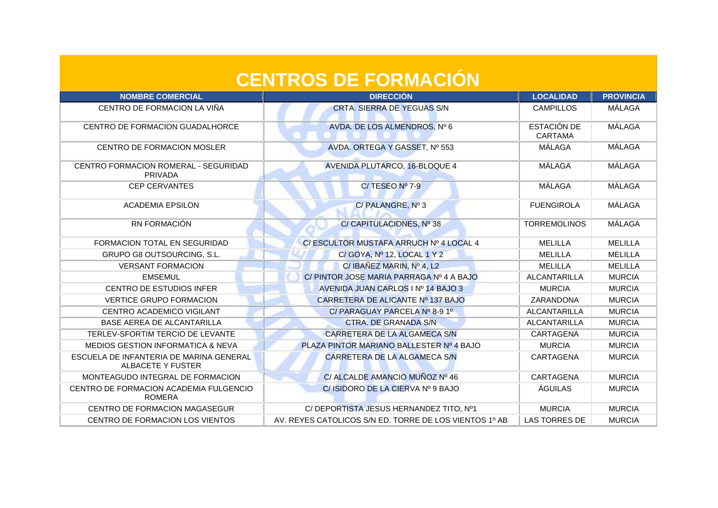| <b>CENTROS DE FORMACION</b>                                         |                                                        |                               |                  |
|---------------------------------------------------------------------|--------------------------------------------------------|-------------------------------|------------------|
| <b>NOMBRE COMERCIAL</b>                                             | <b>DIRECCIÓN</b>                                       | <b>LOCALIDAD</b>              | <b>PROVINCIA</b> |
| CENTRO DE FORMACION LA VIÑA                                         | <b>CRTA. SIERRA DE YEGUAS S/N</b>                      | <b>CAMPILLOS</b>              | MÁLAGA           |
| CENTRO DE FORMACION GUADALHORCE                                     | AVDA. DE LOS ALMENDROS, Nº 6                           | <b>ESTACIÓN DE</b><br>CARTAMA | <b>MÁLAGA</b>    |
| CENTRO DE FORMACION MOSLER                                          | AVDA. ORTEGA Y GASSET, Nº 553                          | MÁLAGA                        | MÁLAGA           |
| CENTRO FORMACION ROMERAL - SEGURIDAD<br>PRIVADA                     | <b>AVENIDA PLUTARCO, 16-BLOQUE 4</b>                   | MÁLAGA                        | MÁLAGA           |
| <b>CEP CERVANTES</b>                                                | C/TESEO Nº 7-9                                         | MÁLAGA                        | MÁLAGA           |
| <b>ACADEMIA EPSILON</b>                                             | C/PALANGRE, Nº 3                                       | <b>FUENGIROLA</b>             | MÁLAGA           |
| RN FORMACIÓN                                                        | C/ CAPITULACIONES, Nº 38                               | <b>TORREMOLINOS</b>           | MÁLAGA           |
| FORMACION TOTAL EN SEGURIDAD                                        | C/ ESCULTOR MUSTAFA ARRUCH Nº 4 LOCAL 4                | <b>MELILLA</b>                | <b>MELILLA</b>   |
| <b>GRUPO G8 OUTSOURCING, S.L.</b>                                   | C/ GOYA, Nº 12, LOCAL 1 Y 2                            | <b>MELILLA</b>                | <b>MELILLA</b>   |
| <b>VERSANT FORMACION</b>                                            | C/ IBAÑEZ MARIN, Nº 4, L2                              | <b>MELILLA</b>                | <b>MELILLA</b>   |
| <b>EMSEMUL</b>                                                      | C/PINTOR JOSE MARIA PARRAGA Nº 4 A BAJO                | ALCANTARILLA                  | <b>MURCIA</b>    |
| <b>CENTRO DE ESTUDIOS INFER</b>                                     | AVENIDA JUAN CARLOS I Nº 14 BAJO 3                     | <b>MURCIA</b>                 | <b>MURCIA</b>    |
| <b>VERTICE GRUPO FORMACION</b>                                      | CARRETERA DE ALICANTE Nº 137 BAJO                      | ZARANDONA                     | <b>MURCIA</b>    |
| CENTRO ACADEMICO VIGILANT                                           | C/PARAGUAY PARCELA Nº 8-9 1º                           | <b>ALCANTARILLA</b>           | <b>MURCIA</b>    |
| BASE AEREA DE ALCANTARILLA                                          | <b>CTRA. DE GRANADA S/N</b>                            | ALCANTARILLA                  | <b>MURCIA</b>    |
| TERLEV-SFORTIM TERCIO DE LEVANTE                                    | CARRETERA DE LA ALGAMECA S/N                           | CARTAGENA                     | <b>MURCIA</b>    |
| <b>MEDIOS GESTION INFORMATICA &amp; NEVA</b>                        | PLAZA PINTOR MARIANO BALLESTER Nº 4 BAJO               | <b>MURCIA</b>                 | <b>MURCIA</b>    |
| ESCUELA DE INFANTERIA DE MARINA GENERAL<br><b>ALBACETE Y FUSTER</b> | CARRETERA DE LA ALGAMECA S/N                           | CARTAGENA                     | <b>MURCIA</b>    |
| MONTEAGUDO INTEGRAL DE FORMACION                                    | C/ ALCALDE AMANCIO MUÑOZ Nº 46                         | <b>CARTAGENA</b>              | <b>MURCIA</b>    |
| CENTRO DE FORMACION ACADEMIA FULGENCIO<br><b>ROMERA</b>             | C/ ISIDORO DE LA CIERVA Nº 9 BAJO                      | ÁGUILAS                       | <b>MURCIA</b>    |
| CENTRO DE FORMACION MAGASEGUR                                       | C/ DEPORTISTA JESUS HERNANDEZ TITO, Nº1                | <b>MURCIA</b>                 | <b>MURCIA</b>    |
| CENTRO DE FORMACION LOS VIENTOS                                     | AV. REYES CATOLICOS S/N ED. TORRE DE LOS VIENTOS 1º AB | <b>LAS TORRES DE</b>          | <b>MURCIA</b>    |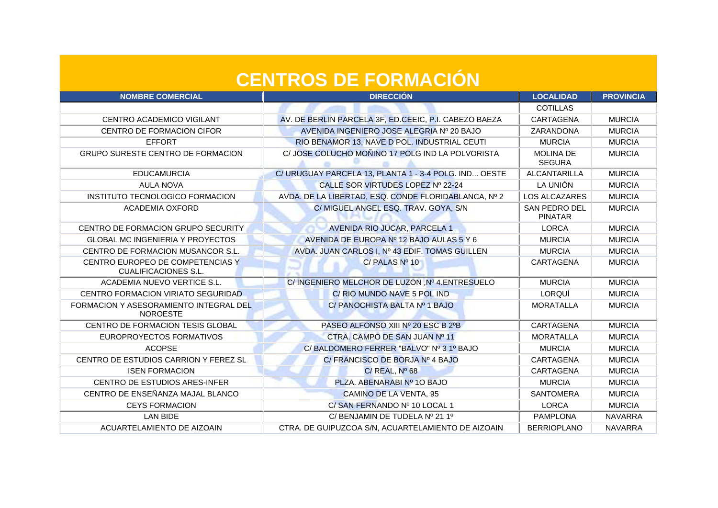| <b>NOMBRE COMERCIAL</b>                                   | <b>DIRECCIÓN</b>                                      | <b>LOCALIDAD</b>                  | <b>PROVINCIA</b> |
|-----------------------------------------------------------|-------------------------------------------------------|-----------------------------------|------------------|
|                                                           |                                                       | <b>COTILLAS</b>                   |                  |
| CENTRO ACADEMICO VIGILANT                                 | AV. DE BERLIN PARCELA 3F, ED.CEEIC, P.I. CABEZO BAEZA | CARTAGENA                         | <b>MURCIA</b>    |
| CENTRO DE FORMACION CIFOR                                 | AVENIDA INGENIERO JOSE ALEGRIA Nº 20 BAJO             | ZARANDONA                         | <b>MURCIA</b>    |
| <b>EFFORT</b>                                             | RIO BENAMOR 13, NAVE D POL. INDUSTRIAL CEUTI          | <b>MURCIA</b>                     | <b>MURCIA</b>    |
| GRUPO SURESTE CENTRO DE FORMACION                         | C/ JOSE COLUCHO MOÑINO 17 POLG IND LA POLVORISTA      | <b>MOLINA DE</b><br><b>SEGURA</b> | <b>MURCIA</b>    |
| <b>EDUCAMURCIA</b>                                        | C/ URUGUAY PARCELA 13, PLANTA 1 - 3-4 POLG. IND OESTE | <b>ALCANTARILLA</b>               | <b>MURCIA</b>    |
| <b>AULA NOVA</b>                                          | CALLE SOR VIRTUDES LOPEZ Nº 22-24                     | LA UNIÓN                          | <b>MURCIA</b>    |
| INSTITUTO TECNOLOGICO FORMACION                           | AVDA. DE LA LIBERTAD, ESQ. CONDE FLORIDABLANCA, Nº 2  | <b>LOS ALCAZARES</b>              | <b>MURCIA</b>    |
| <b>ACADEMIA OXFORD</b>                                    | C/ MIGUEL ANGEL ESQ. TRAV. GOYA, S/N                  | SAN PEDRO DEL<br><b>PINATAR</b>   | <b>MURCIA</b>    |
| CENTRO DE FORMACION GRUPO SECURITY                        | <b>AVENIDA RIO JUCAR, PARCELA 1</b>                   | <b>LORCA</b>                      | <b>MURCIA</b>    |
| <b>GLOBAL MC INGENIERIA Y PROYECTOS</b>                   | AVENIDA DE EUROPA Nº 12 BAJO AULAS 5 Y 6              | <b>MURCIA</b>                     | <b>MURCIA</b>    |
| CENTRO DE FORMACION MUSANCOR S.L.                         | AVDA. JUAN CARLOS I, Nº 43 EDIF. TOMAS GUILLEN        | <b>MURCIA</b>                     | <b>MURCIA</b>    |
| CENTRO EUROPEO DE COMPETENCIAS Y<br>CUALIFICACIONES S.L.  | C/PALAS Nº 10                                         | CARTAGENA                         | <b>MURCIA</b>    |
| ACADEMIA NUEVO VERTICE S.L.                               | C/INGENIERO MELCHOR DE LUZON, Nº 4. ENTRESUELO        | <b>MURCIA</b>                     | <b>MURCIA</b>    |
| CENTRO FORMACION VIRIATO SEGURIDAD                        | C/ RIO MUNDO NAVE 5 POL IND                           | LORQUÍ                            | <b>MURCIA</b>    |
| FORMACION Y ASESORAMIENTO INTEGRAL DEL<br><b>NOROESTE</b> | C/ PANOCHISTA BALTA Nº 1 BAJO                         | <b>MORATALLA</b>                  | <b>MURCIA</b>    |
| CENTRO DE FORMACION TESIS GLOBAL                          | PASEO ALFONSO XIII Nº 20 ESC B 2ºB                    | CARTAGENA                         | <b>MURCIA</b>    |
| EUROPROYECTOS FORMATIVOS                                  | CTRA. CAMPO DE SAN JUAN Nº 11                         | <b>MORATALLA</b>                  | <b>MURCIA</b>    |
| <b>ACOPSE</b>                                             | C/BALDOMERO FERRER "BALVO" Nº 3 1º BAJO               | <b>MURCIA</b>                     | <b>MURCIA</b>    |
| CENTRO DE ESTUDIOS CARRION Y FEREZ SL                     | C/ FRANCISCO DE BORJA Nº 4 BAJO                       | CARTAGENA                         | <b>MURCIA</b>    |
| <b>ISEN FORMACION</b>                                     | $C/$ REAL, $N^{\circ}$ 68                             | CARTAGENA                         | <b>MURCIA</b>    |
| CENTRO DE ESTUDIOS ARES-INFER                             | PLZA. ABENARABI Nº 10 BAJO                            | <b>MURCIA</b>                     | <b>MURCIA</b>    |
| CENTRO DE ENSEÑANZA MAJAL BLANCO                          | <b>CAMINO DE LA VENTA, 95</b>                         | <b>SANTOMERA</b>                  | <b>MURCIA</b>    |
| <b>CEYS FORMACION</b>                                     | C/SAN FERNANDO Nº 10 LOCAL 1                          | <b>LORCA</b>                      | <b>MURCIA</b>    |
| <b>LAN BIDE</b>                                           | C/ BENJAMIN DE TUDELA Nº 21 1º                        | <b>PAMPLONA</b>                   | <b>NAVARRA</b>   |
| ACUARTELAMIENTO DE AIZOAIN                                | CTRA. DE GUIPUZCOA S/N, ACUARTELAMIENTO DE AIZOAIN    | <b>BERRIOPLANO</b>                | <b>NAVARRA</b>   |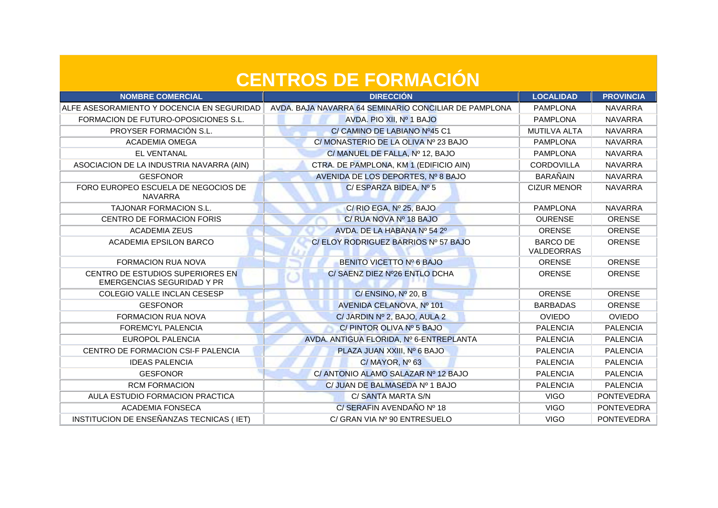| <b>NOMBRE COMERCIAL</b>                                               | <b>DIRECCIÓN</b>                                      | <b>LOCALIDAD</b>              | <b>PROVINCIA</b>  |
|-----------------------------------------------------------------------|-------------------------------------------------------|-------------------------------|-------------------|
| ALFE ASESORAMIENTO Y DOCENCIA EN SEGURIDAD                            | AVDA. BAJA NAVARRA 64 SEMINARIO CONCILIAR DE PAMPLONA | <b>PAMPLONA</b>               | <b>NAVARRA</b>    |
| FORMACION DE FUTURO-OPOSICIONES S.L.                                  | AVDA. PIO XII, Nº 1 BAJO                              | <b>PAMPLONA</b>               | <b>NAVARRA</b>    |
| PROYSER FORMACIÓN S.L.                                                | C/ CAMINO DE LABIANO Nº45 C1                          | <b>MUTILVA ALTA</b>           | <b>NAVARRA</b>    |
| <b>ACADEMIA OMEGA</b>                                                 | C/ MONASTERIO DE LA OLIVA Nº 23 BAJO                  | <b>PAMPLONA</b>               | <b>NAVARRA</b>    |
| <b>EL VENTANAL</b>                                                    | C/ MANUEL DE FALLA, Nº 12, BAJO                       | <b>PAMPLONA</b>               | <b>NAVARRA</b>    |
| ASOCIACION DE LA INDUSTRIA NAVARRA (AIN)                              | CTRA. DE PAMPLONA, KM 1 (EDIFICIO AIN)                | CORDOVILLA                    | <b>NAVARRA</b>    |
| <b>GESFONOR</b>                                                       | AVENIDA DE LOS DEPORTES, Nº 8 BAJO                    | <b>BARAÑAIN</b>               | <b>NAVARRA</b>    |
| FORO EUROPEO ESCUELA DE NEGOCIOS DE<br>NAVARRA                        | C/ ESPARZA BIDEA, Nº 5                                | <b>CIZUR MENOR</b>            | <b>NAVARRA</b>    |
| TAJONAR FORMACION S.L.                                                | C/ RIO EGA, Nº 25, BAJO                               | <b>PAMPLONA</b>               | <b>NAVARRA</b>    |
| <b>CENTRO DE FORMACION FORIS</b>                                      | C/ RUA NOVA Nº 18 BAJO                                | <b>OURENSE</b>                | <b>ORENSE</b>     |
| <b>ACADEMIA ZEUS</b>                                                  | AVDA. DE LA HABANA Nº 54 2º                           | <b>ORENSE</b>                 | <b>ORENSE</b>     |
| <b>ACADEMIA EPSILON BARCO</b>                                         | C/ELOY RODRIGUEZ BARRIOS Nº 57 BAJO                   | <b>BARCO DE</b><br>VALDEORRAS | <b>ORENSE</b>     |
| <b>FORMACION RUA NOVA</b>                                             | BENITO VICETTO Nº 6 BAJO                              | <b>ORENSE</b>                 | <b>ORENSE</b>     |
| CENTRO DE ESTUDIOS SUPERIORES EN<br><b>EMERGENCIAS SEGURIDAD Y PR</b> | C/ SAENZ DIEZ Nº26 ENTLO DCHA                         | <b>ORENSE</b>                 | <b>ORENSE</b>     |
| COLEGIO VALLE INCLAN CESESP                                           | C/ENSINO, Nº 20, B                                    | ORENSE                        | ORENSE            |
| <b>GESFONOR</b>                                                       | AVENIDA CELANOVA, Nº 101                              | <b>BARBADAS</b>               | <b>ORENSE</b>     |
| <b>FORMACION RUA NOVA</b>                                             | C/ JARDIN Nº 2, BAJO, AULA 2                          | <b>OVIEDO</b>                 | <b>OVIEDO</b>     |
| <b>FOREMCYL PALENCIA</b>                                              | C/ PINTOR OLIVA Nº 5 BAJO                             | <b>PALENCIA</b>               | <b>PALENCIA</b>   |
| <b>EUROPOL PALENCIA</b>                                               | AVDA. ANTIGUA FLORIDA, Nº 6-ENTREPLANTA               | <b>PALENCIA</b>               | <b>PALENCIA</b>   |
| CENTRO DE FORMACION CSI-F PALENCIA                                    | PLAZA JUAN XXIII, Nº 6 BAJO                           | <b>PALENCIA</b>               | <b>PALENCIA</b>   |
| <b>IDEAS PALENCIA</b>                                                 | $C/MAYOR$ , $No 63$                                   | <b>PALENCIA</b>               | <b>PALENCIA</b>   |
| <b>GESFONOR</b>                                                       | C/ ANTONIO ALAMO SALAZAR Nº 12 BAJO                   | <b>PALENCIA</b>               | <b>PALENCIA</b>   |
| <b>RCM FORMACION</b>                                                  | C/ JUAN DE BALMASEDA Nº 1 BAJO                        | <b>PALENCIA</b>               | <b>PALENCIA</b>   |
| AULA ESTUDIO FORMACION PRACTICA                                       | C/ SANTA MARTA S/N                                    | <b>VIGO</b>                   | <b>PONTEVEDRA</b> |
| <b>ACADEMIA FONSECA</b>                                               | C/SERAFIN AVENDAÑO Nº 18                              | <b>VIGO</b>                   | PONTEVEDRA        |
| INSTITUCION DE ENSEÑANZAS TECNICAS (IET)                              | C/ GRAN VIA Nº 90 ENTRESUELO                          | <b>VIGO</b>                   | PONTEVEDRA        |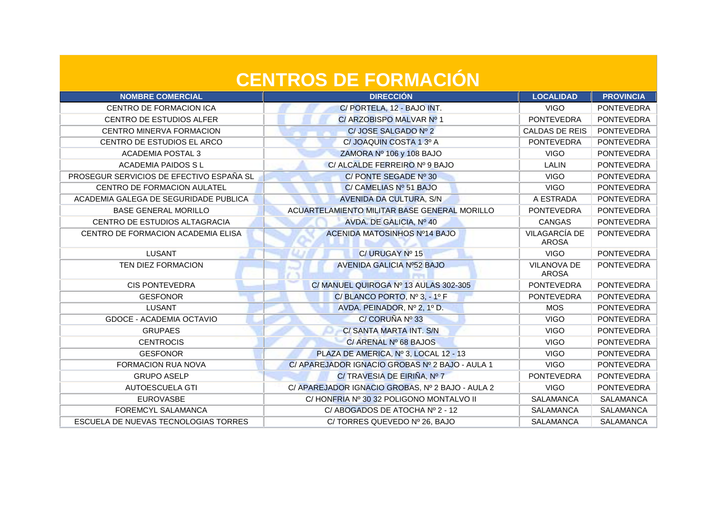| <b>NOMBRE COMERCIAL</b>                  | <b>DIRECCIÓN</b>                                 | <b>LOCALIDAD</b>                   | <b>PROVINCIA</b>  |
|------------------------------------------|--------------------------------------------------|------------------------------------|-------------------|
| CENTRO DE FORMACION ICA                  | C/ PORTELA, 12 - BAJO INT.                       | <b>VIGO</b>                        | <b>PONTEVEDRA</b> |
| CENTRO DE ESTUDIOS ALFER                 | C/ ARZOBISPO MALVAR Nº 1                         | <b>PONTEVEDRA</b>                  | <b>PONTEVEDRA</b> |
| CENTRO MINERVA FORMACION                 | C/JOSE SALGADO Nº 2                              | CALDAS DE REIS                     | <b>PONTEVEDRA</b> |
| CENTRO DE ESTUDIOS EL ARCO               | C/JOAQUIN COSTA 1 3º A                           | <b>PONTEVEDRA</b>                  | <b>PONTEVEDRA</b> |
| <b>ACADEMIA POSTAL 3</b>                 | ZAMORA Nº 106 y 108 BAJO                         | <b>VIGO</b>                        | <b>PONTEVEDRA</b> |
| <b>ACADEMIA PAIDOS SL</b>                | C/ ALCALDE FERREIRO Nº 9 BAJO                    | LALIN                              | <b>PONTEVEDRA</b> |
| PROSEGUR SERVICIOS DE EFECTIVO ESPAÑA SL | C/PONTE SEGADE Nº 30                             | <b>VIGO</b>                        | <b>PONTEVEDRA</b> |
| CENTRO DE FORMACION AULATEL              | C/ CAMELIAS Nº 51 BAJO                           | <b>VIGO</b>                        | <b>PONTEVEDRA</b> |
| ACADEMIA GALEGA DE SEGURIDADE PUBLICA    | <b>AVENIDA DA CULTURA, S/N</b>                   | A ESTRADA                          | <b>PONTEVEDRA</b> |
| <b>BASE GENERAL MORILLO</b>              | ACUARTELAMIENTO MILITAR BASE GENERAL MORILLO     | <b>PONTEVEDRA</b>                  | <b>PONTEVEDRA</b> |
| CENTRO DE ESTUDIOS ALTAGRACIA            | AVDA. DE GALICIA, Nº 40                          | <b>CANGAS</b>                      | <b>PONTEVEDRA</b> |
| CENTRO DE FORMACION ACADEMIA ELISA       | ACENIDA MATOSINHOS Nº14 BAJO                     | VILAGARCÍA DE<br><b>AROSA</b>      | <b>PONTEVEDRA</b> |
| <b>LUSANT</b>                            | C/URUGAY Nº 15                                   | <b>VIGO</b>                        | <b>PONTEVEDRA</b> |
| TEN DIEZ FORMACION                       | <b>AVENIDA GALICIA Nº52 BAJO</b>                 | <b>VILANOVA DE</b><br><b>AROSA</b> | <b>PONTEVEDRA</b> |
| <b>CIS PONTEVEDRA</b>                    | C/ MANUEL QUIROGA Nº 13 AULAS 302-305            | <b>PONTEVEDRA</b>                  | <b>PONTEVEDRA</b> |
| <b>GESFONOR</b>                          | C/BLANCO PORTO, Nº 3, - 1º F                     | <b>PONTEVEDRA</b>                  | <b>PONTEVEDRA</b> |
| <b>LUSANT</b>                            | AVDA. PEINADOR, Nº 2, 1º D.                      | <b>MOS</b>                         | <b>PONTEVEDRA</b> |
| <b>GDOCE - ACADEMIA OCTAVIO</b>          | C/ CORUÑA Nº 33                                  | <b>VIGO</b>                        | <b>PONTEVEDRA</b> |
| <b>GRUPAES</b>                           | C/ SANTA MARTA INT. S/N                          | <b>VIGO</b>                        | <b>PONTEVEDRA</b> |
| <b>CENTROCIS</b>                         | C/ ARENAL Nº 68 BAJOS                            | <b>VIGO</b>                        | <b>PONTEVEDRA</b> |
| <b>GESFONOR</b>                          | PLAZA DE AMERICA, Nº 3, LOCAL 12 - 13            | <b>VIGO</b>                        | <b>PONTEVEDRA</b> |
| <b>FORMACION RUA NOVA</b>                | C/ APAREJADOR IGNACIO GROBAS Nº 2 BAJO - AULA 1  | <b>VIGO</b>                        | <b>PONTEVEDRA</b> |
| <b>GRUPO ASELP</b>                       | C/ TRAVESIA DE EIRIÑA, Nº 7                      | <b>PONTEVEDRA</b>                  | <b>PONTEVEDRA</b> |
| <b>AUTOESCUELA GTI</b>                   | C/ APAREJADOR IGNACIO GROBAS, Nº 2 BAJO - AULA 2 | <b>VIGO</b>                        | <b>PONTEVEDRA</b> |
| <b>EUROVASBE</b>                         | C/HONFRIA Nº 30 32 POLIGONO MONTALVO II          | <b>SALAMANCA</b>                   | <b>SALAMANCA</b>  |
| FOREMCYL SALAMANCA                       | C/ABOGADOS DE ATOCHA Nº 2 - 12                   | <b>SALAMANCA</b>                   | <b>SALAMANCA</b>  |
| ESCUELA DE NUEVAS TECNOLOGIAS TORRES     | C/TORRES QUEVEDO Nº 26, BAJO                     | <b>SALAMANCA</b>                   | <b>SALAMANCA</b>  |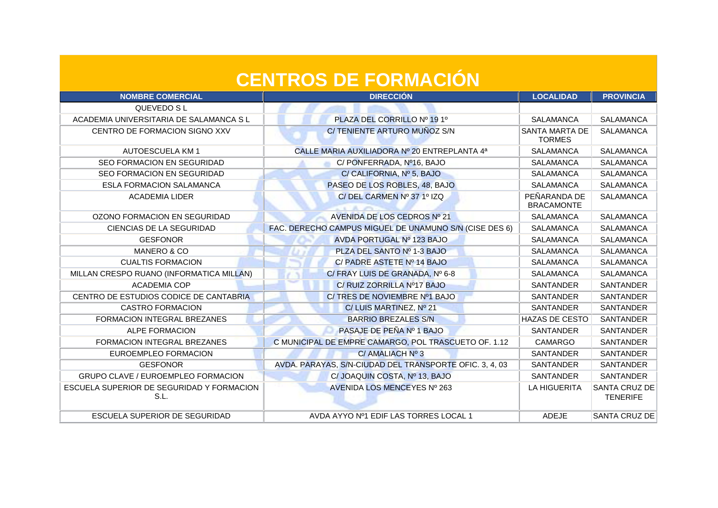| <b>NOMBRE COMERCIAL</b>                           | <b>DIRECCIÓN</b>                                        | <b>LOCALIDAD</b>                       | <b>PROVINCIA</b>                 |
|---------------------------------------------------|---------------------------------------------------------|----------------------------------------|----------------------------------|
| QUEVEDO S L                                       |                                                         |                                        |                                  |
| ACADEMIA UNIVERSITARIA DE SALAMANCA S L           | PLAZA DEL CORRILLO Nº 191º                              | <b>SALAMANCA</b>                       | <b>SALAMANCA</b>                 |
| CENTRO DE FORMACION SIGNO XXV                     | C/TENIENTE ARTURO MUÑOZ S/N                             | <b>SANTA MARTA DE</b><br><b>TORMES</b> | <b>SALAMANCA</b>                 |
| <b>AUTOESCUELA KM1</b>                            | CALLE MARIA AUXILIADORA Nº 20 ENTREPLANTA 4ª            | <b>SALAMANCA</b>                       | <b>SALAMANCA</b>                 |
| <b>SEO FORMACION EN SEGURIDAD</b>                 | C/ PONFERRADA, Nº16, BAJO                               | <b>SALAMANCA</b>                       | <b>SALAMANCA</b>                 |
| <b>SEO FORMACION EN SEGURIDAD</b>                 | C/ CALIFORNIA, Nº 5, BAJO                               | <b>SALAMANCA</b>                       | <b>SALAMANCA</b>                 |
| <b>ESLA FORMACION SALAMANCA</b>                   | PASEO DE LOS ROBLES, 48, BAJO                           | <b>SALAMANCA</b>                       | <b>SALAMANCA</b>                 |
| <b>ACADEMIA LIDER</b>                             | C/DEL CARMEN Nº 37 1º IZQ                               | PEÑARANDA DE<br><b>BRACAMONTE</b>      | <b>SALAMANCA</b>                 |
| OZONO FORMACION EN SEGURIDAD                      | AVENIDA DE LOS CEDROS Nº 21                             | <b>SALAMANCA</b>                       | <b>SALAMANCA</b>                 |
| CIENCIAS DE LA SEGURIDAD                          | FAC. DERECHO CAMPUS MIGUEL DE UNAMUNO S/N (CISE DES 6)  | <b>SALAMANCA</b>                       | <b>SALAMANCA</b>                 |
| <b>GESFONOR</b>                                   | AVDA PORTUGAL Nº 123 BAJO                               | SALAMANCA                              | SALAMANCA                        |
| <b>MANERO &amp; CO</b>                            | PLZA DEL SANTO Nº 1-3 BAJO                              | <b>SALAMANCA</b>                       | <b>SALAMANCA</b>                 |
| <b>CUALTIS FORMACION</b>                          | C/ PADRE ASTETE Nº 14 BAJO                              | <b>SALAMANCA</b>                       | <b>SALAMANCA</b>                 |
| MILLAN CRESPO RUANO (INFORMATICA MILLAN)          | C/ FRAY LUIS DE GRANADA, Nº 6-8                         | <b>SALAMANCA</b>                       | <b>SALAMANCA</b>                 |
| <b>ACADEMIA COP</b>                               | C/ RUIZ ZORRILLA Nº17 BAJO                              | <b>SANTANDER</b>                       | <b>SANTANDER</b>                 |
| CENTRO DE ESTUDIOS CODICE DE CANTABRIA            | C/ TRES DE NOVIEMBRE Nº1 BAJO                           | <b>SANTANDER</b>                       | SANTANDER                        |
| <b>CASTRO FORMACION</b>                           | C/LUIS MARTINEZ, Nº 21                                  | <b>SANTANDER</b>                       | SANTANDER                        |
| FORMACION INTEGRAL BREZANES                       | <b>BARRIO BREZALES S/N</b>                              | <b>HAZAS DE CESTO</b>                  | SANTANDER                        |
| <b>ALPE FORMACION</b>                             | PASAJE DE PEÑA Nº 1 BAJO                                | <b>SANTANDER</b>                       | <b>SANTANDER</b>                 |
| <b>FORMACION INTEGRAL BREZANES</b>                | C MUNICIPAL DE EMPRE CAMARGO, POL TRASCUETO OF. 1.12    | <b>CAMARGO</b>                         | <b>SANTANDER</b>                 |
| EUROEMPLEO FORMACION                              | C/ AMALIACH Nº 3                                        | <b>SANTANDER</b>                       | SANTANDER                        |
| <b>GESFONOR</b>                                   | AVDA. PARAYAS, S/N-CIUDAD DEL TRANSPORTE OFIC. 3, 4, 03 | <b>SANTANDER</b>                       | SANTANDER                        |
| GRUPO CLAVE / EUROEMPLEO FORMACION                | C/ JOAQUIN COSTA, Nº 13, BAJO                           | <b>SANTANDER</b>                       | <b>SANTANDER</b>                 |
| ESCUELA SUPERIOR DE SEGURIDAD Y FORMACION<br>S.L. | AVENIDA LOS MENCEYES Nº 263                             | <b>LA HIGUERITA</b>                    | SANTA CRUZ DE<br><b>TENERIFE</b> |
| ESCUELA SUPERIOR DE SEGURIDAD                     | AVDA AYYO Nº1 EDIF LAS TORRES LOCAL 1                   | <b>ADEJE</b>                           | SANTA CRUZ DE                    |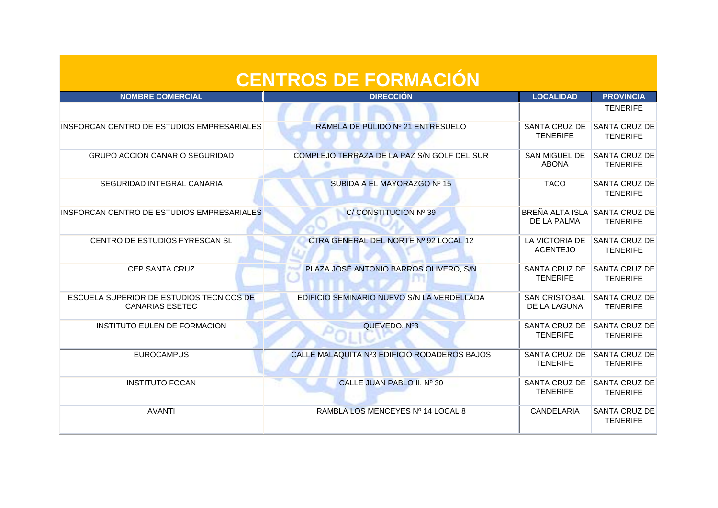| <b>CENTROS DE FORMACIÓN</b>                                        |                                              |                                              |                                         |
|--------------------------------------------------------------------|----------------------------------------------|----------------------------------------------|-----------------------------------------|
| <b>NOMBRE COMERCIAL</b>                                            | <b>DIRECCIÓN</b>                             | <b>LOCALIDAD</b>                             | <b>PROVINCIA</b>                        |
|                                                                    |                                              |                                              | <b>TENERIFE</b>                         |
| INSFORCAN CENTRO DE ESTUDIOS EMPRESARIALES                         | RAMBLA DE PULIDO Nº 21 ENTRESUELO            | SANTA CRUZ DE<br><b>TENERIFE</b>             | <b>SANTA CRUZ DE</b><br><b>TENERIFE</b> |
| <b>GRUPO ACCION CANARIO SEGURIDAD</b>                              | COMPLEJO TERRAZA DE LA PAZ S/N GOLF DEL SUR  | <b>SAN MIGUEL DE</b><br><b>ABONA</b>         | <b>SANTA CRUZ DE</b><br><b>TENERIFE</b> |
| SEGURIDAD INTEGRAL CANARIA                                         | SUBIDA A EL MAYORAZGO Nº 15                  | <b>TACO</b>                                  | <b>SANTA CRUZ DE</b><br><b>TENERIFE</b> |
| INSFORCAN CENTRO DE ESTUDIOS EMPRESARIALES                         | C/CONSTITUCION Nº 39                         | BREÑA ALTA ISLA SANTA CRUZ DE<br>DE LA PALMA | <b>TENERIFE</b>                         |
| CENTRO DE ESTUDIOS FYRESCAN SL                                     | CTRA GENERAL DEL NORTE Nº 92 LOCAL 12        | LA VICTORIA DE<br><b>ACENTEJO</b>            | SANTA CRUZ DE<br><b>TENERIFE</b>        |
| <b>CEP SANTA CRUZ</b>                                              | PLAZA JOSÉ ANTONIO BARROS OLIVERO, S/N       | SANTA CRUZ DE<br><b>TENERIFE</b>             | <b>SANTA CRUZ DE</b><br><b>TENERIFE</b> |
| ESCUELA SUPERIOR DE ESTUDIOS TECNICOS DE<br><b>CANARIAS ESETEC</b> | EDIFICIO SEMINARIO NUEVO S/N LA VERDELLADA   | <b>SAN CRISTOBAL</b><br>DE LA LAGUNA         | <b>SANTA CRUZ DE</b><br><b>TENERIFE</b> |
| INSTITUTO EULEN DE FORMACION                                       | QUEVEDO, Nº3                                 | SANTA CRUZ DE<br><b>TENERIFE</b>             | <b>SANTA CRUZ DE</b><br><b>TENERIFE</b> |
| <b>EUROCAMPUS</b>                                                  | CALLE MALAQUITA Nº3 EDIFICIO RODADEROS BAJOS | SANTA CRUZ DE<br><b>TENERIFE</b>             | <b>SANTA CRUZ DE</b><br><b>TENERIFE</b> |
| <b>INSTITUTO FOCAN</b>                                             | CALLE JUAN PABLO II, Nº 30                   | SANTA CRUZ DE<br><b>TENERIFE</b>             | <b>SANTA CRUZ DE</b><br><b>TENERIFE</b> |
| <b>AVANTI</b>                                                      | RAMBLA LOS MENCEYES Nº 14 LOCAL 8            | CANDELARIA                                   | <b>SANTA CRUZ DE</b><br><b>TENERIFE</b> |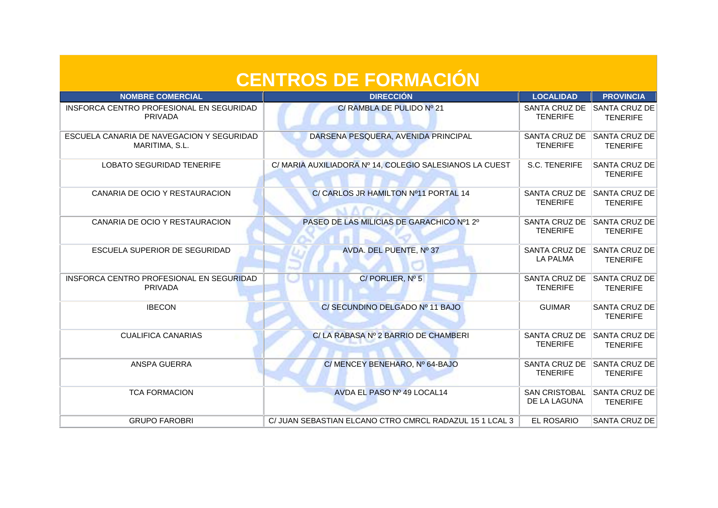| <b>CENTROS DE FORMACIÓN</b>                                 |                                                         |                                      |                                         |
|-------------------------------------------------------------|---------------------------------------------------------|--------------------------------------|-----------------------------------------|
| <b>NOMBRE COMERCIAL</b>                                     | <b>DIRECCIÓN</b>                                        | <b>LOCALIDAD</b>                     | <b>PROVINCIA</b>                        |
| INSFORCA CENTRO PROFESIONAL EN SEGURIDAD<br><b>PRIVADA</b>  | C/ RAMBLA DE PULIDO Nº 21                               | SANTA CRUZ DE<br><b>TENERIFE</b>     | SANTA CRUZ DE<br><b>TENERIFE</b>        |
| ESCUELA CANARIA DE NAVEGACION Y SEGURIDAD<br>MARITIMA, S.L. | DARSENA PESQUERA, AVENIDA PRINCIPAL                     | SANTA CRUZ DE<br><b>TENERIFE</b>     | <b>SANTA CRUZ DE</b><br><b>TENERIFE</b> |
| <b>LOBATO SEGURIDAD TENERIFE</b>                            | C/ MARIA AUXILIADORA Nº 14, COLEGIO SALESIANOS LA CUEST | S.C. TENERIFE                        | <b>SANTA CRUZ DE</b><br><b>TENERIFE</b> |
| CANARIA DE OCIO Y RESTAURACION                              | C/ CARLOS JR HAMILTON Nº11 PORTAL 14                    | SANTA CRUZ DE<br><b>TENERIFE</b>     | SANTA CRUZ DE<br><b>TENERIFE</b>        |
| CANARIA DE OCIO Y RESTAURACION                              | PASEO DE LAS MILICIAS DE GARACHICO Nº1 2º               | SANTA CRUZ DE<br><b>TENERIFE</b>     | SANTA CRUZ DE<br><b>TENERIFE</b>        |
| ESCUELA SUPERIOR DE SEGURIDAD                               | AVDA. DEL PUENTE, Nº 37                                 | SANTA CRUZ DE<br><b>LA PALMA</b>     | SANTA CRUZ DE<br><b>TENERIFE</b>        |
| INSFORCA CENTRO PROFESIONAL EN SEGURIDAD<br>PRIVADA         | $C/$ PORLIER, $N^{\circ}$ 5                             | SANTA CRUZ DE<br><b>TENERIFE</b>     | <b>SANTA CRUZ DE</b><br><b>TENERIFE</b> |
| <b>IBECON</b>                                               | C/ SECUNDINO DELGADO Nº 11 BAJO                         | <b>GUIMAR</b>                        | <b>SANTA CRUZ DE</b><br><b>TENERIFE</b> |
| <b>CUALIFICA CANARIAS</b>                                   | C/ LA RABASA Nº 2 BARRIO DE CHAMBERI                    | SANTA CRUZ DE<br><b>TENERIFE</b>     | <b>SANTA CRUZ DE</b><br><b>TENERIFE</b> |
| ANSPA GUERRA                                                | C/ MENCEY BENEHARO, Nº 64-BAJO                          | SANTA CRUZ DE<br><b>TENERIFE</b>     | SANTA CRUZ DE<br><b>TENERIFE</b>        |
| <b>TCA FORMACION</b>                                        | AVDA EL PASO Nº 49 LOCAL14                              | <b>SAN CRISTOBAL</b><br>DE LA LAGUNA | SANTA CRUZ DE<br><b>TENERIFE</b>        |
| <b>GRUPO FAROBRI</b>                                        | C/ JUAN SEBASTIAN ELCANO CTRO CMRCL RADAZUL 15 1 LCAL 3 | EL ROSARIO                           | SANTA CRUZ DE                           |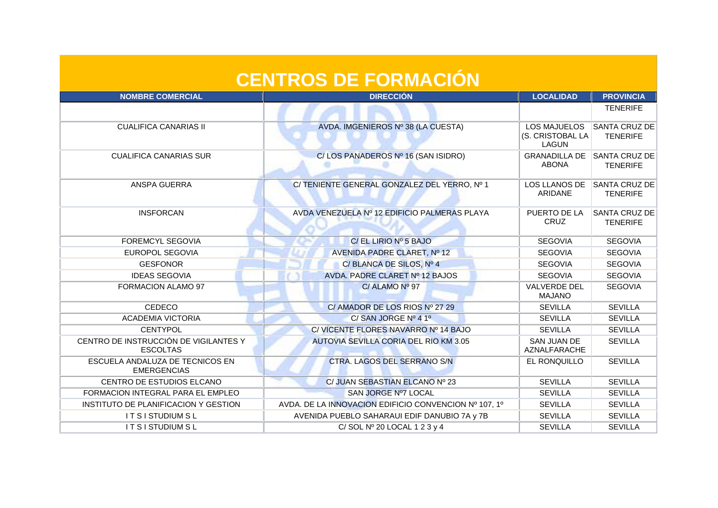| <b>CENTROS DE FORMACIÓN</b>                              |                                                       |                                                         |                                  |
|----------------------------------------------------------|-------------------------------------------------------|---------------------------------------------------------|----------------------------------|
| <b>NOMBRE COMERCIAL</b>                                  | <b>DIRECCIÓN</b>                                      | <b>LOCALIDAD</b>                                        | <b>PROVINCIA</b>                 |
|                                                          |                                                       |                                                         | <b>TENERIFE</b>                  |
| <b>CUALIFICA CANARIAS II</b>                             | AVDA. IMGENIEROS Nº 38 (LA CUESTA)                    | <b>LOS MAJUELOS</b><br>(S. CRISTOBAL LA<br><b>LAGUN</b> | SANTA CRUZ DE<br><b>TENERIFE</b> |
| <b>CUALIFICA CANARIAS SUR</b>                            | C/LOS PANADEROS Nº 16 (SAN ISIDRO)                    | <b>GRANADILLA DE</b><br><b>ABONA</b>                    | SANTA CRUZ DE<br><b>TENERIFE</b> |
| ANSPA GUERRA                                             | C/TENIENTE GENERAL GONZALEZ DEL YERRO, Nº 1           | LOS LLANOS DE<br>ARIDANE                                | SANTA CRUZ DE<br><b>TENERIFE</b> |
| <b>INSFORCAN</b>                                         | AVDA VENEZUELA Nº 12 EDIFICIO PALMERAS PLAYA          | PUERTO DE LA<br><b>CRUZ</b>                             | SANTA CRUZ DE<br><b>TENERIFE</b> |
| <b>FOREMCYL SEGOVIA</b>                                  | C/ EL LIRIO Nº 5 BAJO                                 | <b>SEGOVIA</b>                                          | <b>SEGOVIA</b>                   |
| EUROPOL SEGOVIA                                          | AVENIDA PADRE CLARET, Nº 12                           | <b>SEGOVIA</b>                                          | <b>SEGOVIA</b>                   |
| <b>GESFONOR</b>                                          | C/BLANCA DE SILOS, Nº 4                               | <b>SEGOVIA</b>                                          | <b>SEGOVIA</b>                   |
| <b>IDEAS SEGOVIA</b>                                     | AVDA. PADRE CLARET Nº 12 BAJOS                        | <b>SEGOVIA</b>                                          | <b>SEGOVIA</b>                   |
| FORMACION ALAMO 97                                       | C/ALAMO N <sup>o</sup> 97                             | <b>VALVERDE DEL</b><br><b>MAJANO</b>                    | <b>SEGOVIA</b>                   |
| CEDECO                                                   | C/ AMADOR DE LOS RIOS Nº 27 29                        | <b>SEVILLA</b>                                          | <b>SEVILLA</b>                   |
| <b>ACADEMIA VICTORIA</b>                                 | C/SAN JORGE Nº 4 1º                                   | <b>SEVILLA</b>                                          | <b>SEVILLA</b>                   |
| <b>CENTYPOL</b>                                          | C/ VICENTE FLORES NAVARRO Nº 14 BAJO                  | <b>SEVILLA</b>                                          | <b>SEVILLA</b>                   |
| CENTRO DE INSTRUCCIÓN DE VIGILANTES Y<br><b>ESCOLTAS</b> | AUTOVIA SEVILLA CORIA DEL RIO KM 3.05                 | <b>SAN JUAN DE</b><br>AZNALFARACHE                      | <b>SEVILLA</b>                   |
| ESCUELA ANDALUZA DE TECNICOS EN<br><b>EMERGENCIAS</b>    | CTRA. LAGOS DEL SERRANO S/N                           | EL RONQUILLO                                            | <b>SEVILLA</b>                   |
| CENTRO DE ESTUDIOS ELCANO                                | C/ JUAN SEBASTIAN ELCANO Nº 23                        | <b>SEVILLA</b>                                          | <b>SEVILLA</b>                   |
| FORMACION INTEGRAL PARA EL EMPLEO                        | SAN JORGE Nº7 LOCAL                                   | <b>SEVILLA</b>                                          | <b>SEVILLA</b>                   |
| INSTITUTO DE PLANIFICACION Y GESTION                     | AVDA. DE LA INNOVACION EDIFICIO CONVENCION Nº 107, 1º | <b>SEVILLA</b>                                          | <b>SEVILLA</b>                   |
| <b>IT SISTUDIUM SL</b>                                   | AVENIDA PUEBLO SAHARAUI EDIF DANUBIO 7A y 7B          | <b>SEVILLA</b>                                          | <b>SEVILLA</b>                   |
| <b>IT SISTUDIUM SL</b>                                   | C/SOL $N^{\circ}$ 20 LOCAL 1 2 3 y 4                  | <b>SEVILLA</b>                                          | <b>SEVILLA</b>                   |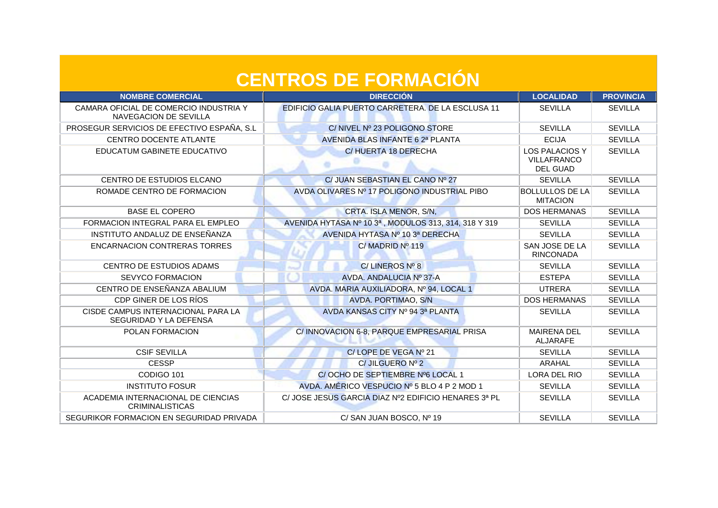| <b>NOMBRE COMERCIAL</b>                                         | <b>DIRECCIÓN</b>                                     | <b>LOCALIDAD</b>                                               | <b>PROVINCIA</b> |
|-----------------------------------------------------------------|------------------------------------------------------|----------------------------------------------------------------|------------------|
| CAMARA OFICIAL DE COMERCIO INDUSTRIA Y<br>NAVEGACION DE SEVILLA | EDIFICIO GALIA PUERTO CARRETERA. DE LA ESCLUSA 11    | <b>SEVILLA</b>                                                 | <b>SEVILLA</b>   |
| PROSEGUR SERVICIOS DE EFECTIVO ESPAÑA, S.L.                     | C/NIVEL Nº 23 POLIGONO STORE                         | <b>SEVILLA</b>                                                 | <b>SEVILLA</b>   |
| <b>CENTRO DOCENTE ATLANTE</b>                                   | AVENIDA BLAS INFANTE 6 2ª PLANTA                     | <b>ECIJA</b>                                                   | <b>SEVILLA</b>   |
| EDUCATUM GABINETE EDUCATIVO                                     | C/HUERTA 18 DERECHA                                  | <b>LOS PALACIOS Y</b><br><b>VILLAFRANCO</b><br><b>DEL GUAD</b> | <b>SEVILLA</b>   |
| CENTRO DE ESTUDIOS ELCANO                                       | C/ JUAN SEBASTIAN EL CANO Nº 27                      | <b>SEVILLA</b>                                                 | <b>SEVILLA</b>   |
| ROMADE CENTRO DE FORMACION                                      | AVDA OLIVARES Nº 17 POLIGONO INDUSTRIAL PIBO         | <b>BOLLULLOS DE LA</b><br><b>MITACION</b>                      | <b>SEVILLA</b>   |
| <b>BASE EL COPERO</b>                                           | CRTA. ISLA MENOR, S/N,                               | <b>DOS HERMANAS</b>                                            | <b>SEVILLA</b>   |
| FORMACION INTEGRAL PARA EL EMPLEO                               | AVENIDA HYTASA Nº 10 3ª, MODULOS 313, 314, 318 Y 319 | <b>SEVILLA</b>                                                 | <b>SEVILLA</b>   |
| INSTITUTO ANDALUZ DE ENSEÑANZA                                  | AVENIDA HYTASA Nº 10 3ª DERECHA                      | <b>SEVILLA</b>                                                 | <b>SEVILLA</b>   |
| <b>ENCARNACION CONTRERAS TORRES</b>                             | C/MADRID N <sup>o</sup> 119                          | SAN JOSE DE LA<br><b>RINCONADA</b>                             | <b>SEVILLA</b>   |
| <b>CENTRO DE ESTUDIOS ADAMS</b>                                 | C/LINEROS Nº 8                                       | <b>SEVILLA</b>                                                 | <b>SEVILLA</b>   |
| <b>SEVYCO FORMACION</b>                                         | AVDA, ANDALUCIA Nº 37-A                              | <b>ESTEPA</b>                                                  | <b>SEVILLA</b>   |
| CENTRO DE ENSEÑANZA ABALIUM                                     | AVDA. MARIA AUXILIADORA, Nº 94, LOCAL 1              | <b>UTRERA</b>                                                  | <b>SEVILLA</b>   |
| CDP GINER DE LOS RÍOS                                           | AVDA. PORTIMAO, S/N                                  | <b>DOS HERMANAS</b>                                            | <b>SEVILLA</b>   |
| CISDE CAMPUS INTERNACIONAL PARA LA<br>SEGURIDAD Y LA DEFENSA    | AVDA KANSAS CITY Nº 94 3ª PLANTA                     | <b>SEVILLA</b>                                                 | <b>SEVILLA</b>   |
| POLAN FORMACION                                                 | C/INNOVACION 6-8, PARQUE EMPRESARIAL PRISA           | <b>MAIRENA DEL</b><br><b>ALJARAFE</b>                          | <b>SEVILLA</b>   |
| <b>CSIF SEVILLA</b>                                             | C/LOPE DE VEGA Nº 21                                 | <b>SEVILLA</b>                                                 | <b>SEVILLA</b>   |
| <b>CESSP</b>                                                    | $C/$ JILGUERO Nº 2                                   | ARAHAL                                                         | <b>SEVILLA</b>   |
| CODIGO 101                                                      | C/OCHO DE SEPTIEMBRE Nº6 LOCAL 1                     | LORA DEL RIO                                                   | <b>SEVILLA</b>   |
| <b>INSTITUTO FOSUR</b>                                          | AVDA. AMÉRICO VESPUCIO Nº 5 BLO 4 P 2 MOD 1          | <b>SEVILLA</b>                                                 | <b>SEVILLA</b>   |
| ACADEMIA INTERNACIONAL DE CIENCIAS<br><b>CRIMINALISTICAS</b>    | C/ JOSE JESUS GARCIA DIAZ Nº2 EDIFICIO HENARES 3ª PL | <b>SEVILLA</b>                                                 | <b>SEVILLA</b>   |
| SEGURIKOR FORMACION EN SEGURIDAD PRIVADA                        | C/ SAN JUAN BOSCO, Nº 19                             | <b>SEVILLA</b>                                                 | <b>SEVILLA</b>   |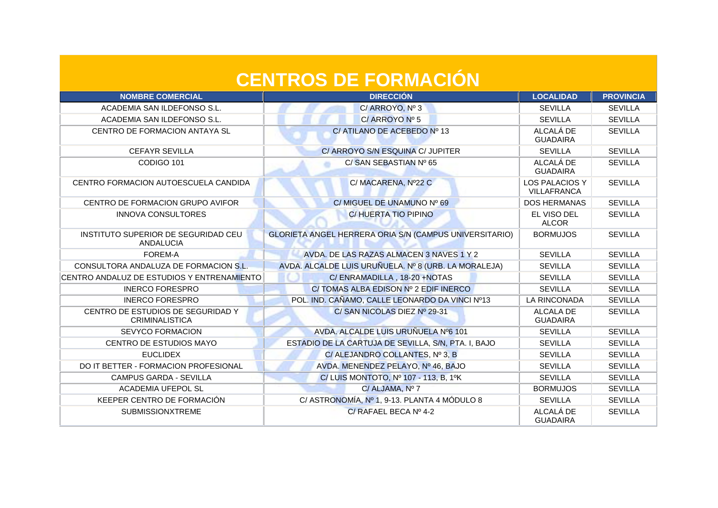| <b>NOMBRE COMERCIAL</b>                                    | <b>DIRECCIÓN</b>                                       | <b>LOCALIDAD</b>                            | <b>PROVINCIA</b> |
|------------------------------------------------------------|--------------------------------------------------------|---------------------------------------------|------------------|
| ACADEMIA SAN ILDEFONSO S.L.                                | C/ ARROYO, Nº 3                                        | <b>SEVILLA</b>                              | <b>SEVILLA</b>   |
| ACADEMIA SAN ILDEFONSO S.L.                                | C/ ARROYO Nº 5                                         | <b>SEVILLA</b>                              | <b>SEVILLA</b>   |
| CENTRO DE FORMACION ANTAYA SL                              | C/ATILANO DE ACEBEDO Nº 13                             | ALCALÁ DE<br><b>GUADAIRA</b>                | <b>SEVILLA</b>   |
| <b>CEFAYR SEVILLA</b>                                      | C/ ARROYO S/N ESQUINA C/ JUPITER                       | <b>SEVILLA</b>                              | <b>SEVILLA</b>   |
| CODIGO 101                                                 | C/ SAN SEBASTIAN Nº 65                                 | ALCALÁ DE<br><b>GUADAIRA</b>                | <b>SEVILLA</b>   |
| CENTRO FORMACION AUTOESCUELA CANDIDA                       | C/MACARENA, Nº22 C                                     | <b>LOS PALACIOS Y</b><br><b>VILLAFRANCA</b> | <b>SEVILLA</b>   |
| CENTRO DE FORMACION GRUPO AVIFOR                           | C/ MIGUEL DE UNAMUNO Nº 69                             | <b>DOS HERMANAS</b>                         | <b>SEVILLA</b>   |
| <b>INNOVA CONSULTORES</b>                                  | C/HUERTA TIO PIPINO                                    | EL VISO DEL<br><b>ALCOR</b>                 | <b>SEVILLA</b>   |
| INSTITUTO SUPERIOR DE SEGURIDAD CEU<br><b>ANDALUCIA</b>    | GLORIETA ANGEL HERRERA ORIA S/N (CAMPUS UNIVERSITARIO) | <b>BORMUJOS</b>                             | <b>SEVILLA</b>   |
| FOREM-A                                                    | AVDA, DE LAS RAZAS ALMACEN 3 NAVES 1 Y 2               | <b>SEVILLA</b>                              | <b>SEVILLA</b>   |
| CONSULTORA ANDALUZA DE FORMACION S.L.                      | AVDA. ALCALDE LUIS URUÑUELA. Nº 8 (URB. LA MORALEJA)   | <b>SEVILLA</b>                              | <b>SEVILLA</b>   |
| CENTRO ANDALUZ DE ESTUDIOS Y ENTRENAMIENTO                 | C/ENRAMADILLA, 18-20 +NOTAS                            | <b>SEVILLA</b>                              | <b>SEVILLA</b>   |
| <b>INERCO FORESPRO</b>                                     | C/TOMAS ALBA EDISON Nº 2 EDIF INERCO                   | <b>SEVILLA</b>                              | <b>SEVILLA</b>   |
| <b>INERCO FORESPRO</b>                                     | POL. IND. CAÑAMO, CALLE LEONARDO DA VINCI Nº13         | <b>LA RINCONADA</b>                         | <b>SEVILLA</b>   |
| CENTRO DE ESTUDIOS DE SEGURIDAD Y<br><b>CRIMINALISTICA</b> | C/ SAN NICOLAS DIEZ Nº 29-31                           | <b>ALCALA DE</b><br><b>GUADAIRA</b>         | <b>SEVILLA</b>   |
| <b>SEVYCO FORMACION</b>                                    | AVDA, ALCALDE LUIS URUÑUELA Nº6 101                    | <b>SEVILLA</b>                              | <b>SEVILLA</b>   |
| CENTRO DE ESTUDIOS MAYO                                    | ESTADIO DE LA CARTUJA DE SEVILLA, S/N, PTA. I, BAJO    | <b>SEVILLA</b>                              | <b>SEVILLA</b>   |
| <b>EUCLIDEX</b>                                            | C/ ALEJANDRO COLLANTES, Nº 3, B                        | <b>SEVILLA</b>                              | <b>SEVILLA</b>   |
| DO IT BETTER - FORMACION PROFESIONAL                       | AVDA. MENENDEZ PELAYO, Nº 46, BAJO                     | <b>SEVILLA</b>                              | <b>SEVILLA</b>   |
| CAMPUS GARDA - SEVILLA                                     | C/ LUIS MONTOTO, Nº 107 - 113, B, 1ºK                  | <b>SEVILLA</b>                              | <b>SEVILLA</b>   |
| <b>ACADEMIA UFEPOL SL</b>                                  | C/ ALJAMA, Nº 7                                        | <b>BORMUJOS</b>                             | <b>SEVILLA</b>   |
| KEEPER CENTRO DE FORMACIÓN                                 | C/ ASTRONOMÍA, Nº 1, 9-13. PLANTA 4 MÓDULO 8           | <b>SEVILLA</b>                              | <b>SEVILLA</b>   |
| <b>SUBMISSIONXTREME</b>                                    | C/ RAFAEL BECA Nº 4-2                                  | ALCALÁ DE<br><b>GUADAIRA</b>                | <b>SEVILLA</b>   |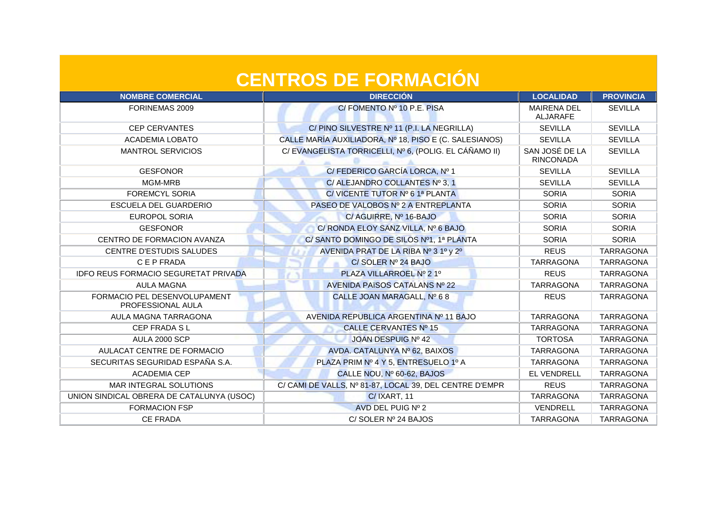| <b>NOMBRE COMERCIAL</b>                           | <b>DIRECCIÓN</b>                                        | <b>LOCALIDAD</b>                      | <b>PROVINCIA</b> |
|---------------------------------------------------|---------------------------------------------------------|---------------------------------------|------------------|
| FORINEMAS 2009                                    | C/FOMENTO Nº 10 P.E. PISA                               | <b>MAIRENA DEL</b><br><b>ALJARAFE</b> | <b>SEVILLA</b>   |
| <b>CEP CERVANTES</b>                              | C/PINO SILVESTRE Nº 11 (P.I. LA NEGRILLA)               | <b>SEVILLA</b>                        | <b>SEVILLA</b>   |
| <b>ACADEMIA LOBATO</b>                            | CALLE MARÍA AUXILIADORA, Nº 18, PISO E (C. SALESIANOS)  | <b>SEVILLA</b>                        | <b>SEVILLA</b>   |
| <b>MANTROL SERVICIOS</b>                          | C/ EVANGELISTA TORRICELLI, Nº 6, (POLIG. EL CÁÑAMO II)  | SAN JOSÉ DE LA<br><b>RINCONADA</b>    | <b>SEVILLA</b>   |
| <b>GESFONOR</b>                                   | C/FEDERICO GARCÍA LORCA, Nº 1                           | <b>SEVILLA</b>                        | <b>SEVILLA</b>   |
| MGM-MRB                                           | C/ALEJANDRO COLLANTES Nº 3, 1                           | <b>SEVILLA</b>                        | <b>SEVILLA</b>   |
| <b>FOREMCYL SORIA</b>                             | C/ VICENTE TUTOR Nº 6 1ª PLANTA                         | <b>SORIA</b>                          | <b>SORIA</b>     |
| <b>ESCUELA DEL GUARDERIO</b>                      | PASEO DE VALOBOS Nº 2 A ENTREPLANTA                     | <b>SORIA</b>                          | <b>SORIA</b>     |
| <b>EUROPOL SORIA</b>                              | C/ AGUIRRE, Nº 16-BAJO                                  | <b>SORIA</b>                          | <b>SORIA</b>     |
| <b>GESFONOR</b>                                   | C/ RONDA ELOY SANZ VILLA, Nº 6 BAJO                     | <b>SORIA</b>                          | <b>SORIA</b>     |
| CENTRO DE FORMACION AVANZA                        | C/SANTO DOMINGO DE SILOS Nº1, 1ª PLANTA                 | <b>SORIA</b>                          | <b>SORIA</b>     |
| <b>CENTRE D'ESTUDIS SALUDES</b>                   | AVENIDA PRAT DE LA RIBA Nº 3 1º y 2º                    | <b>REUS</b>                           | <b>TARRAGONA</b> |
| C E P FRADA                                       | C/SOLER Nº 24 BAJO                                      | <b>TARRAGONA</b>                      | <b>TARRAGONA</b> |
| IDFO REUS FORMACIO SEGURETAT PRIVADA              | PLAZA VILLARROEL Nº 2 1º                                | <b>REUS</b>                           | <b>TARRAGONA</b> |
| <b>AULA MAGNA</b>                                 | AVENIDA PAÏSOS CATALANS Nº 22                           | <b>TARRAGONA</b>                      | <b>TARRAGONA</b> |
| FORMACIO PEL DESENVOLUPAMENT<br>PROFESSIONAL AULA | CALLE JOAN MARAGALL, Nº 68                              | <b>REUS</b>                           | <b>TARRAGONA</b> |
| AULA MAGNA TARRAGONA                              | AVENIDA REPUBLICA ARGENTINA Nº 11 BAJO                  | <b>TARRAGONA</b>                      | <b>TARRAGONA</b> |
| CEP FRADA SL                                      | CALLE CERVANTES Nº 15                                   | <b>TARRAGONA</b>                      | <b>TARRAGONA</b> |
| AULA 2000 SCP                                     | JOAN DESPUIG Nº 42                                      | <b>TORTOSA</b>                        | <b>TARRAGONA</b> |
| AULACAT CENTRE DE FORMACIO                        | AVDA. CATALUNYA Nº 62, BAIXOS                           | <b>TARRAGONA</b>                      | <b>TARRAGONA</b> |
| SECURITAS SEGURIDAD ESPAÑA S.A.                   | PLAZA PRIM Nº 4 Y 5, ENTRESUELO 1º A                    | <b>TARRAGONA</b>                      | <b>TARRAGONA</b> |
| <b>ACADEMIA CEP</b>                               | CALLE NOU, Nº 60-62, BAJOS                              | EL VENDRELL                           | <b>TARRAGONA</b> |
| <b>MAR INTEGRAL SOLUTIONS</b>                     | C/ CAMI DE VALLS, Nº 81-87, LOCAL 39, DEL CENTRE D'EMPR | <b>REUS</b>                           | <b>TARRAGONA</b> |
| UNION SINDICAL OBRERA DE CATALUNYA (USOC)         | C/IXART, 11                                             | <b>TARRAGONA</b>                      | <b>TARRAGONA</b> |
| <b>FORMACION FSP</b>                              | AVD DEL PUIG Nº 2                                       | VENDRELL                              | <b>TARRAGONA</b> |
| <b>CE FRADA</b>                                   | C/SOLER Nº 24 BAJOS                                     | <b>TARRAGONA</b>                      | <b>TARRAGONA</b> |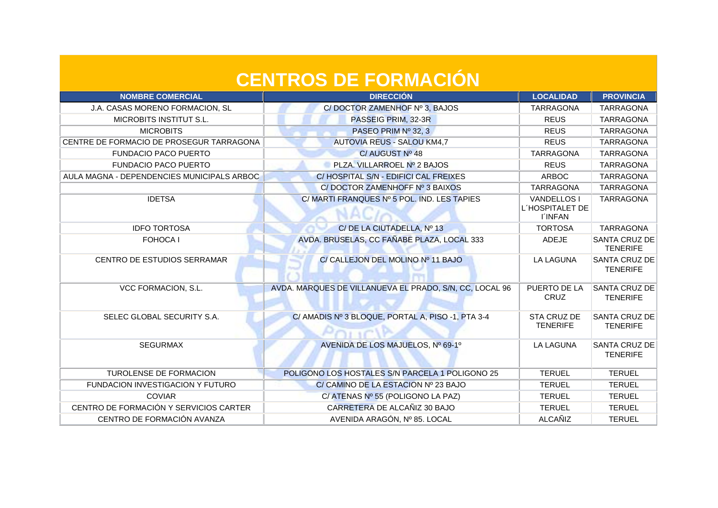| <b>NOMBRE COMERCIAL</b>                    | <b>DIRECCIÓN</b>                                        | <b>LOCALIDAD</b>                                        | <b>PROVINCIA</b>                        |
|--------------------------------------------|---------------------------------------------------------|---------------------------------------------------------|-----------------------------------------|
| J.A. CASAS MORENO FORMACION, SL            | C/DOCTOR ZAMENHOF Nº 3, BAJOS                           | <b>TARRAGONA</b>                                        | <b>TARRAGONA</b>                        |
| MICROBITS INSTITUT S.L.                    | PASSEIG PRIM, 32-3R                                     | <b>REUS</b>                                             | <b>TARRAGONA</b>                        |
| <b>MICROBITS</b>                           | PASEO PRIM Nº 32, 3                                     | <b>REUS</b>                                             | <b>TARRAGONA</b>                        |
| CENTRE DE FORMACIO DE PROSEGUR TARRAGONA   | <b>AUTOVIA REUS - SALOU KM4,7</b>                       | <b>REUS</b>                                             | <b>TARRAGONA</b>                        |
| <b>FUNDACIO PACO PUERTO</b>                | C/AUGUST Nº 48                                          | <b>TARRAGONA</b>                                        | <b>TARRAGONA</b>                        |
| <b>FUNDACIO PACO PUERTO</b>                | PLZA, VILLARROEL Nº 2 BAJOS                             | <b>REUS</b>                                             | <b>TARRAGONA</b>                        |
| AULA MAGNA - DEPENDENCIES MUNICIPALS ARBOC | C/HOSPITAL S/N - EDIFICI CAL FREIXES                    | <b>ARBOC</b>                                            | <b>TARRAGONA</b>                        |
|                                            | C/DOCTOR ZAMENHOFF Nº 3 BAIXOS                          | <b>TARRAGONA</b>                                        | <b>TARRAGONA</b>                        |
| <b>IDETSA</b>                              | C/ MARTI FRANQUES Nº 5 POL. IND. LES TAPIES             | <b>VANDELLOS I</b><br>L'HOSPITALET DE<br><b>I'INFAN</b> | <b>TARRAGONA</b>                        |
| <b>IDFO TORTOSA</b>                        | C/ DE LA CIUTADELLA, Nº 13                              | <b>TORTOSA</b>                                          | <b>TARRAGONA</b>                        |
| <b>FOHOCA I</b>                            | AVDA. BRUSELAS, CC FAÑABE PLAZA, LOCAL 333              | <b>ADEJE</b>                                            | <b>SANTA CRUZ DE</b><br><b>TENERIFE</b> |
| <b>CENTRO DE ESTUDIOS SERRAMAR</b>         | C/ CALLEJON DEL MOLINO Nº 11 BAJO                       | <b>LA LAGUNA</b>                                        | <b>SANTA CRUZ DE</b><br><b>TENERIFE</b> |
| VCC FORMACION, S.L.                        | AVDA. MARQUES DE VILLANUEVA EL PRADO, S/N, CC, LOCAL 96 | PUERTO DE LA<br><b>CRUZ</b>                             | <b>SANTA CRUZ DE</b><br><b>TENERIFE</b> |
| SELEC GLOBAL SECURITY S.A.                 | C/ AMADIS Nº 3 BLOQUE, PORTAL A, PISO -1, PTA 3-4       | STA CRUZ DE<br><b>TENERIFE</b>                          | <b>SANTA CRUZ DE</b><br><b>TENERIFE</b> |
| <b>SEGURMAX</b>                            | AVENIDA DE LOS MAJUELOS, Nº 69-1º                       | <b>LA LAGUNA</b>                                        | <b>SANTA CRUZ DE</b><br><b>TENERIFE</b> |
| TUROLENSE DE FORMACION                     | POLIGONO LOS HOSTALES S/N PARCELA 1 POLIGONO 25         | <b>TERUEL</b>                                           | <b>TERUEL</b>                           |
| FUNDACION INVESTIGACION Y FUTURO           | C/ CAMINO DE LA ESTACION Nº 23 BAJO                     | <b>TERUEL</b>                                           | <b>TERUEL</b>                           |
| <b>COVIAR</b>                              | C/ ATENAS Nº 55 (POLIGONO LA PAZ)                       | <b>TERUEL</b>                                           | <b>TERUEL</b>                           |
| CENTRO DE FORMACIÓN Y SERVICIOS CARTER     | CARRETERA DE ALCAÑIZ 30 BAJO                            | <b>TERUEL</b>                                           | <b>TERUEL</b>                           |
| CENTRO DE FORMACIÓN AVANZA                 | AVENIDA ARAGÓN, Nº 85. LOCAL                            | ALCAÑIZ                                                 | <b>TERUEL</b>                           |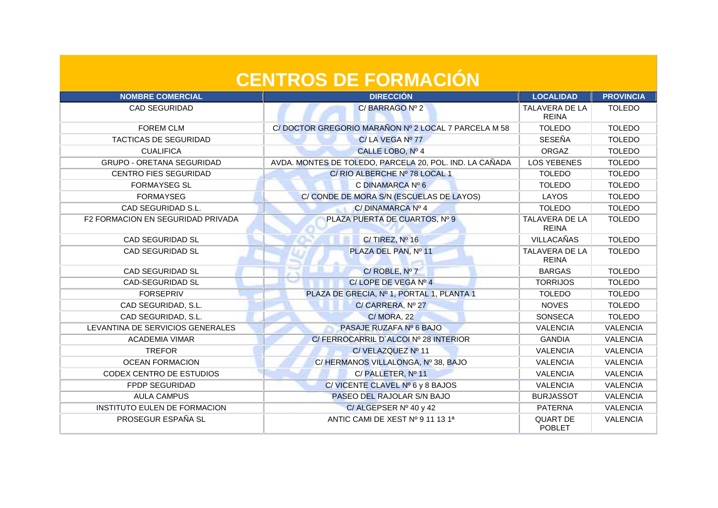| <b>NOMBRE COMERCIAL</b>                  | <b>DIRECCIÓN</b>                                        | <b>LOCALIDAD</b>                      | <b>PROVINCIA</b> |
|------------------------------------------|---------------------------------------------------------|---------------------------------------|------------------|
| <b>CAD SEGURIDAD</b>                     | C/BARRAGO Nº 2                                          | <b>TALAVERA DE LA</b><br><b>REINA</b> | <b>TOLEDO</b>    |
| <b>FOREM CLM</b>                         | C/DOCTOR GREGORIO MARAÑON Nº 2 LOCAL 7 PARCELA M 58     | <b>TOLEDO</b>                         | <b>TOLEDO</b>    |
| <b>TACTICAS DE SEGURIDAD</b>             | C/LA VEGA Nº 77                                         | <b>SESEÑA</b>                         | <b>TOLEDO</b>    |
| <b>CUALIFICA</b>                         | CALLE LOBO, Nº 4                                        | ORGAZ                                 | <b>TOLEDO</b>    |
| <b>GRUPO - ORETANA SEGURIDAD</b>         | AVDA. MONTES DE TOLEDO, PARCELA 20, POL. IND. LA CAÑADA | <b>LOS YEBENES</b>                    | <b>TOLEDO</b>    |
| <b>CENTRO FIES SEGURIDAD</b>             | C/ RIO ALBERCHE Nº 78 LOCAL 1                           | <b>TOLEDO</b>                         | <b>TOLEDO</b>    |
| <b>FORMAYSEG SL</b>                      | C DINAMARCA Nº 6                                        | <b>TOLEDO</b>                         | <b>TOLEDO</b>    |
| <b>FORMAYSEG</b>                         | C/ CONDE DE MORA S/N (ESCUELAS DE LAYOS)                | LAYOS                                 | <b>TOLEDO</b>    |
| CAD SEGURIDAD S.L.                       | C/DINAMARCA Nº 4<br>T. R                                | <b>TOLEDO</b>                         | <b>TOLEDO</b>    |
| <b>F2 FORMACION EN SEGURIDAD PRIVADA</b> | PLAZA PUERTA DE CUARTOS, Nº 9                           | TALAVERA DE LA<br><b>REINA</b>        | <b>TOLEDO</b>    |
| <b>CAD SEGURIDAD SL</b>                  | C/TIREZ, Nº 16                                          | <b>VILLACAÑAS</b>                     | <b>TOLEDO</b>    |
| <b>CAD SEGURIDAD SL</b>                  | PLAZA DEL PAN, Nº 11                                    | TALAVERA DE LA<br><b>REINA</b>        | <b>TOLEDO</b>    |
| <b>CAD SEGURIDAD SL</b>                  | C/ROBLE, Nº 7<br><b>The</b>                             | <b>BARGAS</b>                         | <b>TOLEDO</b>    |
| <b>CAD-SEGURIDAD SL</b>                  | C/LOPE DE VEGA Nº 4                                     | <b>TORRIJOS</b>                       | <b>TOLEDO</b>    |
| <b>FORSEPRIV</b>                         | PLAZA DE GRECIA, Nº 1, PORTAL 1, PLANTA 1               | <b>TOLEDO</b>                         | <b>TOLEDO</b>    |
| CAD SEGURIDAD, S.L.                      | C/CARRERA, Nº 27                                        | <b>NOVES</b>                          | <b>TOLEDO</b>    |
| CAD SEGURIDAD, S.L.                      | <b>C/MORA, 22</b>                                       | <b>SONSECA</b>                        | <b>TOLEDO</b>    |
| LEVANTINA DE SERVICIOS GENERALES         | PASAJE RUZAFA Nº 6 BAJO                                 | <b>VALENCIA</b>                       | <b>VALENCIA</b>  |
| <b>ACADEMIA VIMAR</b>                    | C/FERROCARRIL D'ALCOI Nº 28 INTERIOR                    | <b>GANDIA</b>                         | <b>VALENCIA</b>  |
| <b>TREFOR</b>                            | C/VELAZQUEZ Nº 11                                       | <b>VALENCIA</b>                       | <b>VALENCIA</b>  |
| <b>OCEAN FORMACION</b>                   | C/HERMANOS VILLALONGA, Nº 38, BAJO                      | <b>VALENCIA</b>                       | <b>VALENCIA</b>  |
| CODEX CENTRO DE ESTUDIOS                 | C/PALLETER, Nº 11                                       | <b>VALENCIA</b>                       | <b>VALENCIA</b>  |
| FPDP SEGURIDAD                           | C/ VICENTE CLAVEL Nº 6 y 8 BAJOS                        | <b>VALENCIA</b>                       | <b>VALENCIA</b>  |
| <b>AULA CAMPUS</b>                       | PASEO DEL RAJOLAR S/N BAJO                              | <b>BURJASSOT</b>                      | <b>VALENCIA</b>  |
| INSTITUTO EULEN DE FORMACION             | C/ALGEPSER Nº 40 y 42                                   | <b>PATERNA</b>                        | <b>VALENCIA</b>  |
| PROSEGUR ESPAÑA SL                       | ANTIC CAMI DE XEST Nº 9 11 13 1ª                        | <b>QUART DE</b><br><b>POBLET</b>      | <b>VALENCIA</b>  |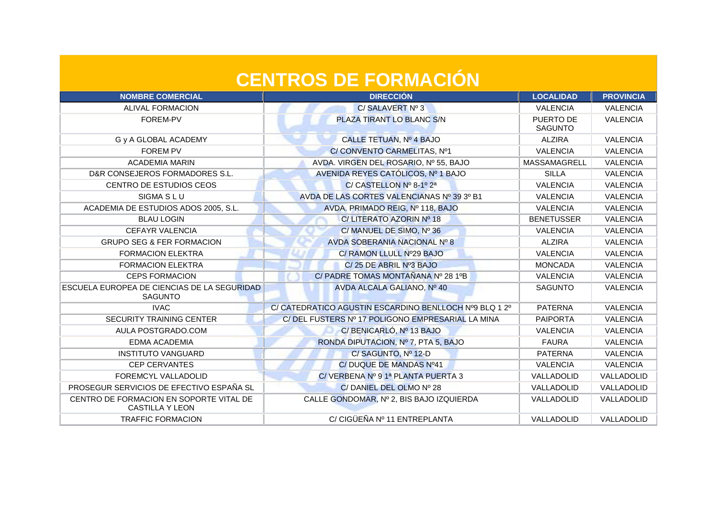| <b>NOMBRE COMERCIAL</b>                                           | <b>DIRECCIÓN</b>                                       | <b>LOCALIDAD</b>            | <b>PROVINCIA</b> |
|-------------------------------------------------------------------|--------------------------------------------------------|-----------------------------|------------------|
| <b>ALIVAL FORMACION</b>                                           | C/SALAVERT Nº 3                                        | <b>VALENCIA</b>             | <b>VALENCIA</b>  |
| FOREM-PV                                                          | PLAZA TIRANT LO BLANC S/N                              | PUERTO DE<br><b>SAGUNTO</b> | <b>VALENCIA</b>  |
| G y A GLOBAL ACADEMY                                              | CALLE TETUAN, Nº 4 BAJO                                | <b>ALZIRA</b>               | <b>VALENCIA</b>  |
| <b>FOREM PV</b>                                                   | C/CONVENTO CARMELITAS, Nº1                             | <b>VALENCIA</b>             | <b>VALENCIA</b>  |
| <b>ACADEMIA MARIN</b>                                             | AVDA. VIRGEN DEL ROSARIO, Nº 55, BAJO                  | MASSAMAGRELL                | <b>VALENCIA</b>  |
| D&R CONSEJEROS FORMADORES S.L.                                    | AVENIDA REYES CATÓLICOS, Nº 1 BAJO                     | <b>SILLA</b>                | <b>VALENCIA</b>  |
| CENTRO DE ESTUDIOS CEOS                                           | C/ CASTELLON Nº 8-1º 2ª                                | <b>VALENCIA</b>             | <b>VALENCIA</b>  |
| SIGMA S L U                                                       | AVDA DE LAS CORTES VALENCIANAS Nº 39 3º B1             | <b>VALENCIA</b>             | <b>VALENCIA</b>  |
| ACADEMIA DE ESTUDIOS ADOS 2005, S.L.                              | AVDA. PRIMADO REIG, Nº 118, BAJO                       | <b>VALENCIA</b>             | <b>VALENCIA</b>  |
| <b>BLAU LOGIN</b>                                                 | C/ LITERATO AZORIN Nº 18                               | <b>BENETUSSER</b>           | <b>VALENCIA</b>  |
| <b>CEFAYR VALENCIA</b>                                            | C/MANUEL DE SIMO, Nº 36                                | <b>VALENCIA</b>             | <b>VALENCIA</b>  |
| <b>GRUPO SEG &amp; FER FORMACION</b>                              | AVDA SOBERANIA NACIONAL Nº 8                           | <b>ALZIRA</b>               | <b>VALENCIA</b>  |
| <b>FORMACION ELEKTRA</b>                                          | C/ RAMON LLULL Nº29 BAJO                               | <b>VALENCIA</b>             | <b>VALENCIA</b>  |
| <b>FORMACION ELEKTRA</b>                                          | C/25 DE ABRIL Nº3 BAJO                                 | <b>MONCADA</b>              | <b>VALENCIA</b>  |
| <b>CEPS FORMACION</b>                                             | C/ PADRE TOMAS MONTAÑANA Nº 28 1ºB                     | <b>VALENCIA</b>             | <b>VALENCIA</b>  |
| ESCUELA EUROPEA DE CIENCIAS DE LA SEGURIDAD<br><b>SAGUNTO</b>     | AVDA ALCALA GALIANO, Nº 40                             | <b>SAGUNTO</b>              | <b>VALENCIA</b>  |
| <b>IVAC</b>                                                       | C/ CATEDRATICO AGUSTIN ESCARDINO BENLLOCH Nº9 BLQ 1 2º | <b>PATERNA</b>              | <b>VALENCIA</b>  |
| SECURITY TRAINING CENTER                                          | C/DEL FUSTERS Nº 17 POLIGONO EMPRESARIAL LA MINA       | <b>PAIPORTA</b>             | <b>VALENCIA</b>  |
| AULA POSTGRADO.COM                                                | C/BENICARLÓ, Nº 13 BAJO                                | <b>VALENCIA</b>             | <b>VALENCIA</b>  |
| EDMA ACADEMIA                                                     | RONDA DIPUTACION, Nº 7, PTA 5, BAJO                    | <b>FAURA</b>                | <b>VALENCIA</b>  |
| <b>INSTITUTO VANGUARD</b>                                         | C/SAGUNTO, Nº 12-D                                     | <b>PATERNA</b>              | <b>VALENCIA</b>  |
| <b>CEP CERVANTES</b>                                              | C/ DUQUE DE MANDAS Nº41                                | <b>VALENCIA</b>             | <b>VALENCIA</b>  |
| FOREMCYL VALLADOLID                                               | C/ VERBENA Nº 9 1ª PLANTA PUERTA 3                     | VALLADOLID                  | VALLADOLID       |
| PROSEGUR SERVICIOS DE EFECTIVO ESPAÑA SL                          | C/DANIEL DEL OLMO Nº 28                                | VALLADOLID                  | VALLADOLID       |
| CENTRO DE FORMACION EN SOPORTE VITAL DE<br><b>CASTILLA Y LEON</b> | CALLE GONDOMAR, Nº 2, BIS BAJO IZQUIERDA               | VALLADOLID                  | VALLADOLID       |
| <b>TRAFFIC FORMACION</b>                                          | C/ CIGÜEÑA Nº 11 ENTREPLANTA                           | VALLADOLID                  | VALLADOLID       |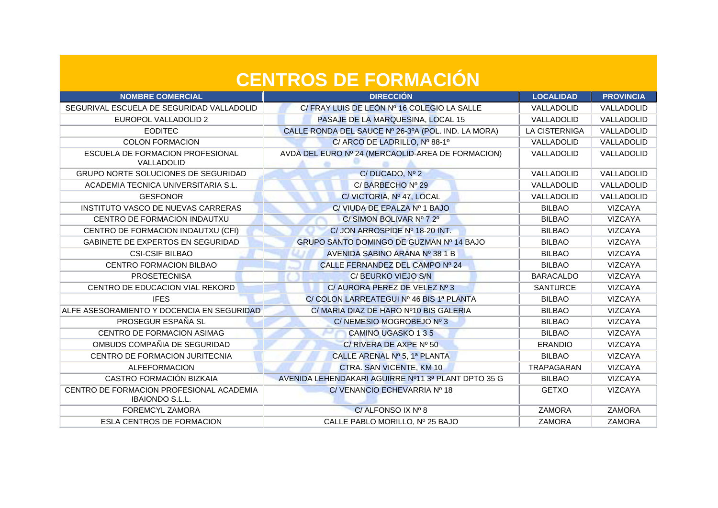| <b>NOMBRE COMERCIAL</b>                                            | <b>DIRECCIÓN</b>                                    | <b>LOCALIDAD</b>     | <b>PROVINCIA</b> |
|--------------------------------------------------------------------|-----------------------------------------------------|----------------------|------------------|
| SEGURIVAL ESCUELA DE SEGURIDAD VALLADOLID                          | C/ FRAY LUIS DE LEÓN Nº 16 COLEGIO LA SALLE         | VALLADOLID           | VALLADOLID       |
| EUROPOL VALLADOLID 2                                               | PASAJE DE LA MARQUESINA, LOCAL 15                   | VALLADOLID           | VALLADOLID       |
| <b>EODITEC</b>                                                     | CALLE RONDA DEL SAUCE Nº 26-3ºA (POL. IND. LA MORA) | <b>LA CISTERNIGA</b> | VALLADOLID       |
| <b>COLON FORMACION</b>                                             | C/ ARCO DE LADRILLO, Nº 88-1º                       | VALLADOLID           | VALLADOLID       |
| ESCUELA DE FORMACION PROFESIONAL<br>VALLADOLID                     | AVDA DEL EURO Nº 24 (MERCAOLID-AREA DE FORMACION)   | VALLADOLID           | VALLADOLID       |
| GRUPO NORTE SOLUCIONES DE SEGURIDAD                                | C/DUCADO, Nº 2                                      | VALLADOLID           | VALLADOLID       |
| ACADEMIA TECNICA UNIVERSITARIA S.L.                                | C/BARBECHONº 29                                     | VALLADOLID           | VALLADOLID       |
| <b>GESFONOR</b>                                                    | C/VICTORIA, Nº 47, LOCAL                            | VALLADOLID           | VALLADOLID       |
| INSTITUTO VASCO DE NUEVAS CARRERAS                                 | C/VIUDA DE EPALZA Nº 1 BAJO                         | <b>BILBAO</b>        | <b>VIZCAYA</b>   |
| CENTRO DE FORMACION INDAUTXU                                       | C/SIMON BOLIVAR Nº 7 2º                             | <b>BILBAO</b>        | <b>VIZCAYA</b>   |
| CENTRO DE FORMACION INDAUTXU (CFI)                                 | C/ JON ARROSPIDE Nº 18-20 INT.                      | <b>BILBAO</b>        | <b>VIZCAYA</b>   |
| GABINETE DE EXPERTOS EN SEGURIDAD                                  | GRUPO SANTO DOMINGO DE GUZMAN Nº 14 BAJO            | <b>BILBAO</b>        | VIZCAYA          |
| <b>CSI-CSIF BILBAO</b>                                             | AVENIDA SABINO ARANA Nº 38 1 B                      | <b>BILBAO</b>        | <b>VIZCAYA</b>   |
| CENTRO FORMACION BILBAO                                            | CALLE FERNANDEZ DEL CAMPO Nº 24                     | <b>BILBAO</b>        | <b>VIZCAYA</b>   |
| <b>PROSETECNISA</b>                                                | C/ BEURKO VIEJO S/N                                 | <b>BARACALDO</b>     | <b>VIZCAYA</b>   |
| CENTRO DE EDUCACION VIAL REKORD                                    | C/ AURORA PEREZ DE VELEZ Nº 3                       | <b>SANTURCE</b>      | <b>VIZCAYA</b>   |
| <b>IFES</b>                                                        | C/ COLON LARREATEGUI Nº 46 BIS 1ª PLANTA            | <b>BILBAO</b>        | <b>VIZCAYA</b>   |
| ALFE ASESORAMIENTO Y DOCENCIA EN SEGURIDAD                         | C/MARIA DIAZ DE HARO Nº10 BIS GALERIA               | <b>BILBAO</b>        | <b>VIZCAYA</b>   |
| PROSEGUR ESPAÑA SL                                                 | C/NEMESIO MOGROBEJO Nº 3                            | <b>BILBAO</b>        | <b>VIZCAYA</b>   |
| CENTRO DE FORMACION ASIMAG                                         | <b>CAMINO UGASKO 135</b>                            | <b>BILBAO</b>        | <b>VIZCAYA</b>   |
| OMBUDS COMPAÑIA DE SEGURIDAD                                       | C/ RIVERA DE AXPE Nº 50                             | <b>ERANDIO</b>       | <b>VIZCAYA</b>   |
| CENTRO DE FORMACION JURITECNIA                                     | CALLE ARENAL Nº 5, 1ª PLANTA                        | <b>BILBAO</b>        | VIZCAYA          |
| <b>ALFEFORMACION</b>                                               | CTRA. SAN VICENTE, KM 10                            | TRAPAGARAN           | <b>VIZCAYA</b>   |
| CASTRO FORMACIÓN BIZKAIA                                           | AVENIDA LEHENDAKARI AGUIRRE Nº11 3ª PLANT DPTO 35 G | <b>BILBAO</b>        | <b>VIZCAYA</b>   |
| CENTRO DE FORMACION PROFESIONAL ACADEMIA<br><b>IBAIONDO S.L.L.</b> | C/VENANCIO ECHEVARRIA Nº 18                         | <b>GETXO</b>         | VIZCAYA          |
| <b>FOREMCYL ZAMORA</b>                                             | C/ALFONSO IX Nº 8                                   | <b>ZAMORA</b>        | <b>ZAMORA</b>    |
| <b>ESLA CENTROS DE FORMACION</b>                                   | CALLE PABLO MORILLO, Nº 25 BAJO                     | <b>ZAMORA</b>        | <b>ZAMORA</b>    |